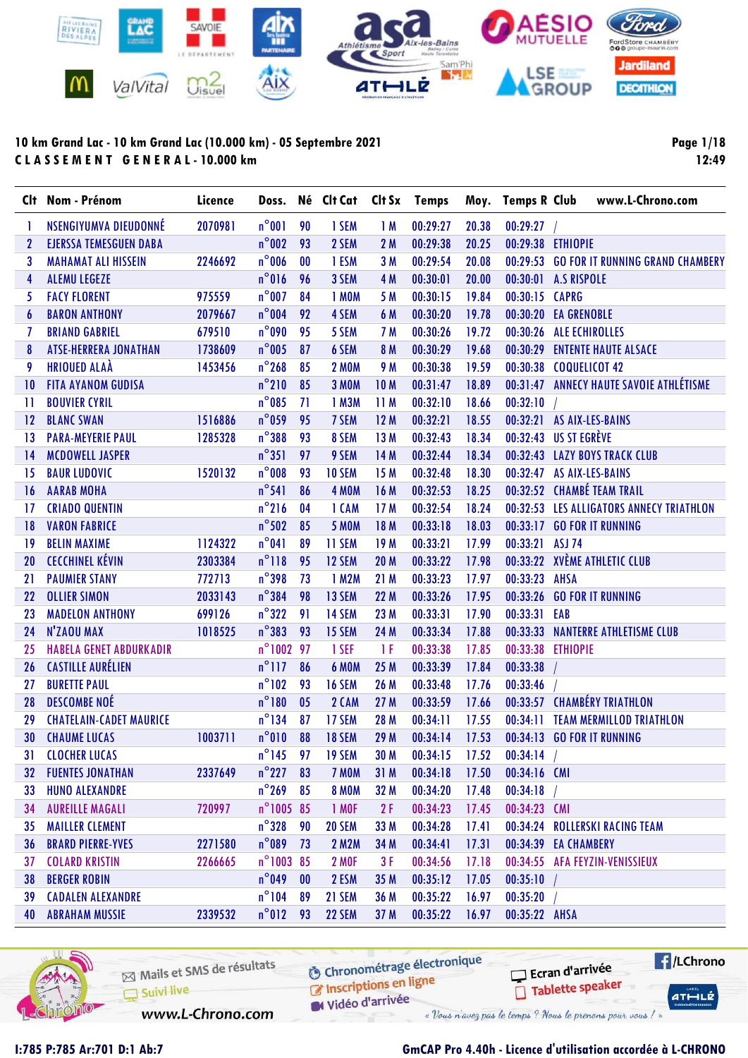

Page 1/18 12:49

|                  | Clt Nom - Prénom               | Licence |                    |                | Doss. Né Clt Cat Clt Sx Temps |                 |          |       |                           | Moy. Temps R Club www.L-Chrono.com        |
|------------------|--------------------------------|---------|--------------------|----------------|-------------------------------|-----------------|----------|-------|---------------------------|-------------------------------------------|
|                  | NSENGIYUMVA DIEUDONNÉ          | 2070981 | $n^{\circ}001$     | 90             | 1 SEM                         | 1M              | 00:29:27 | 20.38 | 00:29:27                  |                                           |
| $\mathbf{2}$     | <b>EJERSSA TEMESGUEN DABA</b>  |         | $n^{\circ}$ 002    | 93             | 2 SEM                         | 2M              | 00:29:38 | 20.25 | 00:29:38 ETHIOPIE         |                                           |
| 3                | <b>MAHAMAT ALI HISSEIN</b>     | 2246692 | $n^{\circ}$ 006    | 00             | 1 ESM                         | 3M              | 00:29:54 | 20.08 |                           | 00:29:53 GO FOR IT RUNNING GRAND CHAMBERY |
| 4                | <b>ALEMU LEGEZE</b>            |         | $n^{\circ}016$     | 96             | 3 SEM                         | 4 M             | 00:30:01 | 20.00 | 00:30:01 A.S RISPOLE      |                                           |
| 5                | <b>FACY FLORENT</b>            | 975559  | $n^{\circ}$ 007    | 84             | 1 MOM                         | 5 M             | 00:30:15 | 19.84 | 00:30:15 CAPRG            |                                           |
| $\boldsymbol{6}$ | <b>BARON ANTHONY</b>           | 2079667 | $n^{\circ}$ 004    | 92             | 4 SEM                         | 6 M             | 00:30:20 | 19.78 | 00:30:20 EA GRENOBLE      |                                           |
| 7                | <b>BRIAND GABRIEL</b>          | 679510  | $n^{\circ}$ 090    | 95             | 5 SEM                         | 7 M             | 00:30:26 | 19.72 | 00:30:26 ALE ECHIROLLES   |                                           |
| 8                | <b>ATSE-HERRERA JONATHAN</b>   | 1738609 | $n^{\circ}$ 005    | 87             | 6 SEM                         | 8 M             | 00:30:29 | 19.68 |                           | 00:30:29 ENTENTE HAUTE ALSACE             |
| 9                | <b>HRIOUED ALAÀ</b>            | 1453456 | $n^{\circ}$ 268    | 85             | <b>2 MOM</b>                  | 9 M             | 00:30:38 | 19.59 | 00:30:38 COQUELICOT 42    |                                           |
| $\overline{10}$  | <b>FITA AYANOM GUDISA</b>      |         | $n^{\circ}210$     | 85             | <b>3 MOM</b>                  | 10 <sub>M</sub> | 00:31:47 | 18.89 |                           | 00:31:47 ANNECY HAUTE SAVOIE ATHLÉTISME   |
| $\mathbf{1}$     | <b>BOUVIER CYRIL</b>           |         | $n^{\circ}085$     | 71             | 1 M3M                         | 11M             | 00:32:10 | 18.66 | 00:32:10                  |                                           |
| 12               | <b>BLANC SWAN</b>              | 1516886 | $n^{\circ}$ 059    | 95             | 7 SEM                         | 12M             | 00:32:21 | 18.55 | 00:32:21 AS AIX-LES-BAINS |                                           |
| $\overline{13}$  | <b>PARA-MEYERIE PAUL</b>       | 1285328 | $n^{\circ}$ 388    | 93             | 8 SEM                         | 13M             | 00:32:43 | 18.34 | 00:32:43 US ST EGRÈVE     |                                           |
| 14               | <b>MCDOWELL JASPER</b>         |         | $n^{\circ}351$     | 97             | 9 SEM                         | 14 M            | 00:32:44 | 18.34 |                           | 00:32:43 LAZY BOYS TRACK CLUB             |
| 15               | <b>BAUR LUDOVIC</b>            | 1520132 | $n^{\circ}$ 008    | 93             | 10 SEM                        | 15 M            | 00:32:48 | 18.30 | 00:32:47 AS AIX-LES-BAINS |                                           |
| 16               | <b>AARAB MOHA</b>              |         | $n^{\circ}541$     | 86             | 4 MOM                         | 16 M            | 00:32:53 | 18.25 |                           | 00:32:52 CHAMBÉ TEAM TRAIL                |
| -17              | <b>CRIADO QUENTIN</b>          |         | $n^{\circ}216$     | 04             | 1 CAM                         | 17M             | 00:32:54 | 18.24 |                           | 00:32:53 LES ALLIGATORS ANNECY TRIATHLON  |
| 18               | <b>VARON FABRICE</b>           |         | $n^{\circ}$ 502    | 85             | <b>5 MOM</b>                  | 18 M            | 00:33:18 | 18.03 |                           | 00:33:17 GO FOR IT RUNNING                |
| 19               | <b>BELIN MAXIME</b>            | 1124322 | $n^{\circ}041$     | 89             | 11 SEM                        | 19M             | 00:33:21 | 17.99 | 00:33:21 ASJ 74           |                                           |
| 20               | <b>CECCHINEL KÉVIN</b>         | 2303384 | $n^{\circ}118$     | 95             | 12 SEM                        | <b>20 M</b>     | 00:33:22 | 17.98 |                           | 00:33:22 XVÈME ATHLETIC CLUB              |
| 21               | <b>PAUMIER STANY</b>           | 772713  | $n^{\circ}$ 398    | 73             | 1 M2M                         | 21M             | 00:33:23 | 17.97 | 00:33:23 AHSA             |                                           |
| 22               | <b>OLLIER SIMON</b>            | 2033143 | $n^{\circ}$ 384    | 98             | 13 SEM                        | 22 M            | 00:33:26 | 17.95 | 00:33:26                  | <b>GO FOR IT RUNNING</b>                  |
| 23               | <b>MADELON ANTHONY</b>         | 699126  | $n^{\circ}322$     | 91             | 14 SEM                        | 23 M            | 00:33:31 | 17.90 | 00:33:31 EAB              |                                           |
| 24               | N'ZAOU MAX                     | 1018525 | $n^{\circ}383$     | 93             | 15 SEM                        | 24 M            | 00:33:34 | 17.88 | 00:33:33                  | <b>NANTERRE ATHLETISME CLUB</b>           |
| 25               | <b>HABELA GENET ABDURKADIR</b> |         | n°1002 97          |                | 1 SEF                         | 1 F             | 00:33:38 | 17.85 | 00:33:38 ETHIOPIE         |                                           |
| 26               | <b>CASTILLE AURÉLIEN</b>       |         | $n^{\circ}$ 117    | 86             | <b>6 MOM</b>                  | 25 M            | 00:33:39 | 17.84 | 00:33:38                  |                                           |
| 27               | <b>BURETTE PAUL</b>            |         | $n^{\circ}102$     | 93             | 16 SEM                        | 26 M            | 00:33:48 | 17.76 | 00:33:46                  |                                           |
| 28               | <b>DESCOMBE NOÉ</b>            |         | $n^{\circ}180$     | 0 <sub>5</sub> | 2 CAM                         | 27 M            | 00:33:59 | 17.66 |                           | 00:33:57 CHAMBÉRY TRIATHLON               |
| 29               | <b>CHATELAIN-CADET MAURICE</b> |         | $n^{\circ}$ 134    | 87             | 17 SEM                        | 28 M            | 00:34:11 | 17.55 |                           | 00:34:11 TEAM MERMILLOD TRIATHLON         |
| 30               | <b>CHAUME LUCAS</b>            | 1003711 | $n^{\circ}010$     | 88             | 18 SEM                        | 29 M            | 00:34:14 | 17.53 |                           | 00:34:13 GO FOR IT RUNNING                |
| 31               | <b>CLOCHER LUCAS</b>           |         | $n^{\circ}$ 145 97 |                | <b>19 SEM</b>                 | 30 M            | 00:34:15 | 17.52 | 00:34:14                  |                                           |
|                  | <b>32 FUENTES JONATHAN</b>     | 2337649 | $n^{\circ}$ 227    | 83             | 7 MOM                         | 31M             | 00:34:18 | 17.50 | 00:34:16 CMI              |                                           |
|                  | 33 HUNO ALEXANDRE              |         | $n^{\circ}$ 269    | 85             | <b>8 MOM</b>                  | 32 M            | 00:34:20 | 17.48 | 00:34:18                  |                                           |
| 34               | <b>AUREILLE MAGALI</b>         | 720997  | n°1005 85          |                | 1 MOF                         | 2F              | 00:34:23 | 17.45 | 00:34:23 CMI              |                                           |
| 35.              | <b>MAILLER CLEMENT</b>         |         | $n^{\circ}$ 328    | 90             | 20 SEM                        | 33 M            | 00:34:28 | 17.41 |                           | 00:34:24 ROLLERSKI RACING TEAM            |
| 36               | <b>BRARD PIERRE-YVES</b>       | 2271580 | $n^{\circ}$ 089    | 73             | 2 M2M                         | 34 M            | 00:34:41 | 17.31 | 00:34:39 EA CHAMBERY      |                                           |
| 37               | <b>COLARD KRISTIN</b>          | 2266665 | n°1003 85          |                | <b>2 MOF</b>                  | 3F              | 00:34:56 | 17.18 |                           | 00:34:55 AFA FEYZIN-VENISSIEUX            |
| 38               | <b>BERGER ROBIN</b>            |         | $n^{\circ}$ 049    | 00             | 2 ESM                         | 35 M            | 00:35:12 | 17.05 | 00:35:10                  |                                           |
| 39               | <b>CADALEN ALEXANDRE</b>       |         | $n^{\circ}104$     | 89             | 21 SEM                        | 36 M            | 00:35:22 | 16.97 | 00:35:20                  |                                           |
|                  | <b>40 ABRAHAM MUSSIE</b>       | 2339532 | $n^{\circ}012$     | - 93           | 22 SEM                        | 37 M            | 00:35:22 | 16.97 | 00:35:22 AHSA             |                                           |



Mails et SMS de résultats C Inscriptions en ligne Suivi live www.L-Chrono.com

**6** Chronométrage électronique

Vidéo d'arrivée

« Vous n'avez pas le temps ? Nous le prenons pour vous / »

# I:785 P:785 Ar:701 D:1 Ab:7 GmCAP Pro 4.40h - Licence d'utilisation accordée à L-CHRONO

Ecran d'arrivée

Tablette speaker

 $H/LChrono$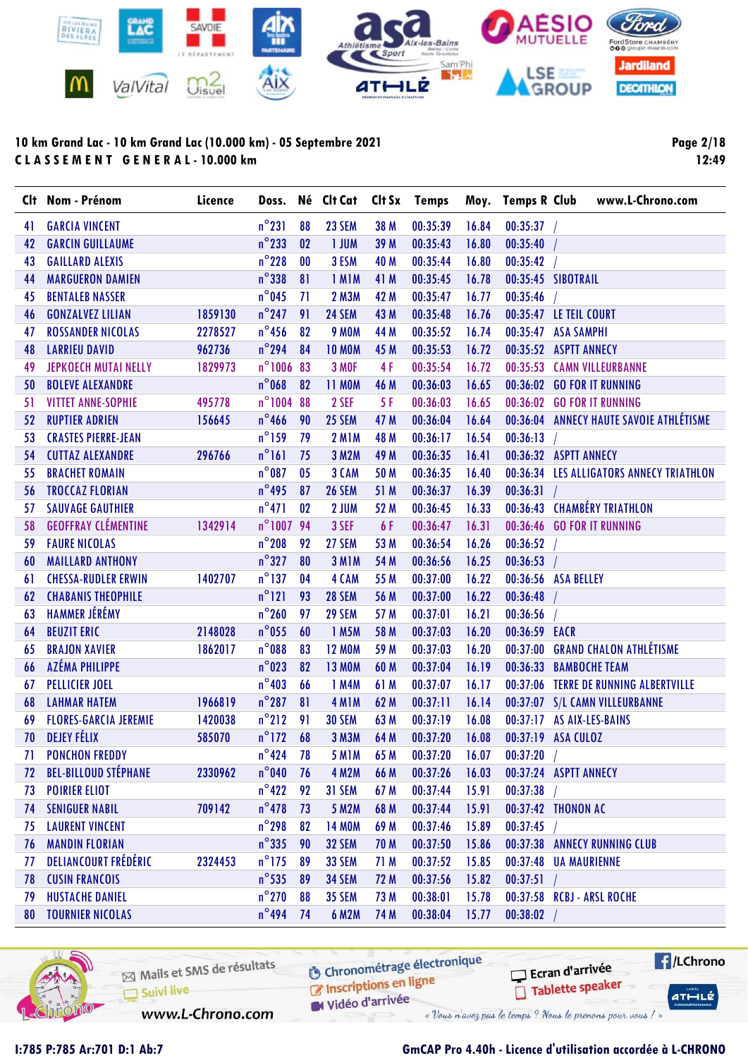

Page 2/18 12:49

|    | Clt Nom - Prénom             | Licence | Doss.           |    | Né Clt Cat    |      | Clt Sx Temps |       | Moy. Temps R Club  | www.L-Chrono.com                         |
|----|------------------------------|---------|-----------------|----|---------------|------|--------------|-------|--------------------|------------------------------------------|
| 41 | <b>GARCIA VINCENT</b>        |         | $n^{\circ}231$  | 88 | 23 SEM        | 38 M | 00:35:39     | 16.84 | $00:35:37$ /       |                                          |
| 42 | <b>GARCIN GUILLAUME</b>      |         | $n^{\circ}$ 233 | 02 | <b>I JUM</b>  | 39 M | 00:35:43     | 16.80 | 00:35:40           |                                          |
| 43 | <b>GAILLARD ALEXIS</b>       |         | $n^{\circ}$ 228 | 00 | 3 ESM         | 40 M | 00:35:44     | 16.80 | 00:35:42           |                                          |
| 44 | <b>MARGUERON DAMIEN</b>      |         | $n^{\circ}$ 338 | 81 | 1 MIM         | 41 M | 00:35:45     | 16.78 | 00:35:45 SIBOTRAIL |                                          |
| 45 | <b>BENTALEB NASSER</b>       |         | $n^{\circ}$ 045 | 71 | <b>2 M3M</b>  | 42 M | 00:35:47     | 16.77 | 00:35:46           |                                          |
| 46 | <b>GONZALVEZ LILIAN</b>      | 1859130 | $n^{\circ}$ 247 | 91 | 24 SEM        | 43 M | 00:35:48     | 16.76 |                    | 00:35:47 LE TEIL COURT                   |
| 47 | <b>ROSSANDER NICOLAS</b>     | 2278527 | $n^{\circ}$ 456 | 82 | <b>9 MOM</b>  | 44 M | 00:35:52     | 16.74 | 00:35:47           | <b>ASA SAMPHI</b>                        |
| 48 | <b>LARRIEU DAVID</b>         | 962736  | $n^{\circ}$ 294 | 84 | <b>10 MOM</b> | 45 M | 00:35:53     | 16.72 |                    | 00:35:52 ASPTT ANNECY                    |
| 49 | <b>JEPKOECH MUTAI NELLY</b>  | 1829973 | n°1006 83       |    | <b>3 MOF</b>  | 4F   | 00:35:54     | 16.72 |                    | 00:35:53 CAMN VILLEURBANNE               |
| 50 | <b>BOLEVE ALEXANDRE</b>      |         | $n^{\circ}$ 068 | 82 | <b>11 MOM</b> | 46 M | 00:36:03     | 16.65 |                    | 00:36:02 GO FOR IT RUNNING               |
| 51 | <b>VITTET ANNE-SOPHIE</b>    | 495778  | $n^{\circ}1004$ | 88 | 2 SEF         | 5F   | 00:36:03     | 16.65 |                    | 00:36:02 GO FOR IT RUNNING               |
| 52 | <b>RUPTIER ADRIEN</b>        | 156645  | $n^{\circ}$ 466 | 90 | 25 SEM        | 47 M | 00:36:04     | 16.64 |                    | 00:36:04 ANNECY HAUTE SAVOIE ATHLÉTISME  |
| 53 | <b>CRASTES PIERRE-JEAN</b>   |         | $n^{\circ}$ 159 | 79 | <b>2 M1M</b>  | 48 M | 00:36:17     | 16.54 | 00:36:13           |                                          |
| 54 | <b>CUTTAZ ALEXANDRE</b>      | 296766  | $n^{\circ}$ 161 | 75 | 3 M2M         | 49 M | 00:36:35     | 16.41 |                    | 00:36:32 ASPTT ANNECY                    |
| 55 | <b>BRACHET ROMAIN</b>        |         | $n^{\circ}$ 087 | 05 | 3 CAM         | 50 M | 00:36:35     | 16.40 |                    | 00:36:34 LES ALLIGATORS ANNECY TRIATHLON |
| 56 | <b>TROCCAZ FLORIAN</b>       |         | $n^{\circ}$ 495 | 87 | <b>26 SEM</b> | 51 M | 00:36:37     | 16.39 | 00:36:31           |                                          |
| 57 | <b>SAUVAGE GAUTHIER</b>      |         | $n^{\circ}471$  | 02 | 2 JUM         | 52 M | 00:36:45     | 16.33 |                    | 00:36:43 CHAMBÉRY TRIATHLON              |
| 58 | <b>GEOFFRAY CLÉMENTINE</b>   | 1342914 | n°100794        |    | 3 SEF         | 6 F  | 00:36:47     | 16.31 |                    | 00:36:46 GO FOR IT RUNNING               |
| 59 | <b>FAURE NICOLAS</b>         |         | $n^{\circ}$ 208 | 92 | 27 SEM        | 53 M | 00:36:54     | 16.26 | 00:36:52           |                                          |
| 60 | <b>MAILLARD ANTHONY</b>      |         | $n^{\circ}327$  | 80 | 3 MIM         | 54 M | 00:36:56     | 16.25 | 00:36:53           |                                          |
| 61 | <b>CHESSA-RUDLER ERWIN</b>   | 1402707 | $n^{\circ}$ 137 | 04 | 4 CAM         | 55 M | 00:37:00     | 16.22 |                    | 00:36:56 ASA BELLEY                      |
| 62 | <b>CHABANIS THEOPHILE</b>    |         | $n^{\circ}121$  | 93 | <b>28 SEM</b> | 56 M | 00:37:00     | 16.22 | 00:36:48           |                                          |
| 63 | <b>HAMMER JÉRÉMY</b>         |         | $n^{\circ}260$  | 97 | 29 SEM        | 57 M | 00:37:01     | 16.21 | 00:36:56           |                                          |
| 64 | <b>BEUZIT ERIC</b>           | 2148028 | $n^{\circ}$ 055 | 60 | 1 M5M         | 58 M | 00:37:03     | 16.20 | 00:36:59 EACR      |                                          |
| 65 | <b>BRAJON XAVIER</b>         | 1862017 | $n^{\circ}088$  | 83 | <b>12 MOM</b> | 59 M | 00:37:03     | 16.20 |                    | 00:37:00 GRAND CHALON ATHLÉTISME         |
| 66 | AZÉMA PHILIPPE               |         | $n^{\circ}$ 023 | 82 | <b>13 MOM</b> | 60 M | 00:37:04     | 16.19 |                    | 00:36:33 BAMBOCHE TEAM                   |
| 67 | <b>PELLICIER JOEL</b>        |         | $n^{\circ}403$  | 66 | 1 M4M         | 61 M | 00:37:07     | 16.17 |                    | 00:37:06 TERRE DE RUNNING ALBERTVILLE    |
| 68 | <b>LAHMAR HATEM</b>          | 1966819 | $n^{\circ}287$  | 81 | 4 MIM         | 62 M | 00:37:11     | 16.14 |                    | 00:37:07 S/L CAMN VILLEURBANNE           |
| 69 | <b>FLORES-GARCIA JEREMIE</b> | 1420038 | $n^{\circ}$ 212 | 91 | <b>30 SEM</b> | 63 M | 00:37:19     | 16.08 |                    | 00:37:17 AS AIX-LES-BAINS                |
| 70 | <b>DEJEY FÉLIX</b>           | 585070  | $n^{\circ}$ 172 | 68 | <b>3 M3M</b>  | 64 M | 00:37:20     | 16.08 | 00:37:19 ASA CULOZ |                                          |
| 71 | <b>PONCHON FREDDY</b>        |         | $n^{\circ}$ 424 | 78 | <b>5 M1M</b>  | 65 M | 00:37:20     | 16.07 | 00:37:20           |                                          |
| 72 | <b>BEL-BILLOUD STÉPHANE</b>  | 2330962 | $n^{\circ}$ 040 | 76 | <b>4 M2M</b>  | 66 M | 00:37:26     | 16.03 |                    | 00:37:24 ASPTT ANNECY                    |
| 73 | <b>POIRIER ELIOT</b>         |         | $n^{\circ}422$  | 92 | 31 SEM        | 67 M | 00:37:44     | 15.91 | 00:37:38           |                                          |
| 74 | <b>SENIGUER NABIL</b>        | 709142  | $n^{\circ}$ 478 | 73 | 5 M2M         | 68 M | 00:37:44     | 15.91 |                    | 00:37:42 THONON AC                       |
| 75 | <b>LAURENT VINCENT</b>       |         | $n^{\circ}$ 298 | 82 | <b>14 MOM</b> | 69 M | 00:37:46     | 15.89 | 00:37:45           |                                          |
| 76 | <b>MANDIN FLORIAN</b>        |         | $n^{\circ}335$  | 90 | 32 SEM        | 70 M | 00:37:50     | 15.86 |                    | 00:37:38 ANNECY RUNNING CLUB             |
| 77 | DELIANCOURT FRÉDÉRIC         | 2324453 | $n^{\circ}$ 175 | 89 | 33 SEM        | 71 M | 00:37:52     | 15.85 |                    | 00:37:48 UA MAURIENNE                    |
| 78 | <b>CUSIN FRANCOIS</b>        |         | $n^{\circ}$ 535 | 89 | 34 SEM        | 72 M | 00:37:56     | 15.82 | $00:37:51$ /       |                                          |
| 79 | <b>HUSTACHE DANIEL</b>       |         | $n^{\circ}$ 270 | 88 | <b>35 SEM</b> | 73 M | 00:38:01     | 15.78 |                    | 00:37:58 RCBJ - ARSL ROCHE               |
| 80 | <b>TOURNIER NICOLAS</b>      |         | $n^{\circ}$ 494 | 74 | <b>6 M2M</b>  | 74 M | 00:38:04     | 15.77 | 00:38:02           |                                          |



Mails et SMS de résultats Inscriptions en ligne Suivi live Vidéo d'arrivée www.L-Chrono.com

**6** Chronométrage électronique

« Vous n'avez pas le temps ? Nous le prenons pour vous / »

### I:785 P:785 Ar:701 D:1 Ab:7 GmCAP Pro 4.40h - Licence d'utilisation accordée à L-CHRONO

Ecran d'arrivée

Tablette speaker

**E**/LChrono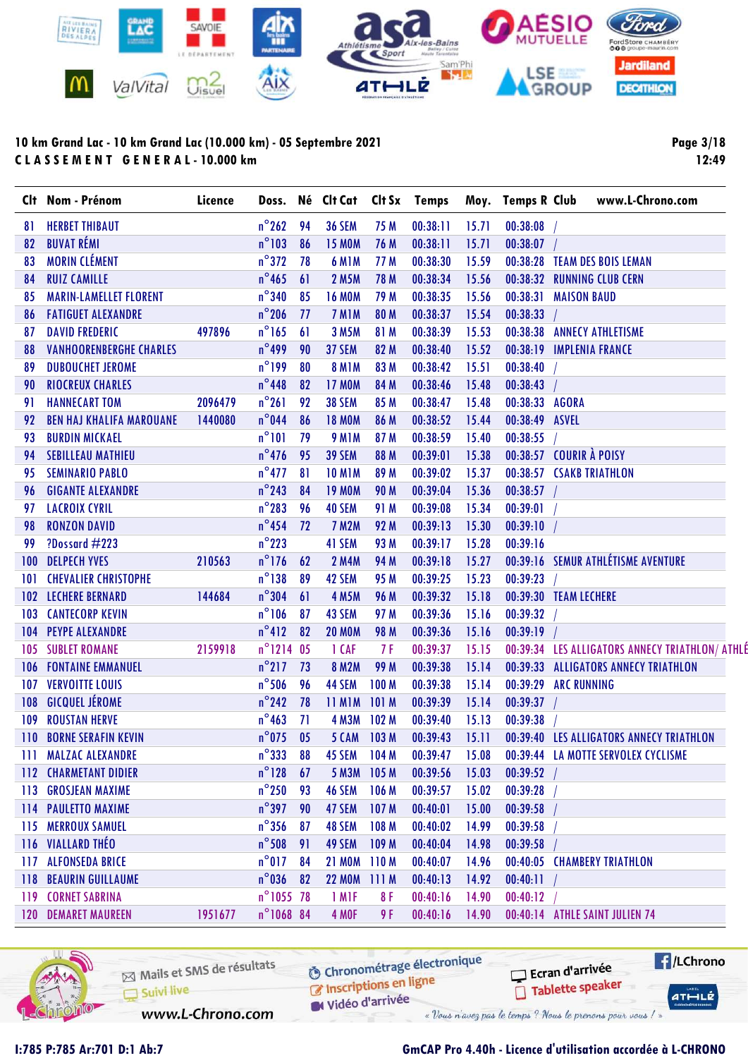

Page 3/18 12:49

|     | Clt Nom - Prénom                | Licence |                     |      |                   |                  | Doss. Né Clt Cat Clt Sx Temps |       | Moy. Temps R Club        |                    | www.L-Chrono.com                                |  |
|-----|---------------------------------|---------|---------------------|------|-------------------|------------------|-------------------------------|-------|--------------------------|--------------------|-------------------------------------------------|--|
| 81  | <b>HERBET THIBAUT</b>           |         | $n^{\circ}$ 262     | 94   | <b>36 SEM</b>     | 75 M             | 00:38:11                      | 15.71 | 00:38:08                 |                    |                                                 |  |
| 82  | <b>BUVAT RÉMI</b>               |         | $n^{\circ}103$      | 86   | <b>15 MOM</b>     | 76 M             | 00:38:11                      | 15.71 | 00:38:07                 |                    |                                                 |  |
| 83  | <b>MORIN CLÉMENT</b>            |         | $n^{\circ}372$      | 78   | 6 MIM             | 77 M             | 00:38:30                      | 15.59 |                          |                    | 00:38:28 TEAM DES BOIS LEMAN                    |  |
| 84  | <b>RUIZ CAMILLE</b>             |         | $n^{\circ}$ 465     | 61   | <b>2 M5M</b>      | <b>78 M</b>      | 00:38:34                      | 15.56 |                          |                    | 00:38:32 RUNNING CLUB CERN                      |  |
| 85  | <b>MARIN-LAMELLET FLORENT</b>   |         | $n^{\circ}340$      | 85   | <b>16 MOM</b>     | 79 M             | 00:38:35                      | 15.56 | 00:38:31                 | <b>MAISON BAUD</b> |                                                 |  |
| 86  | <b>FATIGUET ALEXANDRE</b>       |         | $n^{\circ}$ 206     | - 77 | 7 MIM             | 80 M             | 00:38:37                      | 15.54 | 00:38:33                 |                    |                                                 |  |
| 87  | <b>DAVID FREDERIC</b>           | 497896  | $n^{\circ}$ 165     | 61   | 3 M5M             | 81 M             | 00:38:39                      | 15.53 |                          |                    | 00:38:38 ANNECY ATHLETISME                      |  |
| 88  | <b>VANHOORENBERGHE CHARLES</b>  |         | $n^{\circ}$ 499     | 90   | 37 SEM            | 82 M             | 00:38:40                      | 15.52 | 00:38:19 IMPLENIA FRANCE |                    |                                                 |  |
| 89  | <b>DUBOUCHET JEROME</b>         |         | $n^{\circ}199$      | 80   | <b>8 M1M</b>      | 83 M             | 00:38:42                      | 15.51 | 00:38:40                 |                    |                                                 |  |
| 90  | <b>RIOCREUX CHARLES</b>         |         | $n^{\circ}$ 448     | 82   | <b>17 MOM</b>     | 84 M             | 00:38:46                      | 15.48 | 00:38:43                 |                    |                                                 |  |
| 91  | <b>HANNECART TOM</b>            | 2096479 | $n^{\circ}261$      | 92   | <b>38 SEM</b>     | 85 M             | 00:38:47                      | 15.48 | 00:38:33 AGORA           |                    |                                                 |  |
| 92  | <b>BEN HAJ KHALIFA MAROUANE</b> | 1440080 | $n^{\circ}$ 044     | 86   | <b>18 MOM</b>     | 86 M             | 00:38:52                      | 15.44 | 00:38:49 ASVEL           |                    |                                                 |  |
| 93  | <b>BURDIN MICKAEL</b>           |         | $n^{\circ}101$      | 79   | <b>9 M1M</b>      | 87 M             | 00:38:59                      | 15.40 | 00:38:55                 |                    |                                                 |  |
| 94  | <b>SEBILLEAU MATHIEU</b>        |         | $n^{\circ}$ 476     | 95   | <b>39 SEM</b>     | 88 M             | 00:39:01                      | 15.38 | 00:38:57 COURIR À POISY  |                    |                                                 |  |
| 95  | <b>SEMINARIO PABLO</b>          |         | $n^{\circ}477$      | 81   | <b>10 M1M</b>     | 89 M             | 00:39:02                      | 15.37 | 00:38:57 CSAKB TRIATHLON |                    |                                                 |  |
| 96  | <b>GIGANTE ALEXANDRE</b>        |         | $n^{\circ}$ 243     | 84   | <b>19 MOM</b>     | <b>90 M</b>      | 00:39:04                      | 15.36 | 00:38:57                 |                    |                                                 |  |
| 97  | <b>LACROIX CYRIL</b>            |         | $n^{\circ}$ 283     | 96   | 40 SEM            | 91 M             | 00:39:08                      | 15.34 | 00:39:01                 |                    |                                                 |  |
| 98  | <b>RONZON DAVID</b>             |         | $n^{\circ}454$ 72   |      | <b>7 M2M</b>      | 92 M             | 00:39:13                      | 15.30 | 00:39:10                 |                    |                                                 |  |
| 99  | ?Dossard $\#223$                |         | $n^{\circ}$ 223     |      | 41 SEM            | 93 M             | 00:39:17                      | 15.28 | 00:39:16                 |                    |                                                 |  |
| 100 | <b>DELPECH YVES</b>             | 210563  | $n^{\circ}$ 176 62  |      | <b>2 M4M</b>      | 94 M             | 00:39:18                      | 15.27 |                          |                    | 00:39:16 SEMUR ATHLÉTISME AVENTURE              |  |
| 101 | <b>CHEVALIER CHRISTOPHE</b>     |         | $n^{\circ}138$      | 89   | 42 SEM            | 95 M             | 00:39:25                      | 15.23 | 00:39:23                 |                    |                                                 |  |
| 102 | <b>LECHERE BERNARD</b>          | 144684  | $n^{\circ}304$      | 61   | <b>4 M5M</b>      | 96 M             | 00:39:32                      | 15.18 | 00:39:30 TEAM LECHERE    |                    |                                                 |  |
| 103 | <b>CANTECORP KEVIN</b>          |         | $n^{\circ}106$      | 87   | 43 SEM            | 97 M             | 00:39:36                      | 15.16 | 00:39:32                 |                    |                                                 |  |
| 104 | PEYPE ALEXANDRE                 |         | $n^{\circ}412$      | 82   | <b>20 MOM</b>     | <b>98 M</b>      | 00:39:36                      | 15.16 | 00:39:19                 |                    |                                                 |  |
| 105 | <b>SUBLET ROMANE</b>            | 2159918 | $n^{\circ}$ 1214 05 |      | 1 CAF             | 7 F              | 00:39:37                      | 15.15 |                          |                    | 00:39:34 LES ALLIGATORS ANNECY TRIATHLON/ ATHLÉ |  |
| 106 | <b>FONTAINE EMMANUEL</b>        |         | $n^{\circ}$ 217 73  |      | <b>8 M2M</b>      | 99 M             | 00:39:38                      | 15.14 |                          |                    | 00:39:33 ALLIGATORS ANNECY TRIATHLON            |  |
| 107 | <b>VERVOITTE LOUIS</b>          |         | $n^{\circ}$ 506     | 96   | 44 SEM            | 100 M            | 00:39:38                      | 15.14 | 00:39:29 ARC RUNNING     |                    |                                                 |  |
| 108 | <b>GICQUEL JÉROME</b>           |         | $n^{\circ}$ 242     | 78   | <b>11 MIM</b>     | 101 M            | 00:39:39                      | 15.14 | 00:39:37                 |                    |                                                 |  |
| 109 | <b>ROUSTAN HERVE</b>            |         | $n^{\circ}$ 463     | 71   | <b>4 M3M</b>      | 102 <sub>M</sub> | 00:39:40                      | 15.13 | 00:39:38                 |                    |                                                 |  |
|     | <b>110 BORNE SERAFIN KEVIN</b>  |         | $n^{\circ}$ 075 05  |      | 5 CAM 103 M       |                  | 00:39:43                      | 15.11 |                          |                    | 00:39:40 LES ALLIGATORS ANNECY TRIATHLON        |  |
|     | <b>111 MALZAC ALEXANDRE</b>     |         | $n^{\circ}333888$   |      | <b>45 SEM</b>     | 104M             | 00:39:47                      | 15.08 |                          |                    | 00:39:44 LA MOTTE SERVOLEX CYCLISME             |  |
|     | <b>112 CHARMETANT DIDIER</b>    |         | $n^{\circ}$ 128 67  |      | 5 M3M             | 105M             | 00:39:56                      | 15.03 | 00:39:52                 |                    |                                                 |  |
|     | 113 GROSJEAN MAXIME             |         | $n^{\circ}250$ 93   |      | <b>46 SEM</b>     | 106 <sub>M</sub> | 00:39:57                      | 15.02 | 00:39:28                 |                    |                                                 |  |
|     | 114 PAULETTO MAXIME             |         | $n^{\circ}397$      | 90   | 47 SEM            | 107 <sub>M</sub> | 00:40:01                      | 15.00 | 00:39:58                 |                    |                                                 |  |
|     | <b>115 MERROUX SAMUEL</b>       |         | $n^{\circ}$ 356     | - 87 | 48 SEM            | 108 M            | 00:40:02                      | 14.99 | 00:39:58                 |                    |                                                 |  |
|     | 116 VIALLARD THÉO               |         | $n^{\circ}$ 508 91  |      | 49 SEM            | 109 M            | 00:40:04                      | 14.98 | 00:39:58                 |                    |                                                 |  |
| 117 | <b>ALFONSEDA BRICE</b>          |         | $n^{\circ}$ 017     | 84   | <b>21 MOM</b>     | 110M             | 00:40:07                      | 14.96 |                          |                    | 00:40:05 CHAMBERY TRIATHLON                     |  |
| 118 | <b>BEAURIN GUILLAUME</b>        |         | $n^{\circ}$ 036 82  |      | <b>22 MOM</b>     | 111M             | 00:40:13                      | 14.92 | 00:40:11                 |                    |                                                 |  |
| 119 | <b>CORNET SABRINA</b>           |         | n°1055 78           |      | 1 M <sub>IF</sub> | 8 F              | 00:40:16                      | 14.90 | 00:40:12                 |                    |                                                 |  |
|     | <b>120 DEMARET MAUREEN</b>      | 1951677 | n°1068 84           |      | 4 MOF             | 9 F              | 00:40:16                      | 14.90 |                          |                    | 00:40:14 ATHLE SAINT JULIEN 74                  |  |
|     |                                 |         |                     |      |                   |                  |                               |       |                          |                    |                                                 |  |

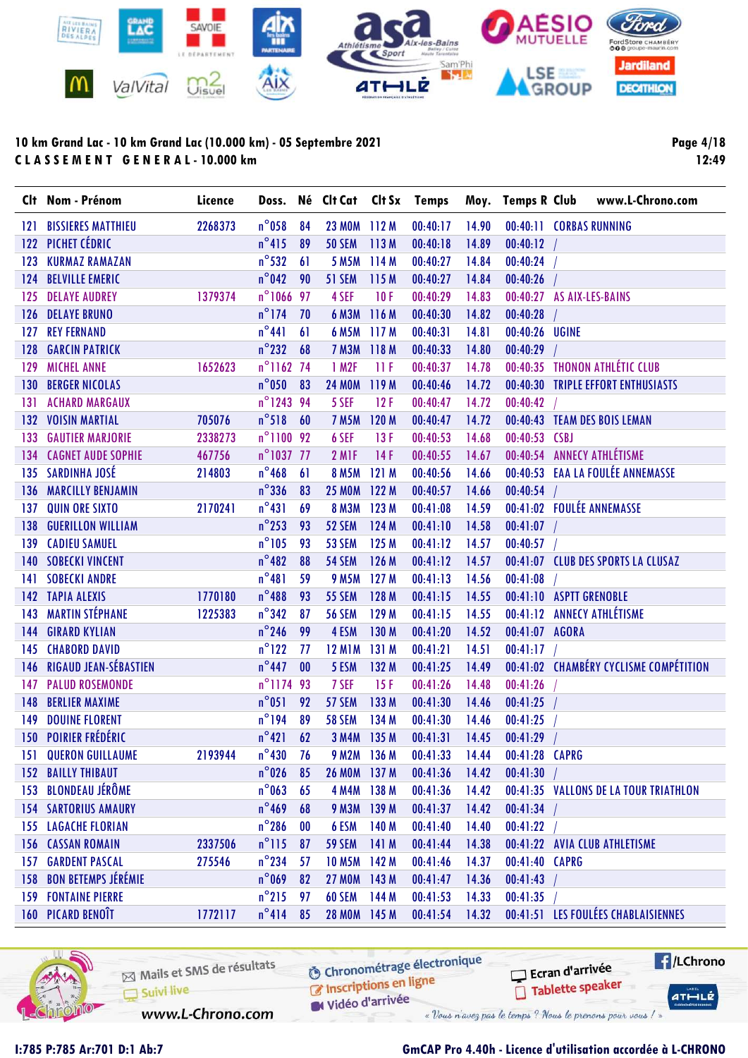

Page 4/18 12:49

|     | Clt Nom - Prénom               | Licence |                     |           |                    |       |          |       |                | Doss. Né Clt Cat Clt Sx Temps Moy. Temps R Club www.L-Chrono.com |
|-----|--------------------------------|---------|---------------------|-----------|--------------------|-------|----------|-------|----------------|------------------------------------------------------------------|
| 121 | <b>BISSIERES MATTHIEU</b>      | 2268373 | $n^{\circ}$ 058     | 84        | 23 MOM 112 M       |       | 00:40:17 | 14.90 |                | 00:40:11 CORBAS RUNNING                                          |
| 122 | PICHET CÉDRIC                  |         | $n^{\circ}415$      | 89        | <b>50 SEM</b>      | 113M  | 00:40:18 | 14.89 | 00:40:12       |                                                                  |
| 123 | <b>KURMAZ RAMAZAN</b>          |         | $n^{\circ}$ 532     | 61        | 5 M <sub>5</sub> M | 114M  | 00:40:27 | 14.84 | 00:40:24       |                                                                  |
| 124 | <b>BELVILLE EMERIC</b>         |         | $n^{\circ}$ 042     | 90        | 51 SEM             | 115 M | 00:40:27 | 14.84 | 00:40:26       |                                                                  |
| 125 | <b>DELAYE AUDREY</b>           | 1379374 | n°1066 97           |           | 4 SEF              | 10F   | 00:40:29 | 14.83 |                | 00:40:27 AS AIX-LES-BAINS                                        |
| 126 | <b>DELAYE BRUNO</b>            |         | $n^{\circ}$ 174     | 70        | <b>6 M3M</b>       | 116 M | 00:40:30 | 14.82 | 00:40:28       |                                                                  |
| 127 | <b>REY FERNAND</b>             |         | $n^{\circ}441$      | 61        | <b>6 M5M</b>       | 117M  | 00:40:31 | 14.81 | 00:40:26 UGINE |                                                                  |
| 128 | <b>GARCIN PATRICK</b>          |         | $n^{\circ}$ 232     | 68        | 7 M3M 118 M        |       | 00:40:33 | 14.80 | 00:40:29       |                                                                  |
| 129 | <b>MICHEL ANNE</b>             | 1652623 | n°1162 74           |           | 1 M2F              | 11F   | 00:40:37 | 14.78 |                | 00:40:35 THONON ATHLÉTIC CLUB                                    |
| 130 | <b>BERGER NICOLAS</b>          |         | $n^{\circ}$ 050     | 83        | <b>24 MOM</b>      | 119 M | 00:40:46 | 14.72 |                | 00:40:30 TRIPLE EFFORT ENTHUSIASTS                               |
| 131 | <b>ACHARD MARGAUX</b>          |         | n°124394            |           | 5 SEF              | 12F   | 00:40:47 | 14.72 | 00:40:42       |                                                                  |
| 132 | <b>VOISIN MARTIAL</b>          | 705076  | $n^{\circ}518$      | 60        | <b>7 M5M</b>       | 120 M | 00:40:47 | 14.72 |                | 00:40:43 TEAM DES BOIS LEMAN                                     |
| 133 | <b>GAUTIER MARJORIE</b>        | 2338273 | n°1100 92           |           | 6 SEF              | 13F   | 00:40:53 | 14.68 | 00:40:53 CSBJ  |                                                                  |
| 134 | <b>CAGNET AUDE SOPHIE</b>      | 467756  | $n^{\circ}$ 1037 77 |           | 2 M <sub>IF</sub>  | 14F   | 00:40:55 | 14.67 |                | 00:40:54 ANNECY ATHLÉTISME                                       |
|     | 135 SARDINHA JOSÉ              | 214803  | $n^{\circ}$ 468     | 61        | <b>8 M5M</b>       | 121M  | 00:40:56 | 14.66 |                | 00:40:53 EAA LA FOULÉE ANNEMASSE                                 |
| 136 | <b>MARCILLY BENJAMIN</b>       |         | $n^{\circ}$ 336     | 83        | <b>25 MOM</b>      | 122 M | 00:40:57 | 14.66 | 00:40:54       |                                                                  |
| 137 | <b>QUIN ORE SIXTO</b>          | 2170241 | $n^{\circ}431$      | 69        | 8 M3M 123 M        |       | 00:41:08 | 14.59 |                | 00:41:02 FOULÉE ANNEMASSE                                        |
| 138 | <b>GUERILLON WILLIAM</b>       |         | $n^{\circ}$ 253     | 93        | 52 SEM             | 124 M | 00:41:10 | 14.58 | $00:41:07$ /   |                                                                  |
| 139 | <b>CADIEU SAMUEL</b>           |         | $n^{\circ}105$      | 93        | 53 SEM             | 125 M | 00:41:12 | 14.57 | 00:40:57       |                                                                  |
| 140 | <b>SOBECKI VINCENT</b>         |         | $n^{\circ}482$      | 88        | <b>54 SEM</b>      | 126 M | 00:41:12 | 14.57 |                | 00:41:07 CLUB DES SPORTS LA CLUSAZ                               |
| 141 | <b>SOBECKI ANDRE</b>           |         | $n^{\circ}481$      | 59        | <b>9 M5M</b>       | 127M  | 00:41:13 | 14.56 | 00:41:08       |                                                                  |
|     | 142 TAPIA ALEXIS               | 1770180 | $n^{\circ}488$      | 93        | <b>55 SEM</b>      | 128 M | 00:41:15 | 14.55 |                | 00:41:10 ASPTT GRENOBLE                                          |
| 143 | <b>MARTIN STÉPHANE</b>         | 1225383 | $n^{\circ}342$      | 87        | <b>56 SEM</b>      | 129 M | 00:41:15 | 14.55 |                | 00:41:12 ANNECY ATHLÉTISME                                       |
| 144 | <b>GIRARD KYLIAN</b>           |         | $n^{\circ}$ 246     | 99        | 4 ESM              | 130 M | 00:41:20 | 14.52 | 00:41:07 AGORA |                                                                  |
| 145 | <b>CHABORD DAVID</b>           |         | $n^{\circ}$ 122     | 77        | <b>12 M1M</b>      | 131 M | 00:41:21 | 14.51 | 00:41:17       |                                                                  |
| 146 | <b>RIGAUD JEAN-SÉBASTIEN</b>   |         | $n^{\circ}$ 447     | 00        | 5 ESM              | 132 M | 00:41:25 | 14.49 |                | 00:41:02 CHAMBÉRY CYCLISME COMPÉTITION                           |
| 147 | <b>PALUD ROSEMONDE</b>         |         | n°1174 93           |           | 7 SEF              | 15F   | 00:41:26 | 14.48 | 00:41:26       |                                                                  |
| 148 | <b>BERLIER MAXIME</b>          |         | $n^{\circ}051$      | 92        | 57 SEM             | 133 M | 00:41:30 | 14.46 | 00:41:25       |                                                                  |
| 149 | <b>DOUINE FLORENT</b>          |         | $n^{\circ}$ 194     | 89        | <b>58 SEM</b>      | 134 M | 00:41:30 | 14.46 | 00:41:25       |                                                                  |
|     | <b>150 POIRIER FRÉDÉRIC</b>    |         | $n^{\circ}421$      | 62        | 3 M4M 135 M        |       | 00:41:31 | 14.45 | 00:41:29       |                                                                  |
| 151 | <b>QUERON GUILLAUME</b>        | 2193944 | $n^{\circ}430$      | 76        | 9 M2M 136 M        |       | 00:41:33 | 14.44 | 00:41:28 CAPRG |                                                                  |
|     | <b>152 BAILLY THIBAUT</b>      |         | $n^{\circ}$ 026     | 85        | 26 MOM 137 M       |       | 00:41:36 | 14.42 | 00:41:30       |                                                                  |
|     | 153 BLONDEAU JÉRÔME            |         | $n^{\circ}$ 063     | 65        | 4 M4M 138 M        |       | 00:41:36 | 14.42 |                | 00:41:35 VALLONS DE LA TOUR TRIATHLON                            |
|     | <b>154 SARTORIUS AMAURY</b>    |         | $n^{\circ}$ 469     | 68        | 9 M3M 139 M        |       | 00:41:37 | 14.42 | 00:41:34       |                                                                  |
|     | <b>155 LAGACHE FLORIAN</b>     |         | $n^{\circ}$ 286     | $\bf{00}$ | 6 ESM              | 140 M | 00:41:40 | 14.40 | 00:41:22       |                                                                  |
|     | <b>156 CASSAN ROMAIN</b>       | 2337506 | $n^{\circ}$ 115     | 87        | <b>59 SEM</b>      | 141 M | 00:41:44 | 14.38 |                | 00:41:22 AVIA CLUB ATHLETISME                                    |
| 157 | <b>GARDENT PASCAL</b>          | 275546  | $n^{\circ}$ 234     | 57        | 10 M5M 142 M       |       | 00:41:46 | 14.37 | 00:41:40 CAPRG |                                                                  |
|     | <b>158 BON BETEMPS JÉRÉMIE</b> |         | $n^{\circ}$ 069     | 82        | 27 MOM 143 M       |       | 00:41:47 | 14.36 | 00:41:43       |                                                                  |
|     | <b>159 FONTAINE PIERRE</b>     |         | $n^{\circ}215$      | 97        | <b>60 SEM</b>      | 144 M | 00:41:53 | 14.33 | 00:41:35       |                                                                  |
|     | <b>160 PICARD BENOIT</b>       | 1772117 | $n^{\circ}414$      | 85        | 28 MOM 145 M       |       | 00:41:54 | 14.32 |                | 00:41:51 LES FOULÉES CHABLAISIENNES                              |



Mails et SMS de résultats C Inscriptions en ligne Suivi live Vidéo d'arrivée

**6** Chronométrage électronique

« Vous n'avez pas le temps ? Nous le prenons pour vous / »

www.L-Chrono.com

### I:785 P:785 Ar:701 D:1 Ab:7 GmCAP Pro 4.40h - Licence d'utilisation accordée à L-CHRONO

Ecran d'arrivée

Tablette speaker

 $H/LChrono$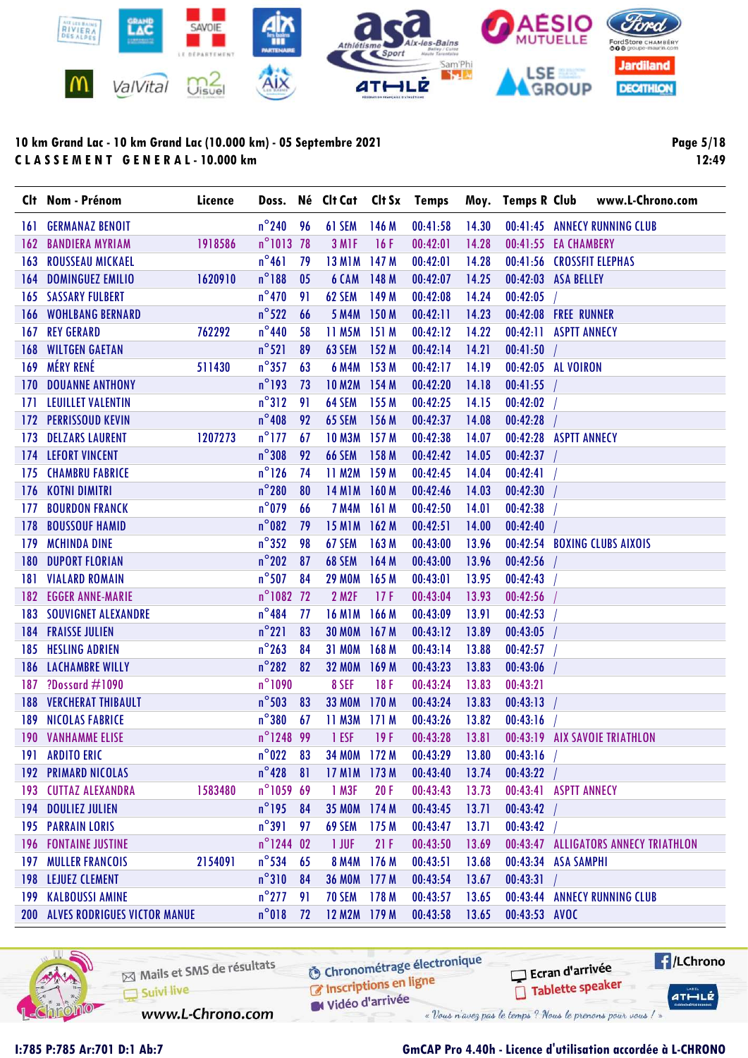

Page 5/18 12:49

|     | Clt Nom - Prénom                        | Licence |                     |     | Doss. Né Clt Cat Clt Sx Temps |       |          |       |               |                              | Moy. Temps R Club www.L-Chrono.com   |
|-----|-----------------------------------------|---------|---------------------|-----|-------------------------------|-------|----------|-------|---------------|------------------------------|--------------------------------------|
| 161 | <b>GERMANAZ BENOIT</b>                  |         | $n^{\circ}240$ 96   |     | 61 SEM                        | 146 M | 00:41:58 | 14.30 |               |                              | 00:41:45 ANNECY RUNNING CLUB         |
| 162 | <b>BANDIERA MYRIAM</b>                  | 1918586 | n°1013 78           |     | 3 M <sub>IF</sub>             | 16F   | 00:42:01 | 14.28 |               | 00:41:55 EA CHAMBERY         |                                      |
| 163 | <b>ROUSSEAU MICKAEL</b>                 |         | $n^{\circ}461$      | 79  | <b>13 M1M</b>                 | 147 M | 00:42:01 | 14.28 |               | 00:41:56 CROSSFIT ELEPHAS    |                                      |
| 164 | <b>DOMINGUEZ EMILIO</b>                 | 1620910 | $n^{\circ}188$      | 05  | 6 CAM                         | 148 M | 00:42:07 | 14.25 |               | 00:42:03 ASA BELLEY          |                                      |
|     | <b>165 SASSARY FULBERT</b>              |         | $n^{\circ}$ 470     | 91  | 62 SEM                        | 149 M | 00:42:08 | 14.24 | 00:42:05      |                              |                                      |
|     | <b>166 WOHLBANG BERNARD</b>             |         | $n^{\circ}522$      | 66  | <b>5 M4M</b>                  | 150 M | 00:42:11 | 14.23 |               | 00:42:08 FREE RUNNER         |                                      |
|     | <b>167 REY GERARD</b>                   | 762292  | $n^{\circ}$ 440     | 58  | 11 M5M 151 M                  |       | 00:42:12 | 14.22 |               | 00:42:11 ASPTT ANNECY        |                                      |
| 168 | <b>WILTGEN GAETAN</b>                   |         | $n^{\circ}521$      | 89  | <b>63 SEM</b>                 | 152 M | 00:42:14 | 14.21 | 00:41:50      |                              |                                      |
|     | 169 MÉRY RENÉ                           | 511430  | $n^{\circ}357$      | 63  | <b>6 M4M</b>                  | 153 M | 00:42:17 | 14.19 |               | 00:42:05 AL VOIRON           |                                      |
| 170 | <b>DOUANNE ANTHONY</b>                  |         | $n^{\circ}$ 193     | 73  | 10 M2M 154 M                  |       | 00:42:20 | 14.18 | 00:41:55      |                              |                                      |
| 171 | <b>LEUILLET VALENTIN</b>                |         | $n^{\circ}312$      | 91  | 64 SEM                        | 155 M | 00:42:25 | 14.15 | 00:42:02      |                              |                                      |
|     | <b>172 PERRISSOUD KEVIN</b>             |         | $n^{\circ}$ 408     | 92  | 65 SEM                        | 156 M | 00:42:37 | 14.08 | 00:42:28      |                              |                                      |
| 173 | <b>DELZARS LAURENT</b>                  | 1207273 | $n^{\circ}$ 177     | 67  | 10 M3M 157 M                  |       | 00:42:38 | 14.07 |               | 00:42:28 ASPTT ANNECY        |                                      |
|     | <b>174 LEFORT VINCENT</b>               |         | $n^{\circ}308$      | 92  | <b>66 SEM</b>                 | 158 M | 00:42:42 | 14.05 | $00:42:37$ /  |                              |                                      |
| 175 | <b>CHAMBRU FABRICE</b>                  |         | $n^{\circ}$ 126     | 74  | 11 M2M                        | 159 M | 00:42:45 | 14.04 | 00:42:41      |                              |                                      |
|     | 176 KOTNI DIMITRI                       |         | $n^{\circ}280$      | 80  | <b>14 M1M</b>                 | 160M  | 00:42:46 | 14.03 | 00:42:30      |                              |                                      |
| 177 | <b>BOURDON FRANCK</b>                   |         | $n^{\circ}$ 079     | 66  | <b>7 M4M</b>                  | 161 M | 00:42:50 | 14.01 | 00:42:38      |                              |                                      |
| 178 | <b>BOUSSOUF HAMID</b>                   |         | $n^{\circ}082$      | 79  | <b>15 M1M</b>                 | 162M  | 00:42:51 | 14.00 | 00:42:40      |                              |                                      |
| 179 | <b>MCHINDA DINE</b>                     |         | $n^{\circ}352$      | 98  | 67 SEM                        | 163 M | 00:43:00 | 13.96 |               | 00:42:54 BOXING CLUBS AIXOIS |                                      |
| 180 | <b>DUPORT FLORIAN</b>                   |         | $n^{\circ}202$      | 87  | <b>68 SEM</b>                 | 164 M | 00:43:00 | 13.96 | 00:42:56      |                              |                                      |
|     | <b>181 VIALARD ROMAIN</b>               |         | $n^{\circ}$ 507     | 84  | <b>29 MOM</b>                 | 165 M | 00:43:01 | 13.95 | 00:42:43      |                              |                                      |
| 182 | <b>EGGER ANNE-MARIE</b>                 |         | n°1082 72           |     | 2 M2F                         | 17F   | 00:43:04 | 13.93 | 00:42:56      |                              |                                      |
|     | <b>183 SOUVIGNET ALEXANDRE</b>          |         | $n^{\circ}$ 484     | -77 | <b>16 M1M</b>                 | 166 M | 00:43:09 | 13.91 | 00:42:53      |                              |                                      |
|     | <b>184 FRAISSE JULIEN</b>               |         | $n^{\circ}221$      | 83  | <b>30 MOM</b>                 | 167 M | 00:43:12 | 13.89 | 00:43:05      |                              |                                      |
| 185 | <b>HESLING ADRIEN</b>                   |         | $n^{\circ}$ 263     | 84  | <b>31 MOM</b>                 | 168 M | 00:43:14 | 13.88 | 00:42:57      |                              |                                      |
|     | <b>186 LACHAMBRE WILLY</b>              |         | $n^{\circ}282$      | 82  | <b>32 MOM</b>                 | 169 M | 00:43:23 | 13.83 | 00:43:06      |                              |                                      |
|     | 187 ?Dossard #1090                      |         | $n^{\circ}1090$     |     | 8 SEF                         | 18F   | 00:43:24 | 13.83 | 00:43:21      |                              |                                      |
| 188 | <b>VERCHERAT THIBAULT</b>               |         | $n^{\circ}$ 503     | 83  | <b>33 MOM</b>                 | 170 M | 00:43:24 | 13.83 | 00:43:13      |                              |                                      |
| 189 | <b>NICOLAS FABRICE</b>                  |         | $n^{\circ}380$      | 67  | 11 M3M                        | 171M  | 00:43:26 | 13.82 | 00:43:16      |                              |                                      |
|     | <b>190 VANHAMME ELISE</b>               |         | n°1248 99           |     | 1 ESF                         | 19F   | 00:43:28 | 13.81 |               |                              | 00:43:19 AIX SAVOIE TRIATHLON        |
|     | <b>191 ARDITO ERIC</b>                  |         | $n^{\circ}$ 022     | 83  | 34 MOM 172 M                  |       | 00:43:29 | 13.80 | 00:43:16      |                              |                                      |
|     | <b>192 PRIMARD NICOLAS</b>              |         | $n^{\circ}$ 428     | 81  | <b>17 M1M</b>                 | 173 M | 00:43:40 | 13.74 | 00:43:22      |                              |                                      |
|     | 193 CUTTAZ ALEXANDRA                    | 1583480 | n°1059 69           |     | 1 M3F                         | 20F   | 00:43:43 | 13.73 |               | 00:43:41 ASPTT ANNECY        |                                      |
|     | <b>194 DOULIEZ JULIEN</b>               |         | $n^{\circ}$ 195     | 84  | <b>35 MOM</b>                 | 174M  | 00:43:45 | 13.71 | 00:43:42      |                              |                                      |
|     | <b>195 PARRAIN LORIS</b>                |         | $n^{\circ}391$      | 97  | 69 SEM                        | 175 M | 00:43:47 | 13.71 | 00:43:42      |                              |                                      |
|     | <b>196 FONTAINE JUSTINE</b>             |         | $n^{\circ}$ 1244 02 |     | 1 JUF                         | 21F   | 00:43:50 | 13.69 |               |                              | 00:43:47 ALLIGATORS ANNECY TRIATHLON |
|     | <b>197 MULLER FRANCOIS</b>              | 2154091 | $n^{\circ}$ 534     | 65  | <b>8 M4M</b>                  | 176 M | 00:43:51 | 13.68 |               | 00:43:34 ASA SAMPHI          |                                      |
|     | <b>198 LEJUEZ CLEMENT</b>               |         | $n^{\circ}310$      | 84  | <b>36 MOM</b>                 | 177M  | 00:43:54 | 13.67 | 00:43:31      |                              |                                      |
|     | <b>199 KALBOUSSI AMINE</b>              |         | $n^{\circ}$ 277     | 91  | 70 SEM                        | 178 M | 00:43:57 | 13.65 |               |                              | 00:43:44 ANNECY RUNNING CLUB         |
|     | <b>200 ALVES RODRIGUES VICTOR MANUE</b> |         | $n^{\circ}018$      | 72  | 12 M2M 179 M                  |       | 00:43:58 | 13.65 | 00:43:53 AVOC |                              |                                      |



Mails et SMS de résultats Suivi live www.L-Chrono.com

**6** Chronométrage électronique

Vidéo d'arrivée

C Inscriptions en ligne

Ecran d'arrivée

« Vous n'avez pas le temps ? Nous le prenons pour vous / »

Tablette speaker

 $H/LChrono$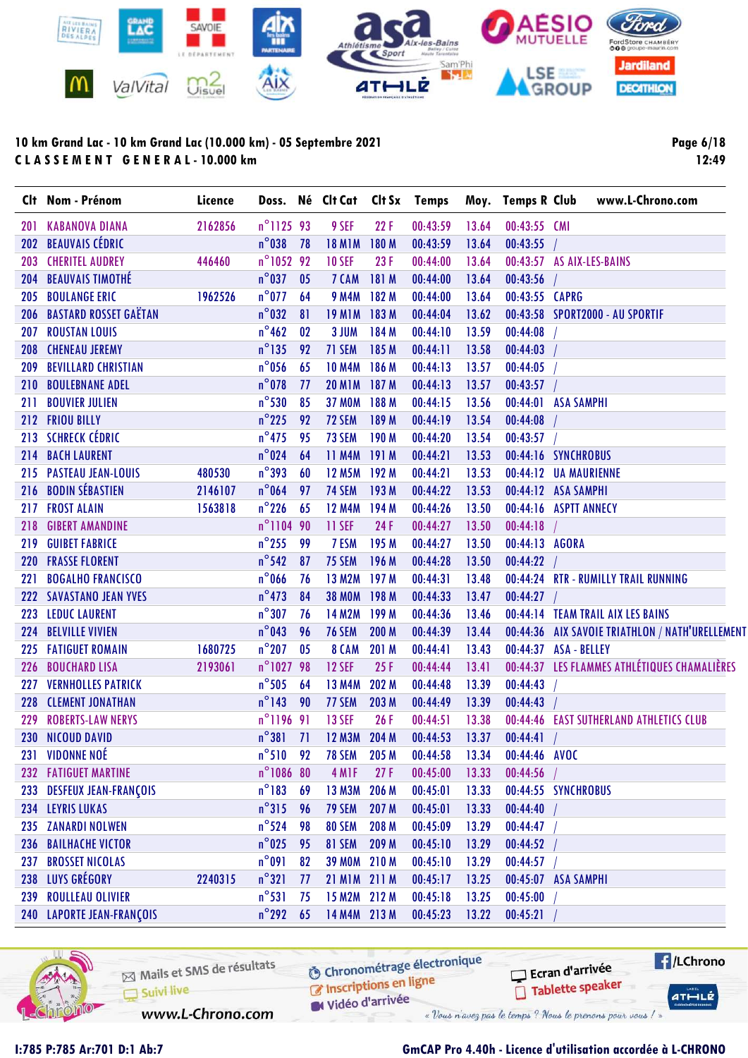

Page 6/18 12:49

| n°112593<br>00:43:59<br>2162856<br>9 SEF<br>22F<br>13.64<br><b>KABANOVA DIANA</b><br>00:43:55 CMI<br>20 I<br><b>BEAUVAIS CÉDRIC</b><br>$n^{\circ}$ 038<br><b>18 M1M</b><br>00:43:59<br>00:43:55<br>78<br>180 M<br>13.64<br>202<br>n°1052 92<br><b>10 SEF</b><br>23F<br>00:44:00<br>13.64<br>00:43:57 AS AIX-LES-BAINS<br><b>CHERITEL AUDREY</b><br>446460<br>203<br>$n^{\circ}$ 037<br><b>BEAUVAIS TIMOTHÉ</b><br>7 CAM<br>00:44:00<br>0 <sub>5</sub><br>181 M<br>13.64<br>00:43:56<br>204<br><b>BOULANGE ERIC</b><br>$n^{\circ}$ 077<br><b>9 M4M</b><br>1962526<br>64<br>182 M<br>00:44:00<br>13.64<br>00:43:55 CAPRG<br>205<br>$n^{\circ}$ 032<br><b>BASTARD ROSSET GAËTAN</b><br><b>19 M1M</b><br>183M<br>00:44:04<br>13.62<br>81<br>00:43:58 SPORT2000 - AU SPORTIF<br>206<br>$n^{\circ}$ 462<br>3 JUM<br>184 M<br>00:44:10<br>00:44:08<br><b>ROUSTAN LOUIS</b><br>02<br>13.59<br>207<br>$n^{\circ}$ 135<br>71 SEM<br>00:44:11<br><b>CHENEAU JEREMY</b><br>92<br>185 M<br>13.58<br>00:44:03<br>208<br>$n^{\circ}$ 056<br>00:44:13<br>00:44:05<br><b>BEVILLARD CHRISTIAN</b><br>65<br><b>10 M4M</b><br>186 M<br>13.57<br>209<br>$n^{\circ}$ 078<br><b>20 M1M</b><br>00:44:13<br>00:43:57<br><b>BOULEBNANE ADEL</b><br>77<br>187 M<br>13.57<br>210<br>$n^{\circ}$ 530<br><b>37 MOM</b><br>188 M<br>00:44:15<br>00:44:01 ASA SAMPHI<br><b>BOUVIER JULIEN</b><br>85<br>13.56<br>211<br>$n^{\circ}$ 225<br>72 SEM<br>00:44:19<br>00:44:08<br>212 FRIOU BILLY<br>92<br>189 M<br>13.54<br><b>SCHRECK CÉDRIC</b><br>$n^{\circ}$ 475<br>73 SEM<br>95<br>00:44:20<br>13.54<br>00:43:57<br>190 M<br>213<br>$n^{\circ}$ 024<br><b>11 M4M</b><br>00:44:21<br><b>BACH LAURENT</b><br>64<br>191 M<br>13.53<br>00:44:16 SYNCHROBUS<br>214<br>$n^{\circ}$ 393<br><b>PASTEAU JEAN-LOUIS</b><br>480530<br>60<br><b>12 M5M</b><br>192 M<br>00:44:21<br>13.53<br>00:44:12 UA MAURIENNE<br>215<br><b>BODIN SÉBASTIEN</b><br>$n^{\circ}$ 064<br>74 SEM<br>00:44:22<br>00:44:12 ASA SAMPHI<br>2146107<br>97<br>193 M<br>13.53<br>216<br>$n^{\circ}$ 226<br><b>FROST ALAIN</b><br><b>12 M4M</b><br>194 M<br>00:44:26<br>00:44:16<br>1563818<br>65<br>13.50<br><b>ASPTT ANNECY</b><br>217<br>n°1104 90<br>11 SEF<br>24F<br>00:44:27<br>00:44:18<br><b>GIBERT AMANDINE</b><br>13.50<br>218<br>$n^{\circ}$ 255<br>99<br>7 ESM<br>00:44:27<br>13.50<br>00:44:13 AGORA<br><b>GUIBET FABRICE</b><br>195 M<br>219<br>$n^{\circ}$ 542<br>75 SEM<br><b>FRASSE FLORENT</b><br>87<br>196 M<br>00:44:28<br>13.50<br>00:44:22<br>220<br>$n^{\circ}$ 066<br><b>13 M2M</b><br>197 <sub>M</sub><br>00:44:31<br>13.48<br>00:44:24 RTR - RUMILLY TRAIL RUNNING<br><b>BOGALHO FRANCISCO</b><br>221<br>76<br>$n^{\circ}$ 473<br>00:44:33<br>00:44:27<br><b>SAVASTANO JEAN YVES</b><br>84<br><b>38 MOM</b><br>198 M<br>13.47<br>222<br>$n^{\circ}307$<br><b>14 M2M</b><br>00:44:36<br><b>LEDUC LAURENT</b><br>76<br>199 M<br>13.46<br>00:44:14 TEAM TRAIL AIX LES BAINS<br>223<br>$n^{\circ}$ 043<br><b>76 SEM</b><br>200 M<br>00:44:39<br>13.44<br>00:44:36 AIX SAVOIE TRIATHLON / NATH'URELLEMENT<br><b>BELVILLE VIVIEN</b><br>96<br>224<br>$n^{\circ}$ 207<br>0 <sub>5</sub><br>8 CAM<br>00:44:41<br>13.43<br><b>FATIGUET ROMAIN</b><br>1680725<br>201 M<br>00:44:37 ASA - BELLEY<br>225<br>n°1027 98<br>00:44:37 LES FLAMMES ATHLÉTIQUES CHAMALIÈRES<br><b>12 SEF</b><br><b>BOUCHARD LISA</b><br>2193061<br>25F<br>00:44:44<br>13.41<br>226<br>$n^{\circ}$ 505<br><b>VERNHOLLES PATRICK</b><br>64<br><b>13 M4M</b><br>202 M<br>00:44:48<br>13.39<br>00:44:43<br>227<br>$n^{\circ}$ 143<br>77 SEM<br>00:44:43<br><b>CLEMENT JONATHAN</b><br>90<br>203 M<br>00:44:49<br>13.39<br>228<br>n°1196 91<br><b>13 SEF</b><br>26F<br><b>ROBERTS-LAW NERYS</b><br>00:44:51<br>13.38<br>00:44:46 EAST SUTHERLAND ATHLETICS CLUB<br>229<br>$n^{\circ}381$ 71<br><b>12 M3M</b><br>204 M<br>00:44:53<br>00:44:41<br>230 NICOUD DAVID<br>13.37<br>$n^{\circ}510$ 92<br><b>VIDONNE NOÉ</b><br>231<br><b>78 SEM</b><br>205 M<br>00:44:58<br>13.34<br>00:44:46 AVOC<br>n°1086 80<br><b>FATIGUET MARTINE</b><br>4 M <sub>IF</sub><br>27F<br>00:45:00<br>00:44:56<br>232<br>13.33<br>$n^{\circ}183$<br>13 M3M<br>206 M<br>00:45:01<br>00:44:55 SYNCHROBUS<br>233 DESFEUX JEAN-FRANÇOIS<br>69<br>13.33<br>$n^{\circ}315$<br>234 LEYRIS LUKAS<br><b>79 SEM</b><br>207 M<br>00:45:01<br>00:44:40<br>96<br>13.33<br>$n^{\circ}$ 524<br><b>80 SEM</b><br>235 ZANARDI NOLWEN<br>98<br>208 M<br>00:45:09<br>13.29<br>00:44:47<br><b>BAILHACHE VICTOR</b> |     | Clt Nom - Prénom | Licence |                 |    | Doss. Né Clt Cat Clt Sx Temps |       |          |       | Moy. Temps R Club | www.L-Chrono.com |
|----------------------------------------------------------------------------------------------------------------------------------------------------------------------------------------------------------------------------------------------------------------------------------------------------------------------------------------------------------------------------------------------------------------------------------------------------------------------------------------------------------------------------------------------------------------------------------------------------------------------------------------------------------------------------------------------------------------------------------------------------------------------------------------------------------------------------------------------------------------------------------------------------------------------------------------------------------------------------------------------------------------------------------------------------------------------------------------------------------------------------------------------------------------------------------------------------------------------------------------------------------------------------------------------------------------------------------------------------------------------------------------------------------------------------------------------------------------------------------------------------------------------------------------------------------------------------------------------------------------------------------------------------------------------------------------------------------------------------------------------------------------------------------------------------------------------------------------------------------------------------------------------------------------------------------------------------------------------------------------------------------------------------------------------------------------------------------------------------------------------------------------------------------------------------------------------------------------------------------------------------------------------------------------------------------------------------------------------------------------------------------------------------------------------------------------------------------------------------------------------------------------------------------------------------------------------------------------------------------------------------------------------------------------------------------------------------------------------------------------------------------------------------------------------------------------------------------------------------------------------------------------------------------------------------------------------------------------------------------------------------------------------------------------------------------------------------------------------------------------------------------------------------------------------------------------------------------------------------------------------------------------------------------------------------------------------------------------------------------------------------------------------------------------------------------------------------------------------------------------------------------------------------------------------------------------------------------------------------------------------------------------------------------------------------------------------------------------------------------------------------------------------------------------------------------------------------------------------------------------------------------------------------------------------------------------------------------------------------------------------------------------------------------------------------------------------------------------------------------------------------------------------------------------------------------------------------------------------------------------------------------------------------------------------------------------------------------------------------------------------------------------------------------------------------------------------------------------------------------------|-----|------------------|---------|-----------------|----|-------------------------------|-------|----------|-------|-------------------|------------------|
|                                                                                                                                                                                                                                                                                                                                                                                                                                                                                                                                                                                                                                                                                                                                                                                                                                                                                                                                                                                                                                                                                                                                                                                                                                                                                                                                                                                                                                                                                                                                                                                                                                                                                                                                                                                                                                                                                                                                                                                                                                                                                                                                                                                                                                                                                                                                                                                                                                                                                                                                                                                                                                                                                                                                                                                                                                                                                                                                                                                                                                                                                                                                                                                                                                                                                                                                                                                                                                                                                                                                                                                                                                                                                                                                                                                                                                                                                                                                                                                                                                                                                                                                                                                                                                                                                                                                                                                                                                                                                        |     |                  |         |                 |    |                               |       |          |       |                   |                  |
|                                                                                                                                                                                                                                                                                                                                                                                                                                                                                                                                                                                                                                                                                                                                                                                                                                                                                                                                                                                                                                                                                                                                                                                                                                                                                                                                                                                                                                                                                                                                                                                                                                                                                                                                                                                                                                                                                                                                                                                                                                                                                                                                                                                                                                                                                                                                                                                                                                                                                                                                                                                                                                                                                                                                                                                                                                                                                                                                                                                                                                                                                                                                                                                                                                                                                                                                                                                                                                                                                                                                                                                                                                                                                                                                                                                                                                                                                                                                                                                                                                                                                                                                                                                                                                                                                                                                                                                                                                                                                        |     |                  |         |                 |    |                               |       |          |       |                   |                  |
|                                                                                                                                                                                                                                                                                                                                                                                                                                                                                                                                                                                                                                                                                                                                                                                                                                                                                                                                                                                                                                                                                                                                                                                                                                                                                                                                                                                                                                                                                                                                                                                                                                                                                                                                                                                                                                                                                                                                                                                                                                                                                                                                                                                                                                                                                                                                                                                                                                                                                                                                                                                                                                                                                                                                                                                                                                                                                                                                                                                                                                                                                                                                                                                                                                                                                                                                                                                                                                                                                                                                                                                                                                                                                                                                                                                                                                                                                                                                                                                                                                                                                                                                                                                                                                                                                                                                                                                                                                                                                        |     |                  |         |                 |    |                               |       |          |       |                   |                  |
|                                                                                                                                                                                                                                                                                                                                                                                                                                                                                                                                                                                                                                                                                                                                                                                                                                                                                                                                                                                                                                                                                                                                                                                                                                                                                                                                                                                                                                                                                                                                                                                                                                                                                                                                                                                                                                                                                                                                                                                                                                                                                                                                                                                                                                                                                                                                                                                                                                                                                                                                                                                                                                                                                                                                                                                                                                                                                                                                                                                                                                                                                                                                                                                                                                                                                                                                                                                                                                                                                                                                                                                                                                                                                                                                                                                                                                                                                                                                                                                                                                                                                                                                                                                                                                                                                                                                                                                                                                                                                        |     |                  |         |                 |    |                               |       |          |       |                   |                  |
|                                                                                                                                                                                                                                                                                                                                                                                                                                                                                                                                                                                                                                                                                                                                                                                                                                                                                                                                                                                                                                                                                                                                                                                                                                                                                                                                                                                                                                                                                                                                                                                                                                                                                                                                                                                                                                                                                                                                                                                                                                                                                                                                                                                                                                                                                                                                                                                                                                                                                                                                                                                                                                                                                                                                                                                                                                                                                                                                                                                                                                                                                                                                                                                                                                                                                                                                                                                                                                                                                                                                                                                                                                                                                                                                                                                                                                                                                                                                                                                                                                                                                                                                                                                                                                                                                                                                                                                                                                                                                        |     |                  |         |                 |    |                               |       |          |       |                   |                  |
|                                                                                                                                                                                                                                                                                                                                                                                                                                                                                                                                                                                                                                                                                                                                                                                                                                                                                                                                                                                                                                                                                                                                                                                                                                                                                                                                                                                                                                                                                                                                                                                                                                                                                                                                                                                                                                                                                                                                                                                                                                                                                                                                                                                                                                                                                                                                                                                                                                                                                                                                                                                                                                                                                                                                                                                                                                                                                                                                                                                                                                                                                                                                                                                                                                                                                                                                                                                                                                                                                                                                                                                                                                                                                                                                                                                                                                                                                                                                                                                                                                                                                                                                                                                                                                                                                                                                                                                                                                                                                        |     |                  |         |                 |    |                               |       |          |       |                   |                  |
|                                                                                                                                                                                                                                                                                                                                                                                                                                                                                                                                                                                                                                                                                                                                                                                                                                                                                                                                                                                                                                                                                                                                                                                                                                                                                                                                                                                                                                                                                                                                                                                                                                                                                                                                                                                                                                                                                                                                                                                                                                                                                                                                                                                                                                                                                                                                                                                                                                                                                                                                                                                                                                                                                                                                                                                                                                                                                                                                                                                                                                                                                                                                                                                                                                                                                                                                                                                                                                                                                                                                                                                                                                                                                                                                                                                                                                                                                                                                                                                                                                                                                                                                                                                                                                                                                                                                                                                                                                                                                        |     |                  |         |                 |    |                               |       |          |       |                   |                  |
|                                                                                                                                                                                                                                                                                                                                                                                                                                                                                                                                                                                                                                                                                                                                                                                                                                                                                                                                                                                                                                                                                                                                                                                                                                                                                                                                                                                                                                                                                                                                                                                                                                                                                                                                                                                                                                                                                                                                                                                                                                                                                                                                                                                                                                                                                                                                                                                                                                                                                                                                                                                                                                                                                                                                                                                                                                                                                                                                                                                                                                                                                                                                                                                                                                                                                                                                                                                                                                                                                                                                                                                                                                                                                                                                                                                                                                                                                                                                                                                                                                                                                                                                                                                                                                                                                                                                                                                                                                                                                        |     |                  |         |                 |    |                               |       |          |       |                   |                  |
|                                                                                                                                                                                                                                                                                                                                                                                                                                                                                                                                                                                                                                                                                                                                                                                                                                                                                                                                                                                                                                                                                                                                                                                                                                                                                                                                                                                                                                                                                                                                                                                                                                                                                                                                                                                                                                                                                                                                                                                                                                                                                                                                                                                                                                                                                                                                                                                                                                                                                                                                                                                                                                                                                                                                                                                                                                                                                                                                                                                                                                                                                                                                                                                                                                                                                                                                                                                                                                                                                                                                                                                                                                                                                                                                                                                                                                                                                                                                                                                                                                                                                                                                                                                                                                                                                                                                                                                                                                                                                        |     |                  |         |                 |    |                               |       |          |       |                   |                  |
|                                                                                                                                                                                                                                                                                                                                                                                                                                                                                                                                                                                                                                                                                                                                                                                                                                                                                                                                                                                                                                                                                                                                                                                                                                                                                                                                                                                                                                                                                                                                                                                                                                                                                                                                                                                                                                                                                                                                                                                                                                                                                                                                                                                                                                                                                                                                                                                                                                                                                                                                                                                                                                                                                                                                                                                                                                                                                                                                                                                                                                                                                                                                                                                                                                                                                                                                                                                                                                                                                                                                                                                                                                                                                                                                                                                                                                                                                                                                                                                                                                                                                                                                                                                                                                                                                                                                                                                                                                                                                        |     |                  |         |                 |    |                               |       |          |       |                   |                  |
|                                                                                                                                                                                                                                                                                                                                                                                                                                                                                                                                                                                                                                                                                                                                                                                                                                                                                                                                                                                                                                                                                                                                                                                                                                                                                                                                                                                                                                                                                                                                                                                                                                                                                                                                                                                                                                                                                                                                                                                                                                                                                                                                                                                                                                                                                                                                                                                                                                                                                                                                                                                                                                                                                                                                                                                                                                                                                                                                                                                                                                                                                                                                                                                                                                                                                                                                                                                                                                                                                                                                                                                                                                                                                                                                                                                                                                                                                                                                                                                                                                                                                                                                                                                                                                                                                                                                                                                                                                                                                        |     |                  |         |                 |    |                               |       |          |       |                   |                  |
|                                                                                                                                                                                                                                                                                                                                                                                                                                                                                                                                                                                                                                                                                                                                                                                                                                                                                                                                                                                                                                                                                                                                                                                                                                                                                                                                                                                                                                                                                                                                                                                                                                                                                                                                                                                                                                                                                                                                                                                                                                                                                                                                                                                                                                                                                                                                                                                                                                                                                                                                                                                                                                                                                                                                                                                                                                                                                                                                                                                                                                                                                                                                                                                                                                                                                                                                                                                                                                                                                                                                                                                                                                                                                                                                                                                                                                                                                                                                                                                                                                                                                                                                                                                                                                                                                                                                                                                                                                                                                        |     |                  |         |                 |    |                               |       |          |       |                   |                  |
|                                                                                                                                                                                                                                                                                                                                                                                                                                                                                                                                                                                                                                                                                                                                                                                                                                                                                                                                                                                                                                                                                                                                                                                                                                                                                                                                                                                                                                                                                                                                                                                                                                                                                                                                                                                                                                                                                                                                                                                                                                                                                                                                                                                                                                                                                                                                                                                                                                                                                                                                                                                                                                                                                                                                                                                                                                                                                                                                                                                                                                                                                                                                                                                                                                                                                                                                                                                                                                                                                                                                                                                                                                                                                                                                                                                                                                                                                                                                                                                                                                                                                                                                                                                                                                                                                                                                                                                                                                                                                        |     |                  |         |                 |    |                               |       |          |       |                   |                  |
|                                                                                                                                                                                                                                                                                                                                                                                                                                                                                                                                                                                                                                                                                                                                                                                                                                                                                                                                                                                                                                                                                                                                                                                                                                                                                                                                                                                                                                                                                                                                                                                                                                                                                                                                                                                                                                                                                                                                                                                                                                                                                                                                                                                                                                                                                                                                                                                                                                                                                                                                                                                                                                                                                                                                                                                                                                                                                                                                                                                                                                                                                                                                                                                                                                                                                                                                                                                                                                                                                                                                                                                                                                                                                                                                                                                                                                                                                                                                                                                                                                                                                                                                                                                                                                                                                                                                                                                                                                                                                        |     |                  |         |                 |    |                               |       |          |       |                   |                  |
|                                                                                                                                                                                                                                                                                                                                                                                                                                                                                                                                                                                                                                                                                                                                                                                                                                                                                                                                                                                                                                                                                                                                                                                                                                                                                                                                                                                                                                                                                                                                                                                                                                                                                                                                                                                                                                                                                                                                                                                                                                                                                                                                                                                                                                                                                                                                                                                                                                                                                                                                                                                                                                                                                                                                                                                                                                                                                                                                                                                                                                                                                                                                                                                                                                                                                                                                                                                                                                                                                                                                                                                                                                                                                                                                                                                                                                                                                                                                                                                                                                                                                                                                                                                                                                                                                                                                                                                                                                                                                        |     |                  |         |                 |    |                               |       |          |       |                   |                  |
|                                                                                                                                                                                                                                                                                                                                                                                                                                                                                                                                                                                                                                                                                                                                                                                                                                                                                                                                                                                                                                                                                                                                                                                                                                                                                                                                                                                                                                                                                                                                                                                                                                                                                                                                                                                                                                                                                                                                                                                                                                                                                                                                                                                                                                                                                                                                                                                                                                                                                                                                                                                                                                                                                                                                                                                                                                                                                                                                                                                                                                                                                                                                                                                                                                                                                                                                                                                                                                                                                                                                                                                                                                                                                                                                                                                                                                                                                                                                                                                                                                                                                                                                                                                                                                                                                                                                                                                                                                                                                        |     |                  |         |                 |    |                               |       |          |       |                   |                  |
|                                                                                                                                                                                                                                                                                                                                                                                                                                                                                                                                                                                                                                                                                                                                                                                                                                                                                                                                                                                                                                                                                                                                                                                                                                                                                                                                                                                                                                                                                                                                                                                                                                                                                                                                                                                                                                                                                                                                                                                                                                                                                                                                                                                                                                                                                                                                                                                                                                                                                                                                                                                                                                                                                                                                                                                                                                                                                                                                                                                                                                                                                                                                                                                                                                                                                                                                                                                                                                                                                                                                                                                                                                                                                                                                                                                                                                                                                                                                                                                                                                                                                                                                                                                                                                                                                                                                                                                                                                                                                        |     |                  |         |                 |    |                               |       |          |       |                   |                  |
|                                                                                                                                                                                                                                                                                                                                                                                                                                                                                                                                                                                                                                                                                                                                                                                                                                                                                                                                                                                                                                                                                                                                                                                                                                                                                                                                                                                                                                                                                                                                                                                                                                                                                                                                                                                                                                                                                                                                                                                                                                                                                                                                                                                                                                                                                                                                                                                                                                                                                                                                                                                                                                                                                                                                                                                                                                                                                                                                                                                                                                                                                                                                                                                                                                                                                                                                                                                                                                                                                                                                                                                                                                                                                                                                                                                                                                                                                                                                                                                                                                                                                                                                                                                                                                                                                                                                                                                                                                                                                        |     |                  |         |                 |    |                               |       |          |       |                   |                  |
|                                                                                                                                                                                                                                                                                                                                                                                                                                                                                                                                                                                                                                                                                                                                                                                                                                                                                                                                                                                                                                                                                                                                                                                                                                                                                                                                                                                                                                                                                                                                                                                                                                                                                                                                                                                                                                                                                                                                                                                                                                                                                                                                                                                                                                                                                                                                                                                                                                                                                                                                                                                                                                                                                                                                                                                                                                                                                                                                                                                                                                                                                                                                                                                                                                                                                                                                                                                                                                                                                                                                                                                                                                                                                                                                                                                                                                                                                                                                                                                                                                                                                                                                                                                                                                                                                                                                                                                                                                                                                        |     |                  |         |                 |    |                               |       |          |       |                   |                  |
|                                                                                                                                                                                                                                                                                                                                                                                                                                                                                                                                                                                                                                                                                                                                                                                                                                                                                                                                                                                                                                                                                                                                                                                                                                                                                                                                                                                                                                                                                                                                                                                                                                                                                                                                                                                                                                                                                                                                                                                                                                                                                                                                                                                                                                                                                                                                                                                                                                                                                                                                                                                                                                                                                                                                                                                                                                                                                                                                                                                                                                                                                                                                                                                                                                                                                                                                                                                                                                                                                                                                                                                                                                                                                                                                                                                                                                                                                                                                                                                                                                                                                                                                                                                                                                                                                                                                                                                                                                                                                        |     |                  |         |                 |    |                               |       |          |       |                   |                  |
|                                                                                                                                                                                                                                                                                                                                                                                                                                                                                                                                                                                                                                                                                                                                                                                                                                                                                                                                                                                                                                                                                                                                                                                                                                                                                                                                                                                                                                                                                                                                                                                                                                                                                                                                                                                                                                                                                                                                                                                                                                                                                                                                                                                                                                                                                                                                                                                                                                                                                                                                                                                                                                                                                                                                                                                                                                                                                                                                                                                                                                                                                                                                                                                                                                                                                                                                                                                                                                                                                                                                                                                                                                                                                                                                                                                                                                                                                                                                                                                                                                                                                                                                                                                                                                                                                                                                                                                                                                                                                        |     |                  |         |                 |    |                               |       |          |       |                   |                  |
|                                                                                                                                                                                                                                                                                                                                                                                                                                                                                                                                                                                                                                                                                                                                                                                                                                                                                                                                                                                                                                                                                                                                                                                                                                                                                                                                                                                                                                                                                                                                                                                                                                                                                                                                                                                                                                                                                                                                                                                                                                                                                                                                                                                                                                                                                                                                                                                                                                                                                                                                                                                                                                                                                                                                                                                                                                                                                                                                                                                                                                                                                                                                                                                                                                                                                                                                                                                                                                                                                                                                                                                                                                                                                                                                                                                                                                                                                                                                                                                                                                                                                                                                                                                                                                                                                                                                                                                                                                                                                        |     |                  |         |                 |    |                               |       |          |       |                   |                  |
|                                                                                                                                                                                                                                                                                                                                                                                                                                                                                                                                                                                                                                                                                                                                                                                                                                                                                                                                                                                                                                                                                                                                                                                                                                                                                                                                                                                                                                                                                                                                                                                                                                                                                                                                                                                                                                                                                                                                                                                                                                                                                                                                                                                                                                                                                                                                                                                                                                                                                                                                                                                                                                                                                                                                                                                                                                                                                                                                                                                                                                                                                                                                                                                                                                                                                                                                                                                                                                                                                                                                                                                                                                                                                                                                                                                                                                                                                                                                                                                                                                                                                                                                                                                                                                                                                                                                                                                                                                                                                        |     |                  |         |                 |    |                               |       |          |       |                   |                  |
|                                                                                                                                                                                                                                                                                                                                                                                                                                                                                                                                                                                                                                                                                                                                                                                                                                                                                                                                                                                                                                                                                                                                                                                                                                                                                                                                                                                                                                                                                                                                                                                                                                                                                                                                                                                                                                                                                                                                                                                                                                                                                                                                                                                                                                                                                                                                                                                                                                                                                                                                                                                                                                                                                                                                                                                                                                                                                                                                                                                                                                                                                                                                                                                                                                                                                                                                                                                                                                                                                                                                                                                                                                                                                                                                                                                                                                                                                                                                                                                                                                                                                                                                                                                                                                                                                                                                                                                                                                                                                        |     |                  |         |                 |    |                               |       |          |       |                   |                  |
|                                                                                                                                                                                                                                                                                                                                                                                                                                                                                                                                                                                                                                                                                                                                                                                                                                                                                                                                                                                                                                                                                                                                                                                                                                                                                                                                                                                                                                                                                                                                                                                                                                                                                                                                                                                                                                                                                                                                                                                                                                                                                                                                                                                                                                                                                                                                                                                                                                                                                                                                                                                                                                                                                                                                                                                                                                                                                                                                                                                                                                                                                                                                                                                                                                                                                                                                                                                                                                                                                                                                                                                                                                                                                                                                                                                                                                                                                                                                                                                                                                                                                                                                                                                                                                                                                                                                                                                                                                                                                        |     |                  |         |                 |    |                               |       |          |       |                   |                  |
|                                                                                                                                                                                                                                                                                                                                                                                                                                                                                                                                                                                                                                                                                                                                                                                                                                                                                                                                                                                                                                                                                                                                                                                                                                                                                                                                                                                                                                                                                                                                                                                                                                                                                                                                                                                                                                                                                                                                                                                                                                                                                                                                                                                                                                                                                                                                                                                                                                                                                                                                                                                                                                                                                                                                                                                                                                                                                                                                                                                                                                                                                                                                                                                                                                                                                                                                                                                                                                                                                                                                                                                                                                                                                                                                                                                                                                                                                                                                                                                                                                                                                                                                                                                                                                                                                                                                                                                                                                                                                        |     |                  |         |                 |    |                               |       |          |       |                   |                  |
|                                                                                                                                                                                                                                                                                                                                                                                                                                                                                                                                                                                                                                                                                                                                                                                                                                                                                                                                                                                                                                                                                                                                                                                                                                                                                                                                                                                                                                                                                                                                                                                                                                                                                                                                                                                                                                                                                                                                                                                                                                                                                                                                                                                                                                                                                                                                                                                                                                                                                                                                                                                                                                                                                                                                                                                                                                                                                                                                                                                                                                                                                                                                                                                                                                                                                                                                                                                                                                                                                                                                                                                                                                                                                                                                                                                                                                                                                                                                                                                                                                                                                                                                                                                                                                                                                                                                                                                                                                                                                        |     |                  |         |                 |    |                               |       |          |       |                   |                  |
|                                                                                                                                                                                                                                                                                                                                                                                                                                                                                                                                                                                                                                                                                                                                                                                                                                                                                                                                                                                                                                                                                                                                                                                                                                                                                                                                                                                                                                                                                                                                                                                                                                                                                                                                                                                                                                                                                                                                                                                                                                                                                                                                                                                                                                                                                                                                                                                                                                                                                                                                                                                                                                                                                                                                                                                                                                                                                                                                                                                                                                                                                                                                                                                                                                                                                                                                                                                                                                                                                                                                                                                                                                                                                                                                                                                                                                                                                                                                                                                                                                                                                                                                                                                                                                                                                                                                                                                                                                                                                        |     |                  |         |                 |    |                               |       |          |       |                   |                  |
|                                                                                                                                                                                                                                                                                                                                                                                                                                                                                                                                                                                                                                                                                                                                                                                                                                                                                                                                                                                                                                                                                                                                                                                                                                                                                                                                                                                                                                                                                                                                                                                                                                                                                                                                                                                                                                                                                                                                                                                                                                                                                                                                                                                                                                                                                                                                                                                                                                                                                                                                                                                                                                                                                                                                                                                                                                                                                                                                                                                                                                                                                                                                                                                                                                                                                                                                                                                                                                                                                                                                                                                                                                                                                                                                                                                                                                                                                                                                                                                                                                                                                                                                                                                                                                                                                                                                                                                                                                                                                        |     |                  |         |                 |    |                               |       |          |       |                   |                  |
|                                                                                                                                                                                                                                                                                                                                                                                                                                                                                                                                                                                                                                                                                                                                                                                                                                                                                                                                                                                                                                                                                                                                                                                                                                                                                                                                                                                                                                                                                                                                                                                                                                                                                                                                                                                                                                                                                                                                                                                                                                                                                                                                                                                                                                                                                                                                                                                                                                                                                                                                                                                                                                                                                                                                                                                                                                                                                                                                                                                                                                                                                                                                                                                                                                                                                                                                                                                                                                                                                                                                                                                                                                                                                                                                                                                                                                                                                                                                                                                                                                                                                                                                                                                                                                                                                                                                                                                                                                                                                        |     |                  |         |                 |    |                               |       |          |       |                   |                  |
|                                                                                                                                                                                                                                                                                                                                                                                                                                                                                                                                                                                                                                                                                                                                                                                                                                                                                                                                                                                                                                                                                                                                                                                                                                                                                                                                                                                                                                                                                                                                                                                                                                                                                                                                                                                                                                                                                                                                                                                                                                                                                                                                                                                                                                                                                                                                                                                                                                                                                                                                                                                                                                                                                                                                                                                                                                                                                                                                                                                                                                                                                                                                                                                                                                                                                                                                                                                                                                                                                                                                                                                                                                                                                                                                                                                                                                                                                                                                                                                                                                                                                                                                                                                                                                                                                                                                                                                                                                                                                        |     |                  |         |                 |    |                               |       |          |       |                   |                  |
|                                                                                                                                                                                                                                                                                                                                                                                                                                                                                                                                                                                                                                                                                                                                                                                                                                                                                                                                                                                                                                                                                                                                                                                                                                                                                                                                                                                                                                                                                                                                                                                                                                                                                                                                                                                                                                                                                                                                                                                                                                                                                                                                                                                                                                                                                                                                                                                                                                                                                                                                                                                                                                                                                                                                                                                                                                                                                                                                                                                                                                                                                                                                                                                                                                                                                                                                                                                                                                                                                                                                                                                                                                                                                                                                                                                                                                                                                                                                                                                                                                                                                                                                                                                                                                                                                                                                                                                                                                                                                        |     |                  |         |                 |    |                               |       |          |       |                   |                  |
|                                                                                                                                                                                                                                                                                                                                                                                                                                                                                                                                                                                                                                                                                                                                                                                                                                                                                                                                                                                                                                                                                                                                                                                                                                                                                                                                                                                                                                                                                                                                                                                                                                                                                                                                                                                                                                                                                                                                                                                                                                                                                                                                                                                                                                                                                                                                                                                                                                                                                                                                                                                                                                                                                                                                                                                                                                                                                                                                                                                                                                                                                                                                                                                                                                                                                                                                                                                                                                                                                                                                                                                                                                                                                                                                                                                                                                                                                                                                                                                                                                                                                                                                                                                                                                                                                                                                                                                                                                                                                        |     |                  |         |                 |    |                               |       |          |       |                   |                  |
|                                                                                                                                                                                                                                                                                                                                                                                                                                                                                                                                                                                                                                                                                                                                                                                                                                                                                                                                                                                                                                                                                                                                                                                                                                                                                                                                                                                                                                                                                                                                                                                                                                                                                                                                                                                                                                                                                                                                                                                                                                                                                                                                                                                                                                                                                                                                                                                                                                                                                                                                                                                                                                                                                                                                                                                                                                                                                                                                                                                                                                                                                                                                                                                                                                                                                                                                                                                                                                                                                                                                                                                                                                                                                                                                                                                                                                                                                                                                                                                                                                                                                                                                                                                                                                                                                                                                                                                                                                                                                        |     |                  |         |                 |    |                               |       |          |       |                   |                  |
|                                                                                                                                                                                                                                                                                                                                                                                                                                                                                                                                                                                                                                                                                                                                                                                                                                                                                                                                                                                                                                                                                                                                                                                                                                                                                                                                                                                                                                                                                                                                                                                                                                                                                                                                                                                                                                                                                                                                                                                                                                                                                                                                                                                                                                                                                                                                                                                                                                                                                                                                                                                                                                                                                                                                                                                                                                                                                                                                                                                                                                                                                                                                                                                                                                                                                                                                                                                                                                                                                                                                                                                                                                                                                                                                                                                                                                                                                                                                                                                                                                                                                                                                                                                                                                                                                                                                                                                                                                                                                        |     |                  |         |                 |    |                               |       |          |       |                   |                  |
|                                                                                                                                                                                                                                                                                                                                                                                                                                                                                                                                                                                                                                                                                                                                                                                                                                                                                                                                                                                                                                                                                                                                                                                                                                                                                                                                                                                                                                                                                                                                                                                                                                                                                                                                                                                                                                                                                                                                                                                                                                                                                                                                                                                                                                                                                                                                                                                                                                                                                                                                                                                                                                                                                                                                                                                                                                                                                                                                                                                                                                                                                                                                                                                                                                                                                                                                                                                                                                                                                                                                                                                                                                                                                                                                                                                                                                                                                                                                                                                                                                                                                                                                                                                                                                                                                                                                                                                                                                                                                        | 236 |                  |         | $n^{\circ}$ 025 | 95 | 81 SEM                        | 209 M | 00:45:10 | 13.29 | 00:44:52          |                  |
| $n^{\circ}091$<br><b>BROSSET NICOLAS</b><br>39 MOM 210 M<br>00:45:10<br>00:44:57<br>82<br>13.29<br>237                                                                                                                                                                                                                                                                                                                                                                                                                                                                                                                                                                                                                                                                                                                                                                                                                                                                                                                                                                                                                                                                                                                                                                                                                                                                                                                                                                                                                                                                                                                                                                                                                                                                                                                                                                                                                                                                                                                                                                                                                                                                                                                                                                                                                                                                                                                                                                                                                                                                                                                                                                                                                                                                                                                                                                                                                                                                                                                                                                                                                                                                                                                                                                                                                                                                                                                                                                                                                                                                                                                                                                                                                                                                                                                                                                                                                                                                                                                                                                                                                                                                                                                                                                                                                                                                                                                                                                                 |     |                  |         |                 |    |                               |       |          |       |                   |                  |
| LUYS GRÉGORY<br>$n^{\circ}321$<br>238<br>2240315<br>21 MIM 211 M<br>00:45:17<br>00:45:07 ASA SAMPHI<br>13.25<br>77                                                                                                                                                                                                                                                                                                                                                                                                                                                                                                                                                                                                                                                                                                                                                                                                                                                                                                                                                                                                                                                                                                                                                                                                                                                                                                                                                                                                                                                                                                                                                                                                                                                                                                                                                                                                                                                                                                                                                                                                                                                                                                                                                                                                                                                                                                                                                                                                                                                                                                                                                                                                                                                                                                                                                                                                                                                                                                                                                                                                                                                                                                                                                                                                                                                                                                                                                                                                                                                                                                                                                                                                                                                                                                                                                                                                                                                                                                                                                                                                                                                                                                                                                                                                                                                                                                                                                                     |     |                  |         |                 |    |                               |       |          |       |                   |                  |
| $n^{\circ}531$<br>239 ROULLEAU OLIVIER<br>15 M2M 212 M<br>00:45:18<br>00:45:00<br>75<br>13.25                                                                                                                                                                                                                                                                                                                                                                                                                                                                                                                                                                                                                                                                                                                                                                                                                                                                                                                                                                                                                                                                                                                                                                                                                                                                                                                                                                                                                                                                                                                                                                                                                                                                                                                                                                                                                                                                                                                                                                                                                                                                                                                                                                                                                                                                                                                                                                                                                                                                                                                                                                                                                                                                                                                                                                                                                                                                                                                                                                                                                                                                                                                                                                                                                                                                                                                                                                                                                                                                                                                                                                                                                                                                                                                                                                                                                                                                                                                                                                                                                                                                                                                                                                                                                                                                                                                                                                                          |     |                  |         |                 |    |                               |       |          |       |                   |                  |
| $n^{\circ}292$ 65<br>240 LAPORTE JEAN-FRANÇOIS<br>14 M4M 213 M<br>00:45:23<br>13.22<br>00:45:21                                                                                                                                                                                                                                                                                                                                                                                                                                                                                                                                                                                                                                                                                                                                                                                                                                                                                                                                                                                                                                                                                                                                                                                                                                                                                                                                                                                                                                                                                                                                                                                                                                                                                                                                                                                                                                                                                                                                                                                                                                                                                                                                                                                                                                                                                                                                                                                                                                                                                                                                                                                                                                                                                                                                                                                                                                                                                                                                                                                                                                                                                                                                                                                                                                                                                                                                                                                                                                                                                                                                                                                                                                                                                                                                                                                                                                                                                                                                                                                                                                                                                                                                                                                                                                                                                                                                                                                        |     |                  |         |                 |    |                               |       |          |       |                   |                  |



Mails et SMS de résultats Suivi live

**6** Chronométrage électronique

Vidéo d'arrivée « Vous n'avez pas le temps ? Nous le prenons pour vous / »

C Inscriptions en ligne

 $H/LChrono$ Ecran d'arrivée Tablette speaker  $ATHLE$ 

www.L-Chrono.com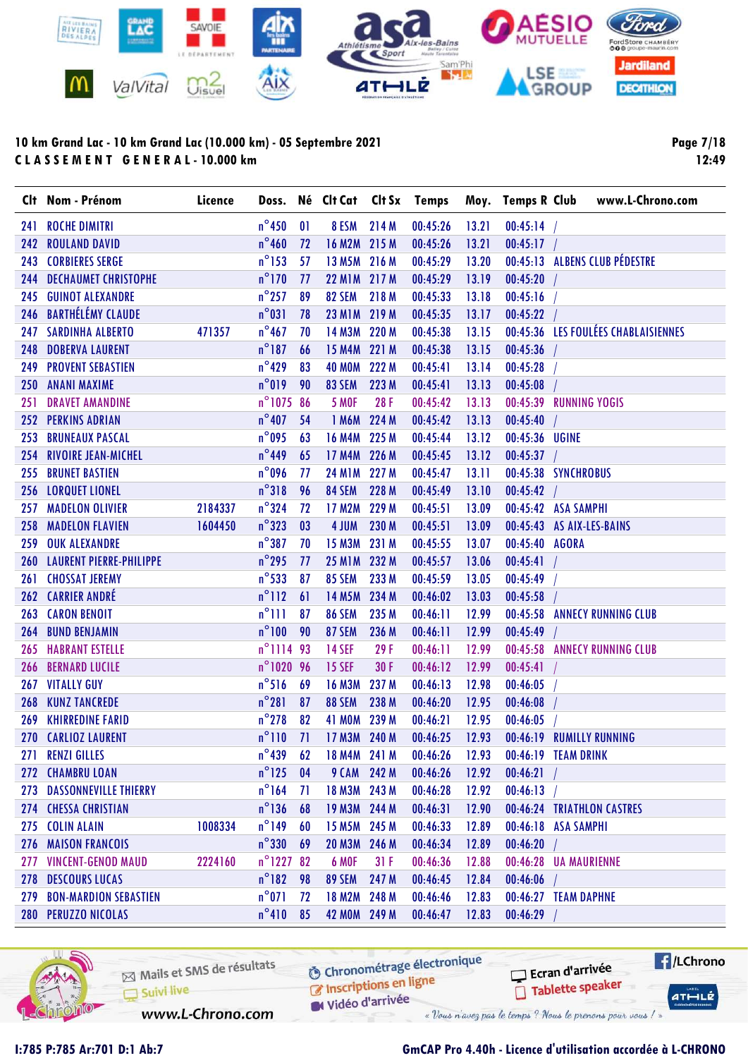

Page 7/18 12:49

|     | Clt Nom - Prénom             | Licence |                   |    | Doss. Né Clt Cat Clt Sx Temps |       |          |       |                | Moy. Temps R Club www.L-Chrono.com  |
|-----|------------------------------|---------|-------------------|----|-------------------------------|-------|----------|-------|----------------|-------------------------------------|
| 241 | <b>ROCHE DIMITRI</b>         |         | $n^{\circ}$ 450   | 01 | 8 ESM                         | 214 M | 00:45:26 | 13.21 | 00:45:14       |                                     |
| 242 | <b>ROULAND DAVID</b>         |         | $n^{\circ}$ 460   | 72 | 16 M2M 215 M                  |       | 00:45:26 | 13.21 | 00:45:17       |                                     |
|     | 243 CORBIERES SERGE          |         | $n^{\circ}$ 153   | 57 | <b>13 M5M</b>                 | 216 M | 00:45:29 | 13.20 |                | 00:45:13 ALBENS CLUB PÉDESTRE       |
| 244 | <b>DECHAUMET CHRISTOPHE</b>  |         | $n^{\circ}$ 170   | 77 | 22 M1M 217 M                  |       | 00:45:29 | 13.19 | 00:45:20       |                                     |
| 245 | <b>GUINOT ALEXANDRE</b>      |         | $n^{\circ}$ 257   | 89 | 82 SEM                        | 218 M | 00:45:33 | 13.18 | 00:45:16       |                                     |
|     | 246 BARTHÉLÉMY CLAUDE        |         | $n^{\circ}031$    | 78 | <b>23 M1M</b>                 | 219 M | 00:45:35 | 13.17 | 00:45:22       |                                     |
|     | 247 SARDINHA ALBERTO         | 471357  | $n^{\circ}467$    | 70 | 14 M3M 220 M                  |       | 00:45:38 | 13.15 |                | 00:45:36 LES FOULÉES CHABLAISIENNES |
| 248 | <b>DOBERVA LAURENT</b>       |         | $n^{\circ}187$    | 66 | <b>15 M4M</b>                 | 221 M | 00:45:38 | 13.15 | 00:45:36       |                                     |
|     | <b>249 PROVENT SEBASTIEN</b> |         | $n^{\circ}$ 429   | 83 | <b>40 MOM</b>                 | 222 M | 00:45:41 | 13.14 | 00:45:28       |                                     |
| 250 | <b>ANANI MAXIME</b>          |         | $n^{\circ}019$    | 90 | 83 SEM                        | 223 M | 00:45:41 | 13.13 | 00:45:08       |                                     |
| 251 | <b>DRAVET AMANDINE</b>       |         | $n^{\circ}$ 1075  | 86 | <b>5 MOF</b>                  | 28F   | 00:45:42 | 13.13 |                | 00:45:39 RUNNING YOGIS              |
|     | 252 PERKINS ADRIAN           |         | $n^{\circ}$ 407   | 54 | 1 M6M                         | 224 M | 00:45:42 | 13.13 | 00:45:40       |                                     |
| 253 | <b>BRUNEAUX PASCAL</b>       |         | $n^{\circ}$ 095   | 63 | 16 M4M 225 M                  |       | 00:45:44 | 13.12 | 00:45:36 UGINE |                                     |
| 254 | <b>RIVOIRE JEAN-MICHEL</b>   |         | $n^{\circ}$ 449   | 65 | 17 M4M                        | 226 M | 00:45:45 | 13.12 | $00:45:37$ /   |                                     |
| 255 | <b>BRUNET BASTIEN</b>        |         | $n^{\circ}$ 096   | 77 | <b>24 M1M</b>                 | 227 M | 00:45:47 | 13.11 |                | 00:45:38 SYNCHROBUS                 |
|     | 256 LORQUET LIONEL           |         | $n^{\circ}318$    | 96 | 84 SEM                        | 228 M | 00:45:49 | 13.10 | 00:45:42       |                                     |
| 257 | <b>MADELON OLIVIER</b>       | 2184337 | $n^{\circ}324$    | 72 | <b>17 M2M</b>                 | 229 M | 00:45:51 | 13.09 |                | 00:45:42 ASA SAMPHI                 |
| 258 | <b>MADELON FLAVIEN</b>       | 1604450 | $n^{\circ}323$    | 03 | 4 JUM                         | 230 M | 00:45:51 | 13.09 |                | 00:45:43 AS AIX-LES-BAINS           |
| 259 | <b>OUK ALEXANDRE</b>         |         | $n^{\circ}387$    | 70 | 15 M3M                        | 231 M | 00:45:55 | 13.07 | 00:45:40 AGORA |                                     |
|     | 260 LAURENT PIERRE-PHILIPPE  |         | $n^{\circ}$ 295   | 77 | <b>25 M1M</b>                 | 232 M | 00:45:57 | 13.06 | $00:45:41$ /   |                                     |
| 261 | <b>CHOSSAT JEREMY</b>        |         | $n^{\circ}$ 533   | 87 | <b>85 SEM</b>                 | 233 M | 00:45:59 | 13.05 | 00:45:49       |                                     |
|     | 262 CARRIER ANDRÉ            |         | $n^{\circ}112$    | 61 | <b>14 M5M</b>                 | 234 M | 00:46:02 | 13.03 | 00:45:58       |                                     |
| 263 | <b>CARON BENOIT</b>          |         | $n^{\circ}$ 111   | 87 | <b>86 SEM</b>                 | 235 M | 00:46:11 | 12.99 |                | 00:45:58 ANNECY RUNNING CLUB        |
| 264 | <b>BUND BENJAMIN</b>         |         | $n^{\circ}100$    | 90 | <b>87 SEM</b>                 | 236 M | 00:46:11 | 12.99 | 00:45:49       |                                     |
| 265 | <b>HABRANT ESTELLE</b>       |         | n°1114 93         |    | <b>14 SEF</b>                 | 29 F  | 00:46:11 | 12.99 |                | 00:45:58 ANNECY RUNNING CLUB        |
| 266 | <b>BERNARD LUCILE</b>        |         | n°1020 96         |    | <b>15 SEF</b>                 | 30 F  | 00:46:12 | 12.99 | 00:45:41       |                                     |
| 267 | <b>VITALLY GUY</b>           |         | $n^{\circ}$ 516   | 69 | <b>16 M3M</b>                 | 237 M | 00:46:13 | 12.98 | 00:46:05       |                                     |
| 268 | <b>KUNZ TANCREDE</b>         |         | $n^{\circ}281$    | 87 | 88 SEM                        | 238 M | 00:46:20 | 12.95 | 00:46:08       |                                     |
| 269 | <b>KHIRREDINE FARID</b>      |         | $n^{\circ}$ 278   | 82 | <b>41 MOM</b>                 | 239 M | 00:46:21 | 12.95 | 00:46:05       |                                     |
|     | 270 CARLIOZ LAURENT          |         | $n^{\circ}110$    | 71 | 17 M3M 240 M                  |       | 00:46:25 | 12.93 |                | 00:46:19 RUMILLY RUNNING            |
|     | 271 RENZI GILLES             |         | $n^{\circ}439$ 62 |    | 18 M4M 241 M                  |       | 00:46:26 | 12.93 |                | 00:46:19 TEAM DRINK                 |
|     | 272 CHAMBRU LOAN             |         | $n^{\circ}$ 125   | 04 | 9 CAM 242 M                   |       | 00:46:26 | 12.92 | 00:46:21       |                                     |
|     | 273 DASSONNEVILLE THIERRY    |         | $n^{\circ}164$    | 71 | 18 M3M 243 M                  |       | 00:46:28 | 12.92 | 00:46:13       |                                     |
|     | 274 CHESSA CHRISTIAN         |         | $n^{\circ}$ 136   | 68 | 19 M3M 244 M                  |       | 00:46:31 | 12.90 |                | 00:46:24 TRIATHLON CASTRES          |
|     | 275 COLIN ALAIN              | 1008334 | $n^{\circ}$ 149   | 60 | 15 M5M 245 M                  |       | 00:46:33 | 12.89 |                | 00:46:18 ASA SAMPHI                 |
|     | 276 MAISON FRANCOIS          |         | $n^{\circ}$ 330   | 69 | 20 M3M 246 M                  |       | 00:46:34 | 12.89 | $00:46:20$ /   |                                     |
|     | 277 VINCENT-GENOD MAUD       | 2224160 | $n^{\circ}$ 1227  | 82 | 6 MOF                         | 31F   | 00:46:36 | 12.88 |                | 00:46:28 UA MAURIENNE               |
|     | 278 DESCOURS LUCAS           |         | $n^{\circ}$ 182   | 98 | <b>89 SEM</b>                 | 247 M | 00:46:45 | 12.84 | $00:46:06$ /   |                                     |
|     | 279 BON-MARDION SEBASTIEN    |         | $n^{\circ}$ 071   | 72 | 18 M2M 248 M                  |       | 00:46:46 | 12.83 |                | 00:46:27 TEAM DAPHNE                |
|     | 280 PERUZZO NICOLAS          |         | $n^{\circ}410$    | 85 | 42 MOM 249 M                  |       | 00:46:47 | 12.83 | 00:46:29       |                                     |



Mails et SMS de résultats Suivi live

**6** Chronométrage électronique

Vidéo d'arrivée « Vous n'avez pas le temps ? Nous le prenons pour vous / »

www.L-Chrono.com

Inscriptions en ligne

**E**/LChrono Ecran d'arrivée Tablette speaker  $ATHLE$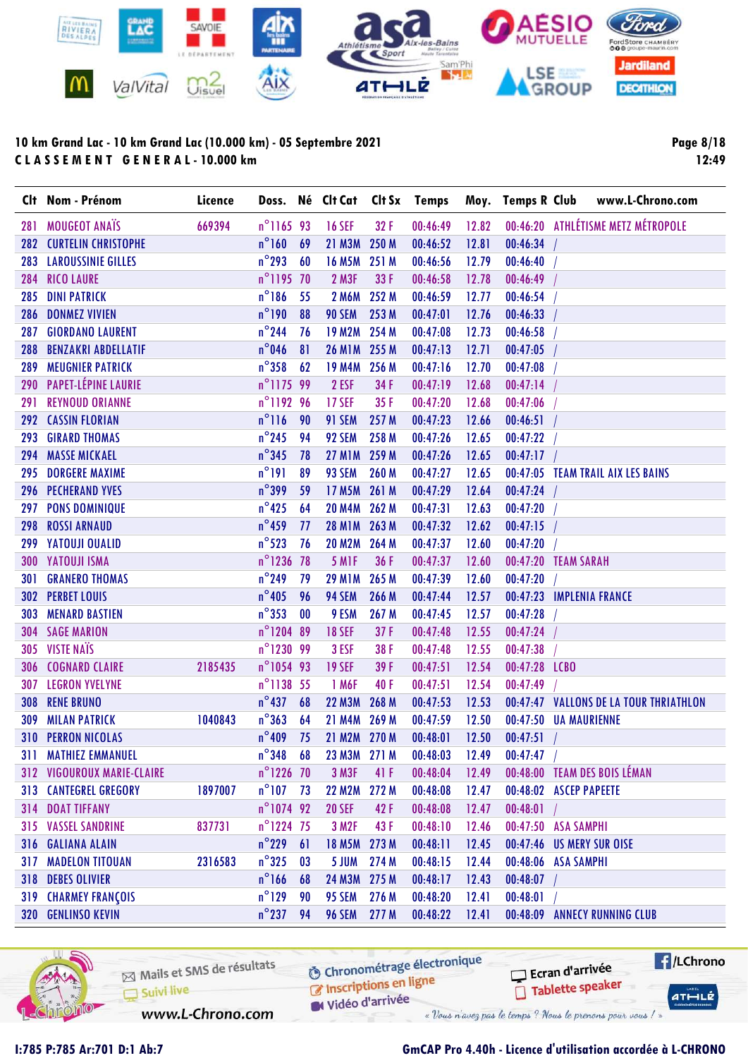

Page 8/18 12:49

|     | Clt Nom - Prénom                  | Licence |                     |      | Doss. Né Clt Cat Clt Sx Temps |       |          |       | Moy. Temps R Club | www.L-Chrono.com                       |
|-----|-----------------------------------|---------|---------------------|------|-------------------------------|-------|----------|-------|-------------------|----------------------------------------|
| 281 | <b>MOUGEOT ANAIS</b>              | 669394  | n°1165 93           |      | <b>16 SEF</b>                 | 32 F  | 00:46:49 | 12.82 |                   | 00:46:20 ATHLÉTISME METZ MÉTROPOLE     |
|     | 282 CURTELIN CHRISTOPHE           |         | $n^{\circ}$ 160     | 69   | 21 M3M                        | 250 M | 00:46:52 | 12.81 | 00:46:34          |                                        |
| 283 | <b>LAROUSSINIE GILLES</b>         |         | $n^{\circ}$ 293     | 60   | <b>16 M5M</b>                 | 251 M | 00:46:56 | 12.79 | 00:46:40          |                                        |
| 284 | <b>RICO LAURE</b>                 |         | n°1195 70           |      | <b>2 M3F</b>                  | 33 F  | 00:46:58 | 12.78 | 00:46:49          |                                        |
| 285 | <b>DINI PATRICK</b>               |         | $n^{\circ}$ 186     | 55   | <b>2 M6M</b>                  | 252 M | 00:46:59 | 12.77 | 00:46:54          |                                        |
| 286 | <b>DONMEZ VIVIEN</b>              |         | $n^{\circ}$ 190     | 88   | <b>90 SEM</b>                 | 253 M | 00:47:01 | 12.76 | 00:46:33          |                                        |
| 287 | <b>GIORDANO LAURENT</b>           |         | $n^{\circ}$ 244     | 76   | <b>19 M2M</b>                 | 254 M | 00:47:08 | 12.73 | 00:46:58          |                                        |
| 288 | <b>BENZAKRI ABDELLATIF</b>        |         | $n^{\circ}$ 046     | 81   | 26 M1M 255 M                  |       | 00:47:13 | 12.71 | 00:47:05          |                                        |
| 289 | <b>MEUGNIER PATRICK</b>           |         | $n^{\circ}358$      | 62   | <b>19 M4M</b>                 | 256 M | 00:47:16 | 12.70 | 00:47:08          |                                        |
| 290 | PAPET-LÉPINE LAURIE               |         | n°117599            |      | 2 ESF                         | 34 F  | 00:47:19 | 12.68 | 00:47:14          |                                        |
| 291 | <b>REYNOUD ORIANNE</b>            |         | n°1192 96           |      | <b>17 SEF</b>                 | 35F   | 00:47:20 | 12.68 | 00:47:06          |                                        |
| 292 | <b>CASSIN FLORIAN</b>             |         | $n^{\circ}116$      | 90   | 91 SEM                        | 257 M | 00:47:23 | 12.66 | 00:46:51          |                                        |
| 293 | <b>GIRARD THOMAS</b>              |         | $n^{\circ}$ 245     | 94   | 92 SEM                        | 258 M | 00:47:26 | 12.65 | 00:47:22          |                                        |
| 294 | <b>MASSE MICKAEL</b>              |         | $n^{\circ}345$      | 78   | <b>27 M1M</b>                 | 259 M | 00:47:26 | 12.65 | 00:47:17          |                                        |
| 295 | <b>DORGERE MAXIME</b>             |         | $n^{\circ}191$      | 89   | 93 SEM                        | 260 M | 00:47:27 | 12.65 |                   | 00:47:05 TEAM TRAIL AIX LES BAINS      |
| 296 | <b>PECHERAND YVES</b>             |         | $n^{\circ}$ 399     | 59   | <b>17 M5M</b>                 | 261 M | 00:47:29 | 12.64 | 00:47:24          |                                        |
| 297 | <b>PONS DOMINIQUE</b>             |         | $n^{\circ}$ 425     | 64   | <b>20 M4M</b>                 | 262 M | 00:47:31 | 12.63 | 00:47:20          |                                        |
| 298 | <b>ROSSI ARNAUD</b>               |         | $n^{\circ}$ 459     | 77   | 28 M1M 263 M                  |       | 00:47:32 | 12.62 | 00:47:15          |                                        |
| 299 | YATOUJI OUALID                    |         | $n^{\circ}$ 523     | 76   | <b>20 M2M</b>                 | 264 M | 00:47:37 | 12.60 | 00:47:20          |                                        |
| 300 | <b>YATOUJI ISMA</b>               |         | n°1236 78           |      | 5 M <sub>IF</sub>             | 36 F  | 00:47:37 | 12.60 |                   | 00:47:20 TEAM SARAH                    |
| 301 | <b>GRANERO THOMAS</b>             |         | $n^{\circ}$ 249     | 79   | <b>29 M1M</b>                 | 265 M | 00:47:39 | 12.60 | 00:47:20          |                                        |
| 302 | <b>PERBET LOUIS</b>               |         | $n^{\circ}$ 405     | 96   | 94 SEM                        | 266 M | 00:47:44 | 12.57 |                   | 00:47:23 IMPLENIA FRANCE               |
| 303 | <b>MENARD BASTIEN</b>             |         | $n^{\circ}353$      | 00   | 9 ESM                         | 267 M | 00:47:45 | 12.57 | 00:47:28          |                                        |
| 304 | <b>SAGE MARION</b>                |         | n°1204 89           |      | <b>18 SEF</b>                 | 37F   | 00:47:48 | 12.55 | 00:47:24          |                                        |
| 305 | <b>VISTE NAÏS</b>                 |         | n°1230 99           |      | 3 ESF                         | 38 F  | 00:47:48 | 12.55 | 00:47:38          |                                        |
| 306 | <b>COGNARD CLAIRE</b>             | 2185435 | n°1054 93           |      | <b>19 SEF</b>                 | 39 F  | 00:47:51 | 12.54 | 00:47:28 LCBO     |                                        |
| 307 | <b>LEGRON YVELYNE</b>             |         | n°1138 55           |      | 1 M6F                         | 40 F  | 00:47:51 | 12.54 | 00:47:49          |                                        |
| 308 | <b>RENE BRUNO</b>                 |         | $n^{\circ}$ 437     | 68   | <b>22 M3M</b>                 | 268 M | 00:47:53 | 12.53 |                   | 00:47:47 VALLONS DE LA TOUR THRIATHLON |
| 309 | <b>MILAN PATRICK</b>              | 1040843 | $n^{\circ}363$      | 64   | <b>21 M4M</b>                 | 269 M | 00:47:59 | 12.50 |                   | 00:47:50 UA MAURIENNE                  |
|     | <b>310 PERRON NICOLAS</b>         |         | $n^{\circ}$ 409     | 75   | 21 M2M 270 M                  |       | 00:48:01 | 12.50 | 00:47:51          |                                        |
|     | <b>311 MATHIEZ EMMANUEL</b>       |         | $n^{\circ}348$ 68   |      | 23 M3M 271 M                  |       | 00:48:03 | 12.49 | 00:47:47          |                                        |
|     | <b>312 VIGOUROUX MARIE-CLAIRE</b> |         | n°1226 70           |      | <b>3 M3F</b>                  | 41 F  | 00:48:04 | 12.49 |                   | 00:48:00 TEAM DES BOIS LÉMAN           |
|     | <b>313 CANTEGREL GREGORY</b>      | 1897007 | $n^{\circ}$ 107 73  |      | 22 M2M 272 M                  |       | 00:48:08 | 12.47 |                   | 00:48:02 ASCEP PAPEETE                 |
|     | 314 DOAT TIFFANY                  |         | n°1074 92           |      | <b>20 SEF</b>                 | 42 F  | 00:48:08 | 12.47 | 00:48:01          |                                        |
|     | <b>315 VASSEL SANDRINE</b>        | 837731  | $n^{\circ}$ 1224 75 |      | 3 M2F                         | 43 F  | 00:48:10 | 12.46 |                   | 00:47:50 ASA SAMPHI                    |
|     | 316 GALIANA ALAIN                 |         | $n^{\circ}$ 229     | 61   | 18 M5M 273 M                  |       | 00:48:11 | 12.45 |                   | 00:47:46 US MERY SUR OISE              |
|     | <b>317 MADELON TITOUAN</b>        | 2316583 | $n^{\circ}325$      | 03   | 5 JUM                         | 274 M | 00:48:15 | 12.44 |                   | 00:48:06 ASA SAMPHI                    |
|     | 318 DEBES OLIVIER                 |         | $n^{\circ}$ 166     | 68   | 24 M3M 275 M                  |       | 00:48:17 | 12.43 | 00:48:07          |                                        |
|     | <b>319 CHARMEY FRANÇOIS</b>       |         | $n^{\circ}$ 129     | 90   | 95 SEM                        | 276 M | 00:48:20 | 12.41 | 00:48:01          |                                        |
|     | 320 GENLINSO KEVIN                |         | $n^{\circ}$ 237     | - 94 | <b>96 SEM</b>                 | 277 M | 00:48:22 | 12.41 |                   | 00:48:09 ANNECY RUNNING CLUB           |



Mails et SMS de résultats Suivi live

**6** Chronométrage électronique C Inscriptions en ligne

Vidéo d'arrivée

www.L-Chrono.com

« Vous n'avez pas le temps ? Nous le prenons pour vous / »

## I:785 P:785 Ar:701 D:1 Ab:7 GmCAP Pro 4.40h - Licence d'utilisation accordée à L-CHRONO

Ecran d'arrivée

Tablette speaker

 $H/LChrono$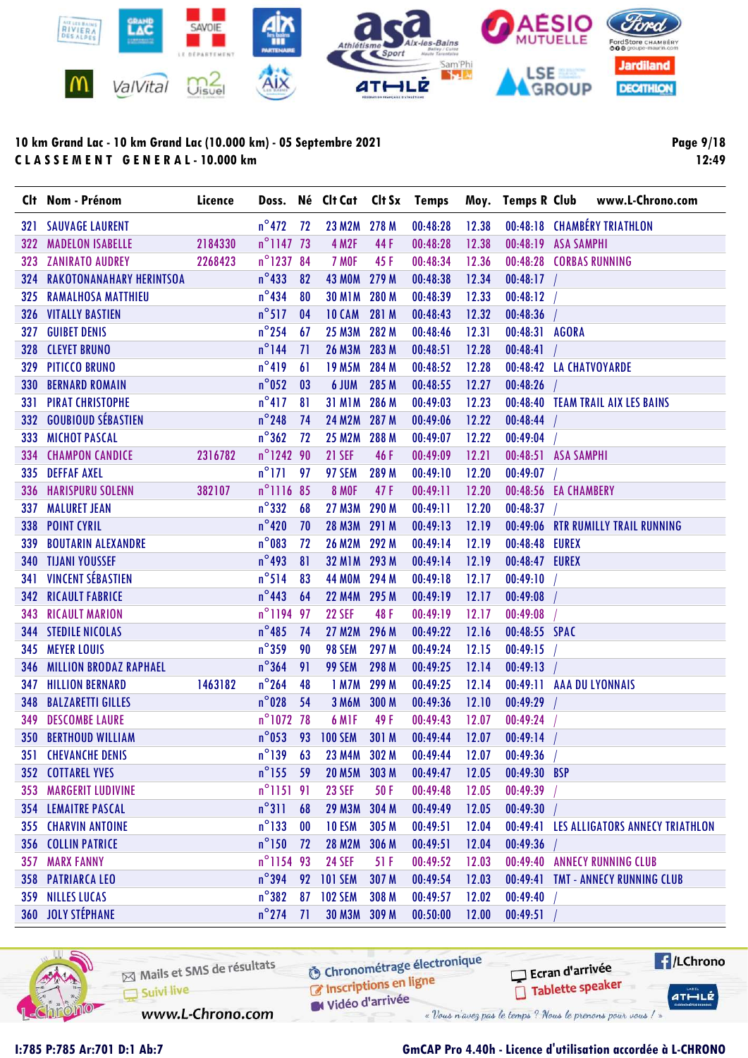

Page 9/18 12:49

|     | Clt Nom - Prénom                   | Licence |                     |      |                  |       | Doss. Né Clt Cat Clt Sx Temps |       |                         | Moy. Temps R Club www.L-Chrono.com       |
|-----|------------------------------------|---------|---------------------|------|------------------|-------|-------------------------------|-------|-------------------------|------------------------------------------|
|     | <b>321 SAUVAGE LAURENT</b>         |         | $n^{\circ}$ 472     | 72   | 23 M2M 278 M     |       | 00:48:28                      | 12.38 |                         | 00:48:18 CHAMBÉRY TRIATHLON              |
| 322 | 2184330<br><b>MADELON ISABELLE</b> |         | $n^{\circ}$ 1147 73 |      | <b>4 M2F</b>     | 44 F  | 00:48:28                      | 12.38 | 00:48:19 ASA SAMPHI     |                                          |
|     | 323 ZANIRATO AUDREY                | 2268423 | n°1237 84           |      | 7 MOF            | 45 F  | 00:48:34                      | 12.36 | 00:48:28 CORBAS RUNNING |                                          |
|     | 324 RAKOTONANAHARY HERINTSOA       |         | $n^{\circ}$ 433     | 82   | 43 MOM 279 M     |       | 00:48:38                      | 12.34 | $00:48:17$ /            |                                          |
|     | 325 RAMALHOSA MATTHIEU             |         | $n^{\circ}$ 434     | 80   | <b>30 M1M</b>    | 280 M | 00:48:39                      | 12.33 | $00:48:12$ /            |                                          |
|     | <b>326 VITALLY BASTIEN</b>         |         | $n^{\circ}517$      | 04   | <b>10 CAM</b>    | 281 M | 00:48:43                      | 12.32 | $00:48:36$ /            |                                          |
| 327 | <b>GUIBET DENIS</b>                |         | $n^{\circ}$ 254     | 67   | 25 M3M 282 M     |       | 00:48:46                      | 12.31 | 00:48:31 AGORA          |                                          |
|     | 328 CLEYET BRUNO                   |         | $n^{\circ}$ 144     | 71   | 26 M3M 283 M     |       | 00:48:51                      | 12.28 | $00:48:41$ /            |                                          |
|     | 329 PITICCO BRUNO                  |         | $n^{\circ}419$      | 61   | <b>19 M5M</b>    | 284 M | 00:48:52                      | 12.28 | 00:48:42 LA CHATVOYARDE |                                          |
|     | <b>330 BERNARD ROMAIN</b>          |         | $n^{\circ}$ 052     | 03   | 6 JUM            | 285 M | 00:48:55                      | 12.27 | 00:48:26                |                                          |
|     | <b>331 PIRAT CHRISTOPHE</b>        |         | $n^{\circ}417$      | 81   | <b>31 M1M</b>    | 286 M | 00:49:03                      | 12.23 |                         | 00:48:40 TEAM TRAIL AIX LES BAINS        |
|     | 332 GOUBIOUD SÉBASTIEN             |         | $n^{\circ}$ 248     | 74   | <b>24 M2M</b>    | 287 M | 00:49:06                      | 12.22 | $00:48:44$ /            |                                          |
|     | 333 MICHOT PASCAL                  |         | $n^{\circ}362$      | 72   | 25 M2M 288 M     |       | 00:49:07                      | 12.22 | 00:49:04                |                                          |
|     | 334 CHAMPON CANDICE                | 2316782 | n°1242 90           |      | <b>21 SEF</b>    | 46 F  | 00:49:09                      | 12.21 | 00:48:51 ASA SAMPHI     |                                          |
|     | 335 DEFFAF AXEL                    |         | $n^{\circ}$ 171     | - 97 | 97 SEM           | 289 M | 00:49:10                      | 12.20 | 00:49:07                |                                          |
|     | 336 HARISPURU SOLENN               | 382107  | $n^{\circ}$ 1116 85 |      | <b>8 MOF</b>     | 47F   | 00:49:11                      | 12.20 | 00:48:56 EA CHAMBERY    |                                          |
|     | <b>337 MALURET JEAN</b>            |         | $n^{\circ}332$      | 68   | <b>27 M3M</b>    | 290 M | 00:49:11                      | 12.20 | 00:48:37                |                                          |
|     | 338 POINT CYRIL                    |         | $n^{\circ}420$      | 70   | <b>28 M3M</b>    | 291 M | 00:49:13                      | 12.19 |                         | 00:49:06 RTR RUMILLY TRAIL RUNNING       |
| 339 | <b>BOUTARIN ALEXANDRE</b>          |         | $n^{\circ}$ 083     | 72   | 26 M2M 292 M     |       | 00:49:14                      | 12.19 | 00:48:48 EUREX          |                                          |
|     | <b>340 TIJANI YOUSSEF</b>          |         | $n^{\circ}$ 493     | 81   | 32 M1M 293 M     |       | 00:49:14                      | 12.19 | 00:48:47 EUREX          |                                          |
|     | <b>341 VINCENT SÉBASTIEN</b>       |         | $n^{\circ}514$      | 83   | 44 MOM 294 M     |       | 00:49:18                      | 12.17 | 00:49:10                |                                          |
|     | <b>342 RICAULT FABRICE</b>         |         | $n^{\circ}$ 443     | 64   | 22 M4M 295 M     |       | 00:49:19                      | 12.17 | 00:49:08                |                                          |
| 343 | <b>RICAULT MARION</b>              |         | n°1194 97           |      | <b>22 SEF</b>    | 48 F  | 00:49:19                      | 12.17 | 00:49:08                |                                          |
|     | <b>344 STEDILE NICOLAS</b>         |         | $n^{\circ}$ 485     | 74   | <b>27 M2M</b>    | 296 M | 00:49:22                      | 12.16 | 00:48:55 SPAC           |                                          |
|     | 345 MEYER LOUIS                    |         | $n^{\circ}$ 359     | 90   | 98 SEM           | 297 M | 00:49:24                      | 12.15 | 00:49:15                |                                          |
|     | <b>346 MILLION BRODAZ RAPHAEL</b>  |         | $n^{\circ}364$      | 91   | 99 SEM           | 298 M | 00:49:25                      | 12.14 | 00:49:13                |                                          |
|     | <b>347 HILLION BERNARD</b>         | 1463182 | $n^{\circ}$ 264     | 48   | 1 M7M            | 299 M | 00:49:25                      | 12.14 |                         | 00:49:11 AAA DU LYONNAIS                 |
| 348 | <b>BALZARETTI GILLES</b>           |         | $n^{\circ}$ 028     | 54   | <b>3 M6M</b>     | 300 M | 00:49:36                      | 12.10 | 00:49:29                |                                          |
| 349 | <b>DESCOMBE LAURE</b>              |         | n°1072 78           |      | 6 MIF            | 49 F  | 00:49:43                      | 12.07 | 00:49:24                |                                          |
|     | <b>350 BERTHOUD WILLIAM</b>        |         |                     |      | n°053 93 100 SEM | 301 M | 00:49:44                      | 12.07 | 00:49:14                |                                          |
|     | <b>351 CHEVANCHE DENIS</b>         |         | $n^{\circ}139$ 63   |      | 23 M4M 302 M     |       | 00:49:44                      | 12.07 | 00:49:36                |                                          |
|     | <b>352 COTTAREL YVES</b>           |         | $n^{\circ}$ 155 59  |      | 20 M5M 303 M     |       | 00:49:47                      | 12.05 | 00:49:30 BSP            |                                          |
|     | <b>353 MARGERIT LUDIVINE</b>       |         | $n^{\circ}$ 1151 91 |      | <b>23 SEF</b>    | 50F   | 00:49:48                      | 12.05 | 00:49:39                |                                          |
|     | <b>354 LEMAITRE PASCAL</b>         |         | $n^{\circ}311$      | 68   | <b>29 M3M</b>    | 304 M | 00:49:49                      | 12.05 | 00:49:30                |                                          |
|     | <b>355 CHARVIN ANTOINE</b>         |         | $n^{\circ}$ 133     | 00   | 10 ESM           | 305 M | 00:49:51                      | 12.04 |                         | 00:49:41 LES ALLIGATORS ANNECY TRIATHLON |
|     | <b>356 COLLIN PATRICE</b>          |         | $n^{\circ}$ 150     | 72   | <b>28 M2M</b>    | 306 M | 00:49:51                      | 12.04 | $00:49:36$ /            |                                          |
|     | <b>357 MARX FANNY</b>              |         | n°1154 93           |      | <b>24 SEF</b>    | 51 F  | 00:49:52                      | 12.03 |                         | 00:49:40 ANNECY RUNNING CLUB             |
|     | 358 PATRIARCA LEO                  |         | $n^{\circ}$ 394     |      | 92 101 SEM       | 307 M | 00:49:54                      | 12.03 |                         | 00:49:41 TMT - ANNECY RUNNING CLUB       |
|     | 359 NILLES LUCAS                   |         | $n^{\circ}382$      |      | 87 102 SEM       | 308 M | 00:49:57                      | 12.02 | 00:49:40                |                                          |
|     | 360 JOLY STÉPHANE                  |         | $n^{\circ}$ 274     | 71   | 30 M3M 309 M     |       | 00:50:00                      | 12.00 | 00:49:51                |                                          |

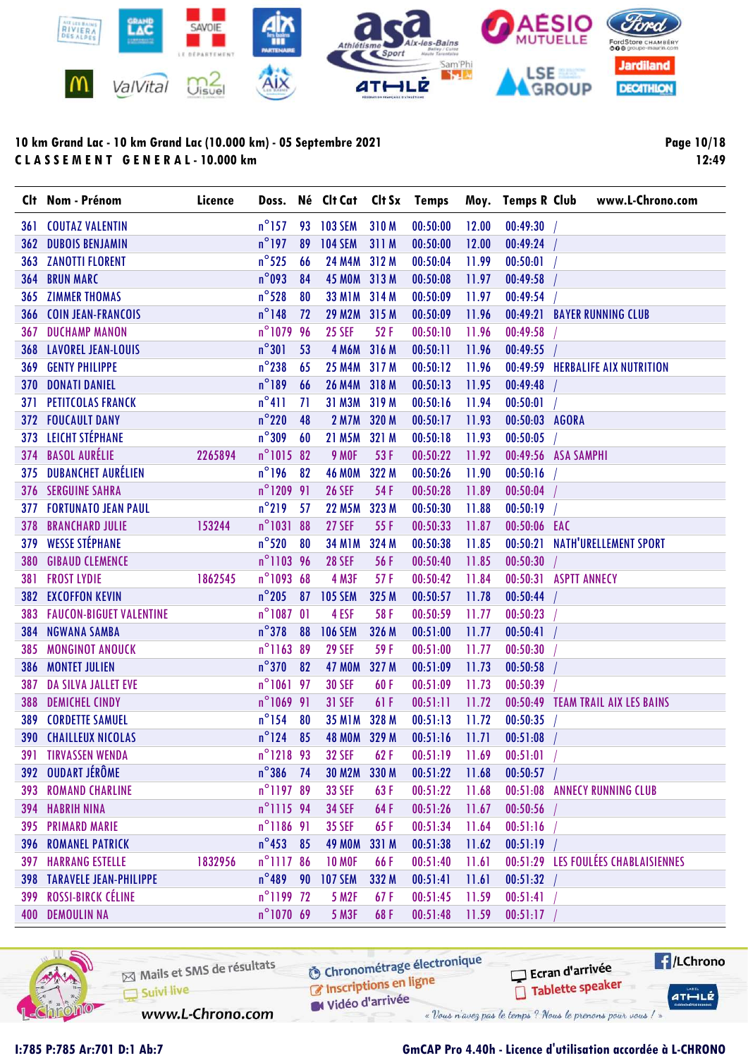

Page 10/18 12:49

|     | Clt Nom - Prénom                   | Licence |                     |    | Doss. Né Clt Cat Clt Sx Temps |       |          |       |                       | Moy. Temps R Club www.L-Chrono.com  |
|-----|------------------------------------|---------|---------------------|----|-------------------------------|-------|----------|-------|-----------------------|-------------------------------------|
| 361 | <b>COUTAZ VALENTIN</b>             |         | $n^{\circ}$ 157     |    | 93 103 SEM                    | 310M  | 00:50:00 | 12.00 | 00:49:30              |                                     |
| 362 | <b>DUBOIS BENJAMIN</b>             |         | $n^{\circ}$ 197     | 89 | <b>104 SEM</b>                | 311 M | 00:50:00 | 12.00 | 00:49:24              |                                     |
|     | <b>363 ZANOTTI FLORENT</b>         |         | $n^{\circ}$ 525     | 66 | <b>24 M4M</b>                 | 312 M | 00:50:04 | 11.99 | 00:50:01              |                                     |
| 364 | <b>BRUN MARC</b>                   |         | $n^{\circ}$ 093     | 84 | 45 MOM 313 M                  |       | 00:50:08 | 11.97 | 00:49:58              |                                     |
| 365 | <b>ZIMMER THOMAS</b>               |         | $n^{\circ}$ 528     | 80 | <b>33 M1M</b>                 | 314 M | 00:50:09 | 11.97 | 00:49:54              |                                     |
|     | <b>366 COIN JEAN-FRANCOIS</b>      |         | $n^{\circ}$ 148     | 72 | 29 M2M 315 M                  |       | 00:50:09 | 11.96 |                       | 00:49:21 BAYER RUNNING CLUB         |
| 367 | <b>DUCHAMP MANON</b>               |         | n°1079 96           |    | <b>25 SEF</b>                 | 52F   | 00:50:10 | 11.96 | 00:49:58              |                                     |
|     | <b>368 LAVOREL JEAN-LOUIS</b>      |         | $n^{\circ}301$      | 53 | 4 M6M 316 M                   |       | 00:50:11 | 11.96 | 00:49:55              |                                     |
| 369 | <b>GENTY PHILIPPE</b>              |         | $n^{\circ}$ 238     | 65 | <b>25 M4M</b>                 | 317 M | 00:50:12 | 11.96 |                       | 00:49:59 HERBALIFE AIX NUTRITION    |
| 370 | <b>DONATI DANIEL</b>               |         | $n^{\circ}189$      | 66 | 26 M4M 318 M                  |       | 00:50:13 | 11.95 | 00:49:48              |                                     |
| 371 | <b>PETITCOLAS FRANCK</b>           |         | $n^{\circ}411$      | 71 | 31 M3M                        | 319 M | 00:50:16 | 11.94 | 00:50:01              |                                     |
|     | <b>372 FOUCAULT DANY</b>           |         | $n^{\circ}$ 220     | 48 | <b>2 M7M</b>                  | 320 M | 00:50:17 | 11.93 | 00:50:03 AGORA        |                                     |
|     | 373 LEICHT STÉPHANE                |         | $n^{\circ}309$      | 60 | 21 M5M                        | 321 M | 00:50:18 | 11.93 | 00:50:05              |                                     |
|     | 374 BASOL AURÉLIE                  | 2265894 | $n^{\circ}1015$ 82  |    | <b>9 MOF</b>                  | 53 F  | 00:50:22 | 11.92 | 00:49:56 ASA SAMPHI   |                                     |
|     | 375 DUBANCHET AURÉLIEN             |         | $n^{\circ}196$      | 82 | <b>46 MOM</b>                 | 322 M | 00:50:26 | 11.90 | 00:50:16              |                                     |
|     | <b>376 SERGUINE SAHRA</b>          |         | n°1209 91           |    | <b>26 SEF</b>                 | 54 F  | 00:50:28 | 11.89 | 00:50:04              |                                     |
|     | <b>377 FORTUNATO JEAN PAUL</b>     |         | $n^{\circ}$ 219     | 57 | <b>22 M5M</b>                 | 323 M | 00:50:30 | 11.88 | 00:50:19              |                                     |
| 378 | <b>BRANCHARD JULIE</b>             | 153244  | n°1031 88           |    | <b>27 SEF</b>                 | 55F   | 00:50:33 | 11.87 | 00:50:06 EAC          |                                     |
| 379 | <b>WESSE STÉPHANE</b>              |         | $n^{\circ}520$      | 80 | <b>34 M1M</b>                 | 324 M | 00:50:38 | 11.85 | 00:50:21              | <b>NATH'URELLEMENT SPORT</b>        |
| 380 | <b>GIBAUD CLEMENCE</b>             |         | n°1103 96           |    | <b>28 SEF</b>                 | 56 F  | 00:50:40 | 11.85 | 00:50:30              |                                     |
| 381 | <b>FROST LYDIE</b>                 | 1862545 | n°1093 68           |    | 4 M3F                         | 57F   | 00:50:42 | 11.84 | 00:50:31 ASPTT ANNECY |                                     |
|     | 382 EXCOFFON KEVIN                 |         | $n^{\circ}$ 205     | 87 | <b>105 SEM</b>                | 325 M | 00:50:57 | 11.78 | 00:50:44              |                                     |
|     | <b>383 FAUCON-BIGUET VALENTINE</b> |         | $n^{\circ}1087$ 01  |    | 4 ESF                         | 58F   | 00:50:59 | 11.77 | 00:50:23              |                                     |
| 384 | <b>NGWANA SAMBA</b>                |         | $n^{\circ}$ 378     | 88 | <b>106 SEM</b>                | 326 M | 00:51:00 | 11.77 | 00:50:41              |                                     |
| 385 | <b>MONGINOT ANOUCK</b>             |         | n°1163 89           |    | <b>29 SEF</b>                 | 59F   | 00:51:00 | 11.77 | 00:50:30              |                                     |
| 386 | <b>MONTET JULIEN</b>               |         | $n^{\circ}370$      | 82 | <b>47 MOM</b>                 | 327 M | 00:51:09 | 11.73 | 00:50:58              |                                     |
| 387 | DA SILVA JALLET EVE                |         | n°1061 97           |    | <b>30 SEF</b>                 | 60F   | 00:51:09 | 11.73 | 00:50:39              |                                     |
| 388 | <b>DEMICHEL CINDY</b>              |         | n°1069 91           |    | <b>31 SEF</b>                 | 61 F  | 00:51:11 | 11.72 |                       | 00:50:49 TEAM TRAIL AIX LES BAINS   |
| 389 | <b>CORDETTE SAMUEL</b>             |         | $n^{\circ}$ 154     | 80 | <b>35 M1M</b>                 | 328 M | 00:51:13 | 11.72 | 00:50:35              |                                     |
|     | <b>390 CHAILLEUX NICOLAS</b>       |         | $n^{\circ}$ 124     | 85 | 48 MOM 329 M                  |       | 00:51:16 | 11.71 | 00:51:08              |                                     |
|     | <b>391 TIRVASSEN WENDA</b>         |         | n°1218 93           |    | <b>32 SEF</b>                 | 62F   | 00:51:19 | 11.69 | 00:51:01              |                                     |
|     | 392 OUDART JÉRÔME                  |         | $n^{\circ}386$ 74   |    | <b>30 M2M</b>                 | 330 M | 00:51:22 | 11.68 | 00:50:57              |                                     |
|     | <b>393 ROMAND CHARLINE</b>         |         | n°1197 89           |    | <b>33 SEF</b>                 | 63F   | 00:51:22 | 11.68 |                       | 00:51:08 ANNECY RUNNING CLUB        |
|     | <b>394 HABRIH NINA</b>             |         | n°1115 94           |    | <b>34 SEF</b>                 | 64F   | 00:51:26 | 11.67 | 00:50:56              |                                     |
|     | <b>395 PRIMARD MARIE</b>           |         | $n^{\circ}$ 1186 91 |    | <b>35 SEF</b>                 | 65F   | 00:51:34 | 11.64 | 00:51:16              |                                     |
|     | <b>396 ROMANEL PATRICK</b>         |         | $n^{\circ}453$ 85   |    | <b>49 MOM</b>                 | 331 M | 00:51:38 | 11.62 | 00:51:19              |                                     |
|     | <b>397 HARRANG ESTELLE</b>         | 1832956 | n°1117 86           |    | <b>10 MOF</b>                 | 66F   | 00:51:40 | 11.61 |                       | 00:51:29 LES FOULÉES CHABLAISIENNES |
|     | <b>398 TARAVELE JEAN-PHILIPPE</b>  |         | $n^{\circ}489$ 90   |    | <b>107 SEM</b>                | 332 M | 00:51:41 | 11.61 | 00:51:32              |                                     |
|     | 399 ROSSI-BIRCK CÉLINE             |         | n°1199 72           |    | <b>5 M2F</b>                  | 67F   | 00:51:45 | 11.59 | 00:51:41              |                                     |
|     | <b>400 DEMOULIN NA</b>             |         | $n^{\circ}107069$   |    | <b>5 M3F</b>                  | 68F   | 00:51:48 | 11.59 | 00:51:17              |                                     |



Mails et SMS de résultats Suivi live

**6** Chronométrage électronique

www.L-Chrono.com

C Inscriptions en ligne Vidéo d'arrivée

« Vous n'avez pas le temps ? Nous le prenons pour vous / »

### I:785 P:785 Ar:701 D:1 Ab:7 GmCAP Pro 4.40h - Licence d'utilisation accordée à L-CHRONO

Ecran d'arrivée

Tablette speaker

 $H/LChrono$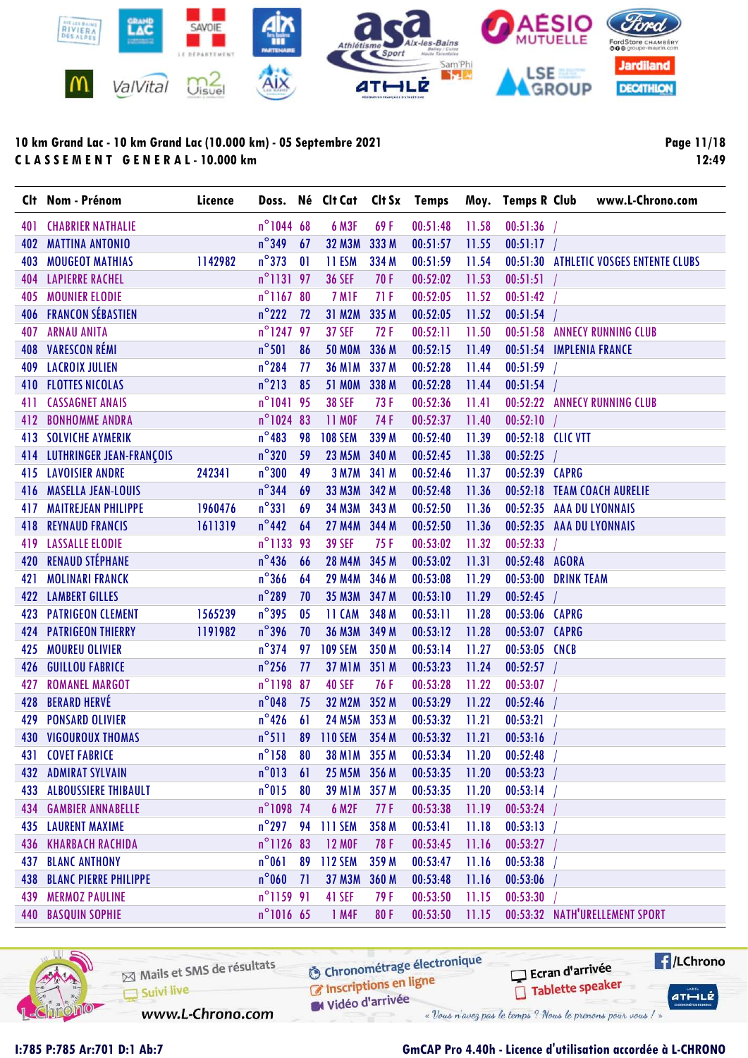

Page 11/18 12:49

|     | Clt Nom - Prénom             | Licence |                     |    | Doss. Né Clt Cat      |       | Clt Sx Temps   |       |                   | Moy. Temps R Club www.L-Chrono.com     |
|-----|------------------------------|---------|---------------------|----|-----------------------|-------|----------------|-------|-------------------|----------------------------------------|
| 401 | <b>CHABRIER NATHALIE</b>     |         | n°1044 68           |    | <b>6 M3F</b>          | 69F   | 00:51:48       | 11.58 | $00:51:36$ /      |                                        |
| 402 | <b>MATTINA ANTONIO</b>       |         | $n^{\circ}$ 349     | 67 | <b>32 M3M</b>         | 333 M | 00:51:57       | 11.55 | $00:51:17$ /      |                                        |
| 403 | <b>MOUGEOT MATHIAS</b>       | 1142982 | $n^{\circ}373$      | 01 | 11 ESM                | 334 M | 00:51:59       | 11.54 |                   | 00:51:30 ATHLETIC VOSGES ENTENTE CLUBS |
|     | <b>404 LAPIERRE RACHEL</b>   |         | $n^{\circ}$ 1131 97 |    | <b>36 SEF</b>         | 70 F  | 00:52:02       | 11.53 | 00:51:51          |                                        |
| 405 | <b>MOUNIER ELODIE</b>        |         | n°1167 80           |    | 7 M <sub>IF</sub>     | 71F   | 00:52:05       | 11.52 | 00:51:42          |                                        |
|     | <b>406 FRANCON SÉBASTIEN</b> |         | $n^{\circ}$ 222     | 72 | 31 M2M                | 335 M | 00:52:05       | 11.52 | 00:51:54          |                                        |
|     | <b>407 ARNAU ANITA</b>       |         | n°124797            |    | <b>37 SEF</b>         | 72F   | 00:52:11       | 11.50 |                   | 00:51:58 ANNECY RUNNING CLUB           |
|     | 408 VARESCON RÉMI            |         | $n^{\circ}501$      | 86 | <b>50 MOM</b>         | 336 M | 00:52:15       | 11.49 |                   | 00:51:54 IMPLENIA FRANCE               |
|     | <b>409 LACROIX JULIEN</b>    |         | $n^{\circ}$ 284     | 77 | <b>36 M1M</b>         | 337 M | 00:52:28       | 11.44 | 00:51:59          |                                        |
|     | <b>410 FLOTTES NICOLAS</b>   |         | $n^{\circ}$ 213     | 85 | <b>51 MOM</b>         | 338 M | 00:52:28       | 11.44 | 00:51:54          |                                        |
| 411 | <b>CASSAGNET ANAIS</b>       |         | n°1041 95           |    | <b>38 SEF</b>         | 73 F  | 00:52:36       | 11.41 |                   | 00:52:22 ANNECY RUNNING CLUB           |
| 412 | <b>BONHOMME ANDRA</b>        |         | n°1024 83           |    | <b>11 MOF</b>         | 74 F  | 00:52:37       | 11.40 | 00:52:10          |                                        |
|     | <b>413 SOLVICHE AYMERIK</b>  |         | $n^{\circ}483$      | 98 | <b>108 SEM</b>        | 339 M | 00:52:40       | 11.39 | 00:52:18 CLIC VTT |                                        |
|     | 414 LUTHRINGER JEAN-FRANÇOIS |         | $n^{\circ}320$      | 59 | 23 M5M 340 M          |       | 00:52:45       | 11.38 | $00:52:25$ /      |                                        |
|     | <b>415 LAVOISIER ANDRE</b>   | 242341  | $n^{\circ}300$      | 49 | 3 M7M 341 M           |       | 00:52:46       | 11.37 | 00:52:39 CAPRG    |                                        |
|     | 416 MASELLA JEAN-LOUIS       |         | $n^{\circ}$ 344     | 69 | 33 M3M 342 M          |       | 00:52:48       | 11.36 |                   | 00:52:18 TEAM COACH AURELIE            |
| 417 | <b>MAITREJEAN PHILIPPE</b>   | 1960476 | $n^{\circ}331$      | 69 | 34 M3M 343 M          |       | 00:52:50       | 11.36 |                   | 00:52:35 AAA DU LYONNAIS               |
| 418 | <b>REYNAUD FRANCIS</b>       | 1611319 | $n^{\circ}$ 442     | 64 | 27 M4M 344 M          |       | 00:52:50       | 11.36 |                   | 00:52:35 AAA DU LYONNAIS               |
|     | <b>419 LASSALLE ELODIE</b>   |         | n°1133 93           |    | <b>39 SEF</b>         | 75F   | 00:53:02       | 11.32 | 00:52:33          |                                        |
|     | 420 RENAUD STÉPHANE          |         | $n^{\circ}$ 436     | 66 | 28 M4M 345 M          |       | 00:53:02       | 11.31 | 00:52:48 AGORA    |                                        |
| 421 | <b>MOLINARI FRANCK</b>       |         | $n^{\circ}366$      | 64 | 29 M4M 346 M          |       | 00:53:08       | 11.29 |                   | 00:53:00 DRINK TEAM                    |
|     | <b>422 LAMBERT GILLES</b>    |         | $n^{\circ}$ 289     | 70 | <b>35 M3M</b>         | 347 M | 00:53:10       | 11.29 | 00:52:45          |                                        |
|     | <b>423 PATRIGEON CLEMENT</b> | 1565239 | $n^{\circ}$ 395     | 05 | 11 CAM                | 348 M | 00:53:11       | 11.28 | 00:53:06 CAPRG    |                                        |
|     | <b>424 PATRIGEON THIERRY</b> | 1191982 | $n^{\circ}$ 396     | 70 | 36 M3M 349 M          |       | 00:53:12       | 11.28 | 00:53:07 CAPRG    |                                        |
| 425 | <b>MOUREU OLIVIER</b>        |         | $n^{\circ}$ 374     | 97 | <b>109 SEM</b>        | 350 M | 00:53:14       | 11.27 | 00:53:05 CNCB     |                                        |
|     | 426 GUILLOU FABRICE          |         | $n^{\circ}$ 256     | 77 | 37 M1M 351 M          |       | 00:53:23       | 11.24 | 00:52:57          |                                        |
| 427 | <b>ROMANEL MARGOT</b>        |         | n°1198 87           |    | <b>40 SEF</b>         | 76 F  | 00:53:28       | 11.22 | 00:53:07          |                                        |
| 428 | <b>BERARD HERVÉ</b>          |         | $n^{\circ}$ 048     | 75 | <b>32 M2M</b>         | 352 M | 00:53:29       | 11.22 | 00:52:46          |                                        |
| 429 | <b>PONSARD OLIVIER</b>       |         | $n^{\circ}$ 426     | 61 | 24 M5M 353 M          |       | 00:53:32       | 11.21 | 00:53:21          |                                        |
|     | <b>430 VIGOUROUX THOMAS</b>  |         | $n^{\circ}511$      |    | 89 110 SEM            | 354 M | 00:53:32       | 11.21 | 00:53:16          |                                        |
|     | <b>431 COVET FABRICE</b>     |         |                     |    | n°158 80 38 M1M 355 M |       | 00:53:34 11.20 |       | $00:52:48$ /      |                                        |
| 432 | <b>ADMIRAT SYLVAIN</b>       |         | $n^{\circ}013$      | 61 | 25 M5M 356 M          |       | 00:53:35       | 11.20 | 00:53:23          |                                        |
| 433 | <b>ALBOUSSIERE THIBAULT</b>  |         | $n^{\circ}015$      | 80 | <b>39 M1M</b>         | 357 M | 00:53:35       | 11.20 | 00:53:14          |                                        |
| 434 | <b>GAMBIER ANNABELLE</b>     |         | n°1098 74           |    | <b>6 M2F</b>          | 77 F  | 00:53:38       | 11.19 | 00:53:24          |                                        |
|     | <b>435 LAURENT MAXIME</b>    |         | $n^{\circ}$ 297     | 94 | <b>111 SEM</b>        | 358 M | 00:53:41       | 11.18 | 00:53:13          |                                        |
| 436 | <b>KHARBACH RACHIDA</b>      |         | n°1126 83           |    | <b>12 MOF</b>         | 78 F  | 00:53:45       | 11.16 | 00:53:27          |                                        |
| 437 | <b>BLANC ANTHONY</b>         |         | $n^{\circ}061$      | 89 | <b>112 SEM</b>        | 359 M | 00:53:47       | 11.16 | 00:53:38          |                                        |
| 438 | <b>BLANC PIERRE PHILIPPE</b> |         | $n^{\circ}$ 060     | 71 | <b>37 M3M</b>         | 360 M | 00:53:48       | 11.16 | 00:53:06          |                                        |
| 439 | <b>MERMOZ PAULINE</b>        |         | $n^{\circ}$ 1159 91 |    | 41 SEF                | 79F   | 00:53:50       | 11.15 | 00:53:30          |                                        |
|     | <b>440 BASQUIN SOPHIE</b>    |         | n°1016 65           |    | 1 M4F                 | 80F   | 00:53:50       | 11.15 |                   | 00:53:32 NATH'URELLEMENT SPORT         |



Mails et SMS de résultats Suivi live

**6** Chronométrage électronique C Inscriptions en ligne

Vidéo d'arrivée « Vous n'avez pas le temps ? Nous le prenons pour vous / »

 $H/LChrono$ Ecran d'arrivée Tablette speaker  $ATHLLE$ 

www.L-Chrono.com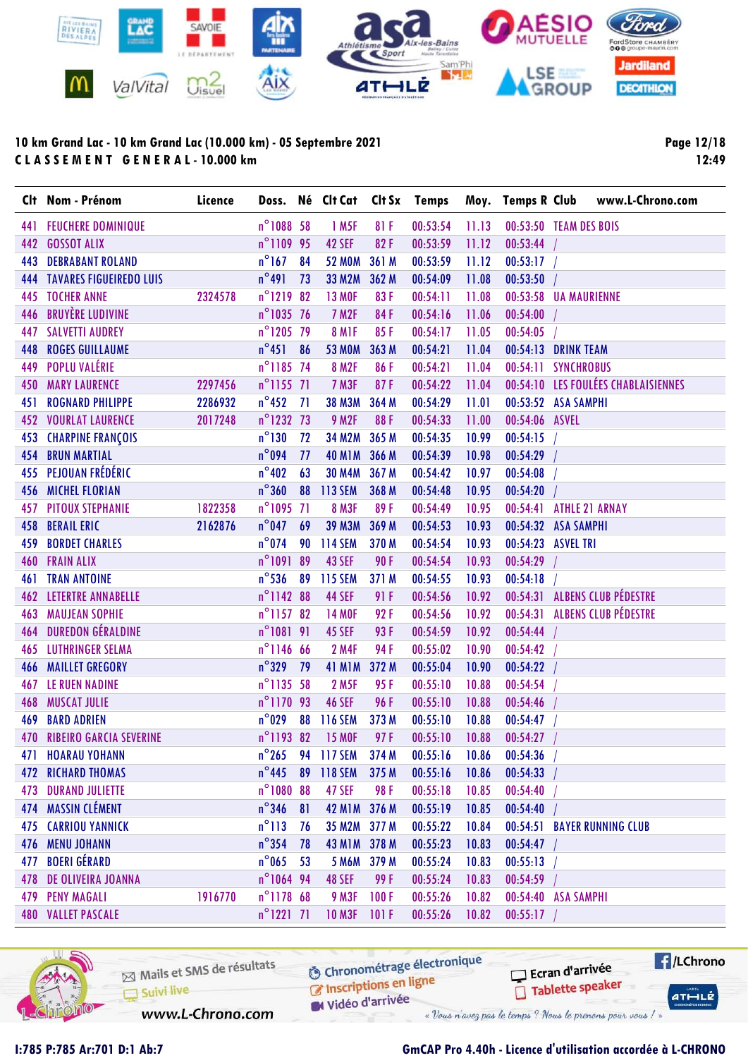

Page 12/18 12:49

|     | Clt Nom - Prénom                   | Licence |                     |    | Doss. Né Clt Cat Clt Sx Temps |       |          |       | Moy. Temps R Club www.L-Chrono.com  |
|-----|------------------------------------|---------|---------------------|----|-------------------------------|-------|----------|-------|-------------------------------------|
|     | <b>441 FEUCHERE DOMINIQUE</b>      |         | n°1088 58           |    | 1 M <sub>5F</sub>             | 81 F  | 00:53:54 | 11.13 | 00:53:50 TEAM DES BOIS              |
| 442 | <b>GOSSOT ALIX</b>                 |         | n°1109 95           |    | <b>42 SEF</b>                 | 82F   | 00:53:59 | 11.12 | 00:53:44                            |
| 443 | <b>DEBRABANT ROLAND</b>            |         | $n^{\circ}167$      | 84 | <b>52 MOM</b>                 | 361 M | 00:53:59 | 11.12 | 00:53:17                            |
|     | <b>444 TAVARES FIGUEIREDO LUIS</b> |         | $n^{\circ}491$      | 73 | <b>33 M2M</b>                 | 362 M | 00:54:09 | 11.08 | 00:53:50                            |
| 445 | <b>TOCHER ANNE</b>                 | 2324578 | n°1219 82           |    | <b>13 MOF</b>                 | 83F   | 00:54:11 | 11.08 | 00:53:58 UA MAURIENNE               |
| 446 | <b>BRUYÈRE LUDIVINE</b>            |         | $n^{\circ}$ 1035 76 |    | 7 M <sub>2F</sub>             | 84F   | 00:54:16 | 11.06 | 00:54:00                            |
|     | <b>447 SALVETTI AUDREY</b>         |         | n°1205 79           |    | 8 MIF                         | 85F   | 00:54:17 | 11.05 | 00:54:05                            |
| 448 | <b>ROGES GUILLAUME</b>             |         | $n^{\circ}451$      | 86 | <b>53 MOM</b>                 | 363 M | 00:54:21 | 11.04 | 00:54:13 DRINK TEAM                 |
| 449 | <b>POPLU VALÉRIE</b>               |         | n°1185 74           |    | <b>8 M2F</b>                  | 86F   | 00:54:21 | 11.04 | 00:54:11 SYNCHROBUS                 |
| 450 | <b>MARY LAURENCE</b>               | 2297456 | $n^{\circ}$ 1155 71 |    | 7 M3F                         | 87F   | 00:54:22 | 11.04 | 00:54:10 LES FOULÉES CHABLAISIENNES |
| 451 | <b>ROGNARD PHILIPPE</b>            | 2286932 | $n^{\circ}$ 452     | 71 | <b>38 M3M</b>                 | 364 M | 00:54:29 | 11.01 | 00:53:52 ASA SAMPHI                 |
|     | <b>452 VOURLAT LAURENCE</b>        | 2017248 | n°1232 73           |    | <b>9 M2F</b>                  | 88F   | 00:54:33 | 11.00 | 00:54:06 ASVEL                      |
|     | <b>453 CHARPINE FRANÇOIS</b>       |         | $n^{\circ}130$      | 72 | <b>34 M2M</b>                 | 365 M | 00:54:35 | 10.99 | $00:54:15$ /                        |
| 454 | <b>BRUN MARTIAL</b>                |         | $n^{\circ}$ 094     | 77 | 40 M1M 366 M                  |       | 00:54:39 | 10.98 | 00:54:29                            |
|     | 455 PEJOUAN FRÉDÉRIC               |         | $n^{\circ}$ 402     | 63 | <b>30 M4M</b>                 | 367 M | 00:54:42 | 10.97 | 00:54:08                            |
|     | 456 MICHEL FLORIAN                 |         | $n^{\circ}360$      | 88 | 113 SEM                       | 368 M | 00:54:48 | 10.95 | 00:54:20                            |
| 457 | <b>PITOUX STEPHANIE</b>            | 1822358 | $n^{\circ}1095$ 71  |    | <b>8 M3F</b>                  | 89F   | 00:54:49 | 10.95 | 00:54:41<br><b>ATHLE 21 ARNAY</b>   |
| 458 | <b>BERAIL ERIC</b>                 | 2162876 | $n^{\circ}$ 047     | 69 | <b>39 M3M</b>                 | 369 M | 00:54:53 | 10.93 | 00:54:32 ASA SAMPHI                 |
| 459 | <b>BORDET CHARLES</b>              |         | $n^{\circ}$ 074     |    | 90 114 SEM                    | 370 M | 00:54:54 | 10.93 | 00:54:23 ASVEL TRI                  |
| 460 | <b>FRAIN ALIX</b>                  |         | n°1091 89           |    | <b>43 SEF</b>                 | 90F   | 00:54:54 | 10.93 | 00:54:29                            |
| 461 | <b>TRAN ANTOINE</b>                |         | $n^{\circ}$ 536     | 89 | <b>115 SEM</b>                | 371 M | 00:54:55 | 10.93 | 00:54:18                            |
|     | <b>462 LETERTRE ANNABELLE</b>      |         | n°1142 88           |    | <b>44 SEF</b>                 | 91 F  | 00:54:56 | 10.92 | 00:54:31 ALBENS CLUB PÉDESTRE       |
| 463 | <b>MAUJEAN SOPHIE</b>              |         | $n^{\circ}$ 1157 82 |    | <b>14 MOF</b>                 | 92F   | 00:54:56 | 10.92 | 00:54:31 ALBENS CLUB PÉDESTRE       |
| 464 | <b>DUREDON GÉRALDINE</b>           |         | n°1081 91           |    | <b>45 SEF</b>                 | 93F   | 00:54:59 | 10.92 | 00:54:44                            |
| 465 | <b>LUTHRINGER SELMA</b>            |         | $n^{\circ}$ 1146 66 |    | <b>2 M4F</b>                  | 94 F  | 00:55:02 | 10.90 | 00:54:42                            |
| 466 | <b>MAILLET GREGORY</b>             |         | $n^{\circ}329$      | 79 | <b>41 M1M</b>                 | 372 M | 00:55:04 | 10.90 | 00:54:22                            |
| 467 | LE RUEN NADINE                     |         | n°1135 58           |    | <b>2 M5F</b>                  | 95F   | 00:55:10 | 10.88 | 00:54:54                            |
| 468 | <b>MUSCAT JULIE</b>                |         | n°1170 93           |    | <b>46 SEF</b>                 | 96F   | 00:55:10 | 10.88 | 00:54:46                            |
| 469 | <b>BARD ADRIEN</b>                 |         | $n^{\circ}$ 029     | 88 | 116 SEM                       | 373 M | 00:55:10 | 10.88 | 00:54:47                            |
|     | <b>470 RIBEIRO GARCIA SEVERINE</b> |         | n°1193 82           |    | <b>15 MOF</b>                 | 97F   | 00:55:10 | 10.88 | 00:54:27                            |
| 471 | <b>HOARAU YOHANN</b>               |         | $n^{\circ}$ 265     | 94 | <b>117 SEM</b>                | 374 M | 00:55:16 | 10.86 | 00:54:36                            |
|     | <b>472 RICHARD THOMAS</b>          |         | $n^{\circ}$ 445     | 89 | <b>118 SEM</b>                | 375 M | 00:55:16 | 10.86 | 00:54:33                            |
|     | <b>473 DURAND JULIETTE</b>         |         | n°1080 88           |    | <b>47 SEF</b>                 | 98F   | 00:55:18 | 10.85 | 00:54:40                            |
|     | 474 MASSIN CLÉMENT                 |         | $n^{\circ}$ 346     | 81 | 42 M1M 376 M                  |       | 00:55:19 | 10.85 | 00:54:40                            |
|     | <b>475 CARRIOU YANNICK</b>         |         | $n^{\circ}113$      | 76 | 35 M2M 377 M                  |       | 00:55:22 | 10.84 | 00:54:51 BAYER RUNNING CLUB         |
| 476 | <b>MENU JOHANN</b>                 |         | $n^{\circ}$ 354     | 78 | 43 M1M 378 M                  |       | 00:55:23 | 10.83 | 00:54:47                            |
| 477 | <b>BOERI GÉRARD</b>                |         | $n^{\circ}$ 065     | 53 | 5 M6M 379 M                   |       | 00:55:24 | 10.83 | 00:55:13                            |
|     | <b>478 DE OLIVEIRA JOANNA</b>      |         | n°1064 94           |    | <b>48 SEF</b>                 | 99 F  | 00:55:24 | 10.83 | 00:54:59                            |
|     | <b>479 PENY MAGALI</b>             | 1916770 | n°1178 68           |    | <b>9 M3F</b>                  | 100F  | 00:55:26 | 10.82 | 00:54:40 ASA SAMPHI                 |
|     | <b>480 VALLET PASCALE</b>          |         | $n^{\circ}$ 1221 71 |    | <b>10 M3F</b>                 | 101F  | 00:55:26 | 10.82 | 00:55:17                            |



Mails et SMS de résultats Suivi live www.L-Chrono.com

**6** Chronométrage électronique C Inscriptions en ligne

Vidéo d'arrivée

« Vous n'avez pas le temps ? Nous le prenons pour vous / »

### I:785 P:785 Ar:701 D:1 Ab:7 GmCAP Pro 4.40h - Licence d'utilisation accordée à L-CHRONO

Ecran d'arrivée

Tablette speaker

 $H/LChrono$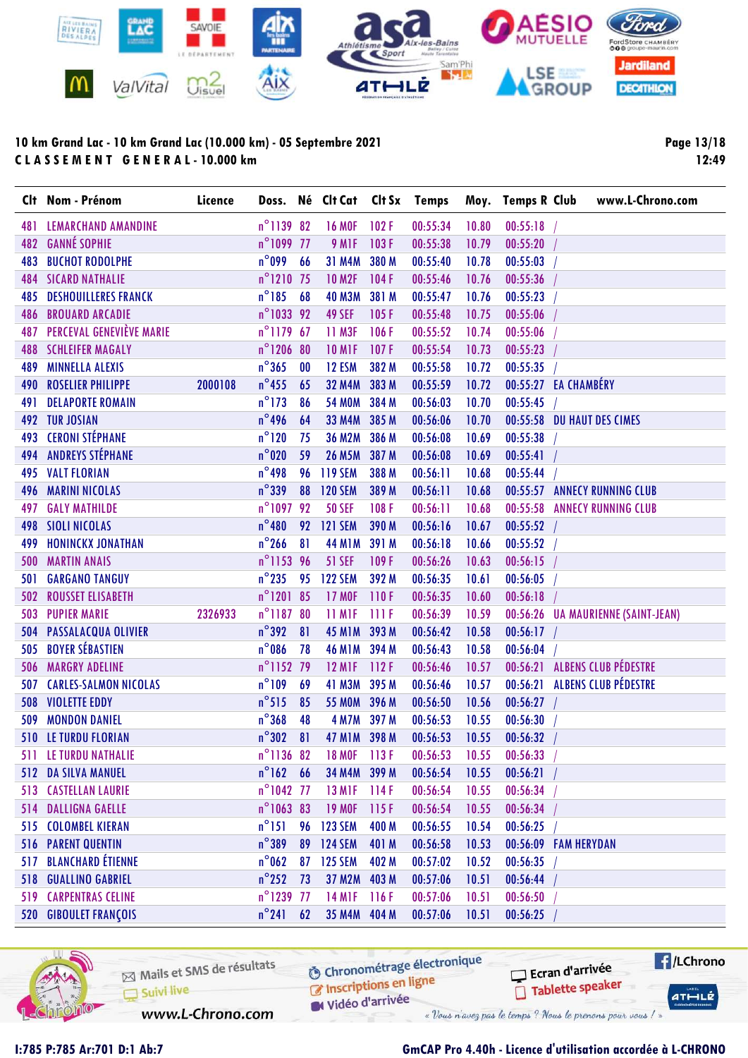

Page 13/18 12:49

|            | Clt Nom - Prénom             | Licence |                        |    | Doss. Né Clt Cat Clt Sx Temps |       |          |       | Moy. Temps R Club<br>www.L-Chrono.com  |
|------------|------------------------------|---------|------------------------|----|-------------------------------|-------|----------|-------|----------------------------------------|
| 481        | <b>LEMARCHAND AMANDINE</b>   |         | $n^{\circ}$ 1139 82    |    | <b>16 MOF</b>                 | 102F  | 00:55:34 | 10.80 | 00:55:18                               |
| 482        | <b>GANNÉ SOPHIE</b>          |         | n°1099 77              |    | 9 M <sub>IF</sub>             | 103F  | 00:55:38 | 10.79 | 00:55:20                               |
| 483        | <b>BUCHOT RODOLPHE</b>       |         | $n^{\circ}$ 099        | 66 | 31 M4M                        | 380 M | 00:55:40 | 10.78 | 00:55:03                               |
| 484        | <b>SICARD NATHALIE</b>       |         | $n^{\circ}$ 1210 75    |    | <b>10 M2F</b>                 | 104F  | 00:55:46 | 10.76 | 00:55:36                               |
| 485        | <b>DESHOUILLERES FRANCK</b>  |         | $n^{\circ}$ 185        | 68 | <b>40 M3M</b>                 | 381 M | 00:55:47 | 10.76 | 00:55:23                               |
| 486        | <b>BROUARD ARCADIE</b>       |         | n°1033 92              |    | 49 SEF                        | 105F  | 00:55:48 | 10.75 | 00:55:06                               |
| 487        | PERCEVAL GENEVIÈVE MARIE     |         | n°1179 67              |    | 11 M3F                        | 106F  | 00:55:52 | 10.74 | 00:55:06                               |
| 488        | <b>SCHLEIFER MAGALY</b>      |         | n°1206 80              |    | <b>10 M1F</b>                 | 107F  | 00:55:54 | 10.73 | 00:55:23                               |
| 489        | <b>MINNELLA ALEXIS</b>       |         | $n^{\circ}365$         | 00 | 12 ESM                        | 382 M | 00:55:58 | 10.72 | 00:55:35                               |
| 490        | <b>ROSELIER PHILIPPE</b>     | 2000108 | $n^{\circ}$ 455        | 65 | <b>32 M4M</b>                 | 383 M | 00:55:59 | 10.72 | 00:55:27 EA CHAMBÉRY                   |
| 491        | <b>DELAPORTE ROMAIN</b>      |         | $n^{\circ}$ 173        | 86 | <b>54 MOM</b>                 | 384 M | 00:56:03 | 10.70 | 00:55:45                               |
|            | 492 TUR JOSIAN               |         | $n^{\circ}$ 496        | 64 | <b>33 M4M</b>                 | 385 M | 00:56:06 | 10.70 | 00:55:58 DU HAUT DES CIMES             |
| 493        | <b>CERONI STÉPHANE</b>       |         | $n^{\circ}120$         | 75 | <b>36 M2M</b>                 | 386 M | 00:56:08 | 10.69 | 00:55:38                               |
| 494        | <b>ANDREYS STÉPHANE</b>      |         | $n^{\circ}$ 020        | 59 | 26 M5M 387 M                  |       | 00:56:08 | 10.69 | 00:55:41                               |
| 495        | <b>VALT FLORIAN</b>          |         | $n^{\circ}$ 498        | 96 | <b>119 SEM</b>                | 388 M | 00:56:11 | 10.68 | 00:55:44                               |
| 496        | <b>MARINI NICOLAS</b>        |         | $n^{\circ}$ 339        | 88 | <b>120 SEM</b>                | 389 M | 00:56:11 | 10.68 | 00:55:57 ANNECY RUNNING CLUB           |
| 497        | <b>GALY MATHILDE</b>         |         | $n^{\circ}$ 1097       | 92 | <b>50 SEF</b>                 | 108F  | 00:56:11 | 10.68 | 00:55:58<br><b>ANNECY RUNNING CLUB</b> |
| 498        | <b>SIOLI NICOLAS</b>         |         | $n^{\circ}480$         |    | 92 121 SEM                    | 390 M | 00:56:16 | 10.67 | 00:55:52                               |
| 499        | <b>HONINCKX JONATHAN</b>     |         | $n^{\circ}$ 266        | 81 | <b>44 M1M</b>                 | 391 M | 00:56:18 | 10.66 | 00:55:52                               |
| 500        | <b>MARTIN ANAIS</b>          |         | n°1153 96              |    | <b>51 SEF</b>                 | 109F  | 00:56:26 | 10.63 | 00:56:15                               |
| 501        | <b>GARGANO TANGUY</b>        |         | $n^{\circ}$ 235        | 95 | <b>122 SEM</b>                | 392 M | 00:56:35 | 10.61 | 00:56:05                               |
| 502        | <b>ROUSSET ELISABETH</b>     |         | $n^{\circ}$ 1201 85    |    | <b>17 MOF</b>                 | 110F  | 00:56:35 | 10.60 | 00:56:18                               |
| 503        | <b>PUPIER MARIE</b>          | 2326933 | $n^{\circ}1187$        | 80 | 11 MIF                        | IIIF  | 00:56:39 | 10.59 | 00:56:26 UA MAURIENNE (SAINT-JEAN)     |
| 504        | PASSALACQUA OLIVIER          |         | $n^{\circ}392$         | 81 | <b>45 M1M</b>                 | 393 M | 00:56:42 | 10.58 | 00:56:17                               |
| 505        | <b>BOYER SÉBASTIEN</b>       |         | $n^{\circ}$ 086        | 78 | <b>46 M1M</b>                 | 394 M | 00:56:43 | 10.58 | 00:56:04                               |
| 506        | <b>MARGRY ADELINE</b>        |         | n°1152 79              |    | <b>12 M1F</b>                 | 112F  | 00:56:46 | 10.57 | 00:56:21 ALBENS CLUB PÉDESTRE          |
| 507        | <b>CARLES-SALMON NICOLAS</b> |         | $n^{\circ}109$         | 69 | <b>41 M3M</b>                 | 395 M | 00:56:46 | 10.57 | 00:56:21 ALBENS CLUB PÉDESTRE          |
| 508        | <b>VIOLETTE EDDY</b>         |         | $n^{\circ}515$         | 85 | 55 MOM 396 M                  |       | 00:56:50 | 10.56 | 00:56:27                               |
| 509        | <b>MONDON DANIEL</b>         |         | $n^{\circ}368$         | 48 | <b>4 M7M</b>                  | 397 M | 00:56:53 | 10.55 | 00:56:30                               |
|            | <b>510 LE TURDU FLORIAN</b>  |         | $n^{\circ}302$         | 81 | 47 M1M 398 M                  |       | 00:56:53 | 10.55 | 00:56:32                               |
| 511        | LE TURDU NATHALIE            |         | n <sup>o</sup> 1136 82 |    | <b>18 MOF</b>                 | 113F  | 00:56:53 | 10.55 | 00:56:33                               |
|            | 512 DA SILVA MANUEL          |         | $n^{\circ}162$ 66      |    | 34 M4M 399 M                  |       | 00:56:54 | 10.55 | 00:56:21                               |
|            | <b>513 CASTELLAN LAURIE</b>  |         | n°1042 77              |    | <b>13 M1F</b>                 | 114F  | 00:56:54 | 10.55 | 00:56:34                               |
|            | 514 DALLIGNA GAELLE          |         | $n^{\circ}106383$      |    | <b>19 MOF</b>                 | 115F  | 00:56:54 | 10.55 | 00:56:34                               |
|            | 515 COLOMBEL KIERAN          |         | $n^{\circ}151$         | 96 | <b>123 SEM</b>                | 400 M | 00:56:55 | 10.54 | 00:56:25                               |
|            | <b>516 PARENT QUENTIN</b>    |         | $n^{\circ}$ 389        | 89 | <b>124 SEM</b>                | 401 M | 00:56:58 | 10.53 | 00:56:09 FAM HERYDAN                   |
| 517        | <b>BLANCHARD ÉTIENNE</b>     |         | $n^{\circ}$ 062        | 87 | <b>125 SEM</b>                | 402 M | 00:57:02 | 10.52 | 00:56:35                               |
|            | <b>518 GUALLINO GABRIEL</b>  |         | $n^{\circ}$ 252        | 73 | 37 M2M 403 M                  |       | 00:57:06 | 10.51 | 00:56:44                               |
|            | <b>519 CARPENTRAS CELINE</b> |         | n°1239 77              |    | <b>14 M1F</b>                 | 116F  | 00:57:06 | 10.51 | 00:56:50                               |
| <b>520</b> | <b>GIBOULET FRANÇOIS</b>     |         | $n^{\circ}241$         | 62 | 35 M4M 404 M                  |       | 00:57:06 | 10.51 | 00:56:25                               |



Mails et SMS de résultats Suivi live www.L-Chrono.com

**6** Chronométrage électronique

Vidéo d'arrivée « Vous n'avez pas le temps ? Nous le prenons pour vous / »

C Inscriptions en ligne

 $H/LChrono$ Ecran d'arrivée Tablette speaker  $ATHLLE$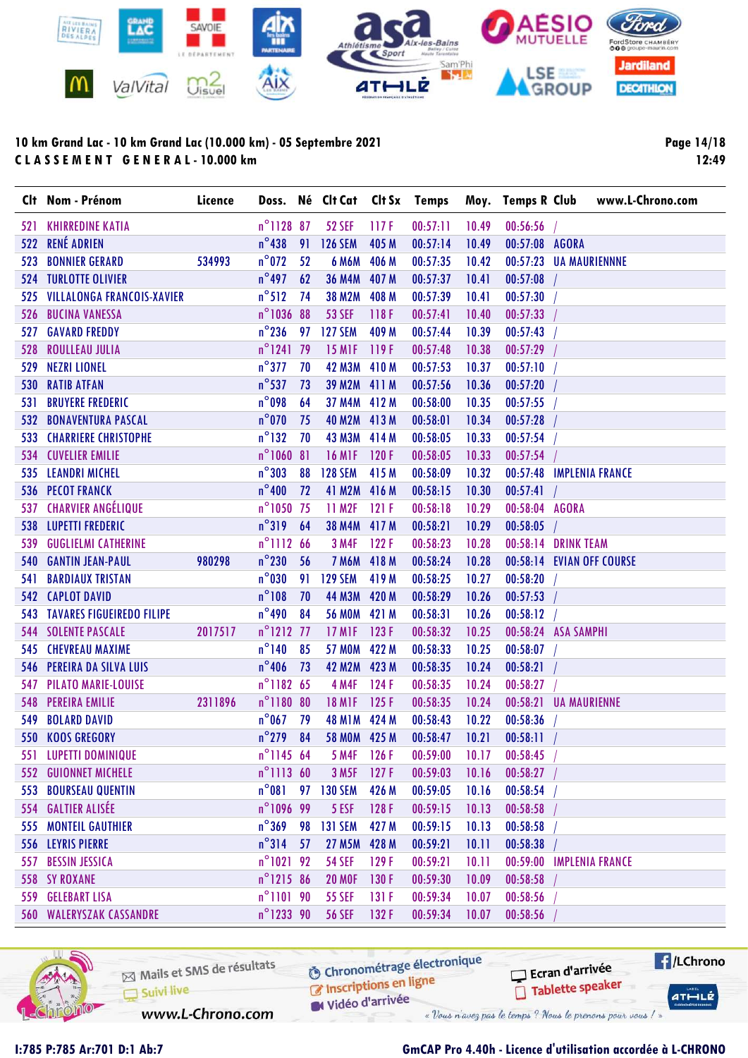

Page 14/18 12:49

|     | Clt Nom - Prénom                     | Licence |                     |      |                                |       |          |       |                          | Doss. Né Clt Cat Clt Sx Temps Moy. Temps R Club www.L-Chrono.com |
|-----|--------------------------------------|---------|---------------------|------|--------------------------------|-------|----------|-------|--------------------------|------------------------------------------------------------------|
|     | <b>521 KHIRREDINE KATIA</b>          |         | $n^{\circ}$ 1128 87 |      | <b>52 SEF</b>                  | 117F  | 00:57:11 | 10.49 | 00:56:56                 |                                                                  |
|     | 522 RENÉ ADRIEN                      |         | $n^{\circ}438$      | 91   | <b>126 SEM</b>                 | 405 M | 00:57:14 | 10.49 | 00:57:08 AGORA           |                                                                  |
| 523 | <b>BONNIER GERARD</b>                | 534993  | $n^{\circ}$ 072     | 52   | 6 M6M 406 M                    |       | 00:57:35 | 10.42 | 00:57:23 UA MAURIENNNE   |                                                                  |
|     | <b>524 TURLOTTE OLIVIER</b>          |         | $n^{\circ}$ 497     | 62   | 36 M4M 407 M                   |       | 00:57:37 | 10.41 | 00:57:08                 |                                                                  |
|     | 525 VILLALONGA FRANCOIS-XAVIER       |         | $n^{\circ}512$      | - 74 | 38 M2M 408 M                   |       | 00:57:39 | 10.41 | 00:57:30                 |                                                                  |
|     | 526 BUCINA VANESSA                   |         | n°1036 88           |      | <b>53 SEF</b>                  | 118F  | 00:57:41 | 10.40 | 00:57:33                 |                                                                  |
|     | <b>527 GAVARD FREDDY</b>             |         | $n^{\circ}$ 236     | 97   | <b>127 SEM</b>                 | 409 M | 00:57:44 | 10.39 | 00:57:43                 |                                                                  |
| 528 | <b>ROULLEAU JULIA</b>                |         | n°1241 79           |      | <b>15 MIF</b>                  | 119F  | 00:57:48 | 10.38 | 00:57:29                 |                                                                  |
|     | 529 NEZRI LIONEL                     |         | $n^{\circ}$ 377     | 70   | 42 M3M 410 M                   |       | 00:57:53 | 10.37 | 00:57:10                 |                                                                  |
|     | <b>530 RATIB ATFAN</b>               |         | $n^{\circ}$ 537     | 73   | 39 M2M 411 M                   |       | 00:57:56 | 10.36 | 00:57:20                 |                                                                  |
| 531 | <b>BRUYERE FREDERIC</b>              |         | $n^{\circ}$ 098     | 64   | 37 M4M 412 M                   |       | 00:58:00 | 10.35 | 00:57:55                 |                                                                  |
|     | <b>532 BONAVENTURA PASCAL</b>        |         | $n^{\circ}$ 070     | 75   | 40 M2M 413 M                   |       | 00:58:01 | 10.34 | $00:57:28$ /             |                                                                  |
|     | <b>533 CHARRIERE CHRISTOPHE</b>      |         | $n^{\circ}$ 132     | 70   | 43 M3M 414 M                   |       | 00:58:05 | 10.33 | 00:57:54                 |                                                                  |
|     | <b>534 CUVELIER EMILIE</b>           |         | $n^{\circ}1060$ 81  |      | <b>16 M1F</b>                  | 120F  | 00:58:05 | 10.33 | 00:57:54                 |                                                                  |
|     | 535 LEANDRI MICHEL                   |         | $n^{\circ}303$      | 88   | <b>128 SEM</b>                 | 415 M | 00:58:09 | 10.32 | 00:57:48 IMPLENIA FRANCE |                                                                  |
|     | <b>536 PECOT FRANCK</b>              |         | $n^{\circ}400$      | 72   | 41 M2M 416 M                   |       | 00:58:15 | 10.30 | $00:57:41$ /             |                                                                  |
|     | 537 CHARVIER ANGÉLIQUE               |         | $n^{\circ}1050$ 75  |      | 11 M2F                         | 121F  | 00:58:18 | 10.29 | 00:58:04 AGORA           |                                                                  |
|     | 538 LUPETTI FREDERIC                 |         | $n^{\circ}319$ 64   |      | 38 M4M 417 M                   |       | 00:58:21 | 10.29 | $00:58:05$ /             |                                                                  |
|     | 539 GUGLIELMI CATHERINE              |         | $n^{\circ}$ 1112 66 |      | <b>3 M4F</b>                   | 122F  | 00:58:23 | 10.28 | 00:58:14 DRINK TEAM      |                                                                  |
|     | <b>540 GANTIN JEAN-PAUL</b>          | 980298  | $n^{\circ}230$      | 56   | 7 M6M 418 M                    |       | 00:58:24 | 10.28 |                          | 00:58:14 EVIAN OFF COURSE                                        |
| 541 | <b>BARDIAUX TRISTAN</b>              |         | $n^{\circ}$ 030     | 91   | <b>129 SEM</b>                 | 419 M | 00:58:25 | 10.27 | 00:58:20                 |                                                                  |
|     | <b>542 CAPLOT DAVID</b>              |         | $n^{\circ}108$      | 70   | 44 M3M 420 M                   |       | 00:58:29 | 10.26 | $00:57:53$ /             |                                                                  |
|     | <b>543 TAVARES FIGUEIREDO FILIPE</b> |         | $n^{\circ}$ 490     | 84   | 56 MOM 421 M                   |       | 00:58:31 | 10.26 | 00:58:12                 |                                                                  |
|     | <b>544 SOLENTE PASCALE</b>           | 2017517 | $n^{\circ}$ 1212 77 |      | <b>17 M1F</b>                  | 123F  | 00:58:32 | 10.25 | 00:58:24 ASA SAMPHI      |                                                                  |
|     | <b>545 CHEVREAU MAXIME</b>           |         | $n^{\circ}$ 140     | 85   | 57 MOM 422 M                   |       | 00:58:33 | 10.25 | 00:58:07                 |                                                                  |
|     | 546 PEREIRA DA SILVA LUIS            |         | $n^{\circ}$ 406     | 73   | 42 M2M 423 M                   |       | 00:58:35 | 10.24 | 00:58:21                 |                                                                  |
|     | <b>547 PILATO MARIE-LOUISE</b>       |         | n°1182 65           |      | <b>4 M4F</b>                   | 124 F | 00:58:35 | 10.24 | 00:58:27                 |                                                                  |
| 548 | <b>PEREIRA EMILIE</b>                | 2311896 | n°1180 80           |      | <b>18 M1F</b>                  | 125F  | 00:58:35 | 10.24 | 00:58:21 UA MAURIENNE    |                                                                  |
| 549 | <b>BOLARD DAVID</b>                  |         | $n^{\circ}$ 067     | 79   | 48 M1M 424 M                   |       | 00:58:43 | 10.22 | 00:58:36                 |                                                                  |
|     | 550 KOOS GREGORY                     |         | $n^{\circ}$ 279 84  |      | 58 MOM 425 M                   |       | 00:58:47 | 10.21 | 00:58:11                 |                                                                  |
|     | 551 LUPETTI DOMINIQUE                |         |                     |      | n°1145 64 5 M4F 126 F 00:59:00 |       |          |       | $10.17$ $00.58.45$ /     |                                                                  |
|     | <b>552 GUIONNET MICHELE</b>          |         | $n^{\circ}$ 1113 60 |      | 3 M <sub>5F</sub>              | 127F  | 00:59:03 | 10.16 | 00:58:27                 |                                                                  |
|     | <b>553 BOURSEAU QUENTIN</b>          |         | $n^{\circ}081$      | 97   | <b>130 SEM</b>                 | 426 M | 00:59:05 | 10.16 | 00:58:54                 |                                                                  |
|     | 554 GALTIER ALISÉE                   |         | n°1096 99           |      | 5 ESF                          | 128F  | 00:59:15 | 10.13 | 00:58:58                 |                                                                  |
|     | <b>555 MONTEIL GAUTHIER</b>          |         | $n^{\circ}$ 369     | 98   | <b>131 SEM</b>                 | 427 M | 00:59:15 | 10.13 | 00:58:58                 |                                                                  |
|     | 556 LEYRIS PIERRE                    |         | $n^{\circ}314$      | 57   | <b>27 M5M</b>                  | 428 M | 00:59:21 | 10.11 | 00:58:38                 |                                                                  |
| 557 | <b>BESSIN JESSICA</b>                |         | $n^{\circ}1021$ 92  |      | <b>54 SEF</b>                  | 129F  | 00:59:21 | 10.11 | 00:59:00 IMPLENIA FRANCE |                                                                  |
|     | <b>558 SY ROXANE</b>                 |         | $n^{\circ}$ 1215 86 |      | <b>20 MOF</b>                  | 130 F | 00:59:30 | 10.09 | 00:58:58                 |                                                                  |
|     | 559 GELEBART LISA                    |         | $n^{\circ}$ 1101 90 |      | <b>55 SEF</b>                  | 131F  | 00:59:34 | 10.07 | 00:58:56                 |                                                                  |
|     | <b>560 WALERYSZAK CASSANDRE</b>      |         | n°1233 90           |      | <b>56 SEF</b>                  | 132F  | 00:59:34 | 10.07 | 00:58:56                 |                                                                  |



**6** Chronométrage électronique Mails et SMS de résultats C Inscriptions en ligne Suivi live Vidéo d'arrivée www.L-Chrono.com « Vous n'avez pas le temps ? Nous le prenons pour vous / »

Ecran d'arrivée Tablette speaker  $H/LChrono$  $ATHLLE$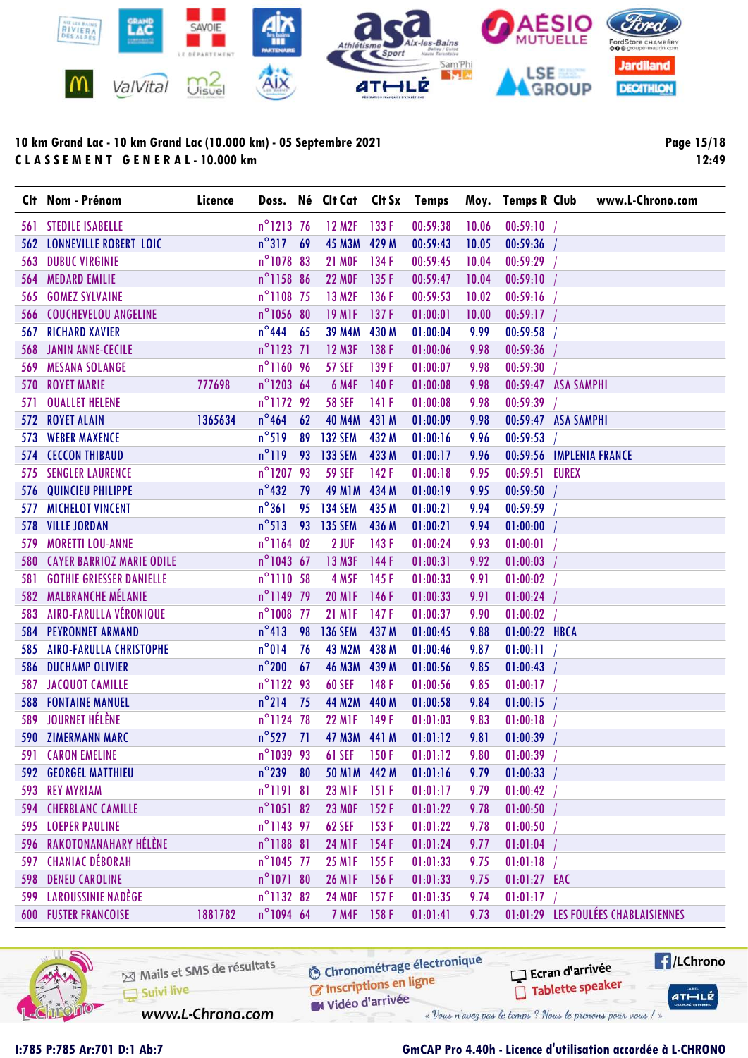

Page 15/18 12:49

| $n^{\circ}$ 1213 76<br>133 F<br>00:59:38<br>561 STEDILE ISABELLE<br>12 M <sub>2</sub> F<br>10.06<br>00:59:10<br>$n^{\circ}317$<br>69<br>45 M3M 429 M<br><b>562 LONNEVILLE ROBERT LOIC</b><br>00:59:43<br>10.05<br>00:59:36<br>n°1078 83<br><b>21 MOF</b><br>134 F<br>00:59:45<br>00:59:29<br><b>563 DUBUC VIRGINIE</b><br>10.04<br>n°1158 86<br><b>MEDARD EMILIE</b><br><b>22 MOF</b><br>135 F<br>00:59:47<br>10.04<br>00:59:10<br>564<br>n°1108 75<br>13 M2F<br>00:59:53<br><b>GOMEZ SYLVAINE</b><br>136 F<br>00:59:16<br>565<br>10.02<br>n°1056 80<br><b>19 MIF</b><br>137F<br>01:00:01<br>10.00<br>00:59:17<br>566 COUCHEVELOU ANGELINE<br>$n^{\circ}444$ 65<br><b>39 M4M</b><br>430 M<br>01:00:04<br><b>RICHARD XAVIER</b><br>9.99<br>00:59:58<br>567 |  |
|-----------------------------------------------------------------------------------------------------------------------------------------------------------------------------------------------------------------------------------------------------------------------------------------------------------------------------------------------------------------------------------------------------------------------------------------------------------------------------------------------------------------------------------------------------------------------------------------------------------------------------------------------------------------------------------------------------------------------------------------------------------|--|
|                                                                                                                                                                                                                                                                                                                                                                                                                                                                                                                                                                                                                                                                                                                                                           |  |
|                                                                                                                                                                                                                                                                                                                                                                                                                                                                                                                                                                                                                                                                                                                                                           |  |
|                                                                                                                                                                                                                                                                                                                                                                                                                                                                                                                                                                                                                                                                                                                                                           |  |
|                                                                                                                                                                                                                                                                                                                                                                                                                                                                                                                                                                                                                                                                                                                                                           |  |
|                                                                                                                                                                                                                                                                                                                                                                                                                                                                                                                                                                                                                                                                                                                                                           |  |
|                                                                                                                                                                                                                                                                                                                                                                                                                                                                                                                                                                                                                                                                                                                                                           |  |
|                                                                                                                                                                                                                                                                                                                                                                                                                                                                                                                                                                                                                                                                                                                                                           |  |
| $n^{\circ}$ 1123 71<br>568 JANIN ANNE-CECILE<br><b>12 M3F</b><br>138 F<br>01:00:06<br>9.98<br>00:59:36                                                                                                                                                                                                                                                                                                                                                                                                                                                                                                                                                                                                                                                    |  |
| n°1160 96<br><b>57 SEF</b><br>139F<br>569 MESANA SOLANGE<br>00:59:30<br>01:00:07<br>9.98                                                                                                                                                                                                                                                                                                                                                                                                                                                                                                                                                                                                                                                                  |  |
| n°1203 64<br><b>6 M4F</b><br><b>570 ROYET MARIE</b><br>777698<br>140F<br>01:00:08<br>9.98<br>00:59:47 ASA SAMPHI                                                                                                                                                                                                                                                                                                                                                                                                                                                                                                                                                                                                                                          |  |
| $n^{\circ}$ 1172 92<br><b>58 SEF</b><br>141 F<br><b>OUALLET HELENE</b><br>01:00:08<br>9.98<br>00:59:39<br>571                                                                                                                                                                                                                                                                                                                                                                                                                                                                                                                                                                                                                                             |  |
| $n^{\circ}$ 464<br><b>572 ROYET ALAIN</b><br>62<br><b>40 M4M</b><br>431 M<br>01:00:09<br>00:59:47 ASA SAMPHI<br>1365634<br>9.98                                                                                                                                                                                                                                                                                                                                                                                                                                                                                                                                                                                                                           |  |
| $n^{\circ}519$<br><b>WEBER MAXENCE</b><br>89 132 SEM<br>432 M<br>01:00:16<br>00:59:53<br>573<br>9.96                                                                                                                                                                                                                                                                                                                                                                                                                                                                                                                                                                                                                                                      |  |
| $n^{\circ}119$<br><b>574 CECCON THIBAUD</b><br>93 133 SEM<br>433 M<br>01:00:17<br>00:59:56 IMPLENIA FRANCE<br>9.96                                                                                                                                                                                                                                                                                                                                                                                                                                                                                                                                                                                                                                        |  |
| n°120793<br><b>575 SENGLER LAURENCE</b><br><b>59 SEF</b><br>142F<br>01:00:18<br>00:59:51 EUREX<br>9.95                                                                                                                                                                                                                                                                                                                                                                                                                                                                                                                                                                                                                                                    |  |
| $n^{\circ}$ 432<br>576 QUINCIEU PHILIPPE<br>79<br><b>49 M1M</b><br>434 M<br>01:00:19<br>00:59:50<br>9.95                                                                                                                                                                                                                                                                                                                                                                                                                                                                                                                                                                                                                                                  |  |
| $n^{\circ}361$<br>95<br><b>134 SEM</b><br>435 M<br><b>577 MICHELOT VINCENT</b><br>01:00:21<br>9.94<br>00:59:59                                                                                                                                                                                                                                                                                                                                                                                                                                                                                                                                                                                                                                            |  |
| $n^{\circ}513$<br>135 SEM<br><b>VILLE JORDAN</b><br>93<br>436 M<br>01:00:21<br>9.94<br>01:00:00<br>578                                                                                                                                                                                                                                                                                                                                                                                                                                                                                                                                                                                                                                                    |  |
| $n^{\circ}1164$ 02<br>2 JUF<br><b>MORETTI LOU-ANNE</b><br>143 F<br>01:00:24<br>9.93<br>01:00:01<br>579                                                                                                                                                                                                                                                                                                                                                                                                                                                                                                                                                                                                                                                    |  |
| $n^{\circ}1043$ 67<br>13 M3F<br><b>580 CAYER BARRIOZ MARIE ODILE</b><br>144 F<br>01:00:31<br>9.92<br>01:00:03                                                                                                                                                                                                                                                                                                                                                                                                                                                                                                                                                                                                                                             |  |
| <b>581 GOTHIE GRIESSER DANIELLE</b><br>n°1110 58<br><b>4 M5F</b><br>145 F<br>01:00:33<br>01:00:02<br>9.91                                                                                                                                                                                                                                                                                                                                                                                                                                                                                                                                                                                                                                                 |  |
| 582 MALBRANCHE MÉLANIE<br>n°1149 79<br><b>20 MIF</b><br>146F<br>01:00:33<br>9.91<br>01:00:24                                                                                                                                                                                                                                                                                                                                                                                                                                                                                                                                                                                                                                                              |  |
| 583 AIRO-FARULLA VÉRONIQUE<br>n°1008 77<br><b>21 M1F</b><br>147 F<br>01:00:37<br>01:00:02<br>9.90                                                                                                                                                                                                                                                                                                                                                                                                                                                                                                                                                                                                                                                         |  |
| $n^{\circ}413$<br><b>136 SEM</b><br><b>584 PEYRONNET ARMAND</b><br>98<br>437 M<br>01:00:45<br>01:00:22 HBCA<br>9.88                                                                                                                                                                                                                                                                                                                                                                                                                                                                                                                                                                                                                                       |  |
| $n^{\circ}014$<br>585 AIRO-FARULLA CHRISTOPHE<br>76<br><b>43 M2M</b><br>438 M<br>01:00:46<br>01:00:11<br>9.87                                                                                                                                                                                                                                                                                                                                                                                                                                                                                                                                                                                                                                             |  |
| $n^{\circ}$ 200<br>46 M3M 439 M<br>67<br>01:00:56<br>01:00:43<br><b>586 DUCHAMP OLIVIER</b><br>9.85                                                                                                                                                                                                                                                                                                                                                                                                                                                                                                                                                                                                                                                       |  |
| n°1122 93<br><b>JACQUOT CAMILLE</b><br><b>60 SEF</b><br>148F<br>01:00:56<br>9.85<br>01:00:17<br>587                                                                                                                                                                                                                                                                                                                                                                                                                                                                                                                                                                                                                                                       |  |
| $n^{\circ}$ 214<br><b>FONTAINE MANUEL</b><br>75<br><b>44 M2M</b><br>440 M<br>01:00:58<br>01:00:15<br>9.84<br>588                                                                                                                                                                                                                                                                                                                                                                                                                                                                                                                                                                                                                                          |  |
| 589 JOURNET HÉLÈNE<br>n°1124 78<br><b>22 M1F</b><br>149F<br>01:01:03<br>9.83<br>01:00:18                                                                                                                                                                                                                                                                                                                                                                                                                                                                                                                                                                                                                                                                  |  |
| $n^{\circ}527$ 71<br><b>590 ZIMERMANN MARC</b><br>47 M3M 441 M<br>01:01:12<br>01:00:39<br>9.81                                                                                                                                                                                                                                                                                                                                                                                                                                                                                                                                                                                                                                                            |  |
| <b>591 CARON EMELINE</b><br>n°1039 93<br><b>61 SEF</b><br>150F<br>01:01:12<br>9.80<br>01:00:39                                                                                                                                                                                                                                                                                                                                                                                                                                                                                                                                                                                                                                                            |  |
| $n^{\circ}$ 239 80<br><b>592 GEORGEL MATTHIEU</b><br>50 M1M 442 M<br>01:01:16<br>01:00:33<br>9.79                                                                                                                                                                                                                                                                                                                                                                                                                                                                                                                                                                                                                                                         |  |
| 593 REY MYRIAM<br>$n^{\circ}119181$<br><b>23 MIF</b><br>151F<br>01:01:17<br>01:00:42<br>9.79                                                                                                                                                                                                                                                                                                                                                                                                                                                                                                                                                                                                                                                              |  |
| $n^{\circ}105182$<br><b>23 MOF</b><br><b>594 CHERBLANC CAMILLE</b><br>152F<br>01:01:22<br>01:00:50<br>9.78                                                                                                                                                                                                                                                                                                                                                                                                                                                                                                                                                                                                                                                |  |
| n°1143 97<br><b>62 SEF</b><br><b>595 LOEPER PAULINE</b><br>153F<br>01:00:50<br>01:01:22<br>9.78                                                                                                                                                                                                                                                                                                                                                                                                                                                                                                                                                                                                                                                           |  |
| 596 RAKOTONANAHARY HÉLÈNE<br>$n^{\circ}$ 1188 81<br><b>24 MIF</b><br>154 F<br>01:01:24<br>01:01:04<br>9.77                                                                                                                                                                                                                                                                                                                                                                                                                                                                                                                                                                                                                                                |  |
| 597 CHANIAC DÉBORAH<br>n°1045 77<br><b>25 MIF</b><br>155F<br>01:01:18<br>01:01:33<br>9.75                                                                                                                                                                                                                                                                                                                                                                                                                                                                                                                                                                                                                                                                 |  |
| <b>598 DENEU CAROLINE</b><br>$n^{\circ}107180$<br><b>26 M1F</b><br>156 F<br>01:01:33<br>9.75<br>01:01:27 EAC                                                                                                                                                                                                                                                                                                                                                                                                                                                                                                                                                                                                                                              |  |
| 599 LAROUSSINIE NADÈGE<br>n°1132 82<br><b>24 MOF</b><br>157F<br>01:01:35<br>01:01:17<br>9.74                                                                                                                                                                                                                                                                                                                                                                                                                                                                                                                                                                                                                                                              |  |
| 01:01:29 LES FOULÉES CHABLAISIENNES<br>n°1094 64<br><b>600 FUSTER FRANCOISE</b><br>1881782<br><b>7 M4F</b><br>158 F<br>01:01:41<br>9.73                                                                                                                                                                                                                                                                                                                                                                                                                                                                                                                                                                                                                   |  |



**6** Chronométrage électronique Mails et SMS de résultats C Inscriptions en ligne Suivi live Vidéo d'arrivée

« Vous n'avez pas le temps ? Nous le prenons pour vous / »

 $H/LChrono$ Tablette speaker  $ATHLLE$ 

www.L-Chrono.com

Ecran d'arrivée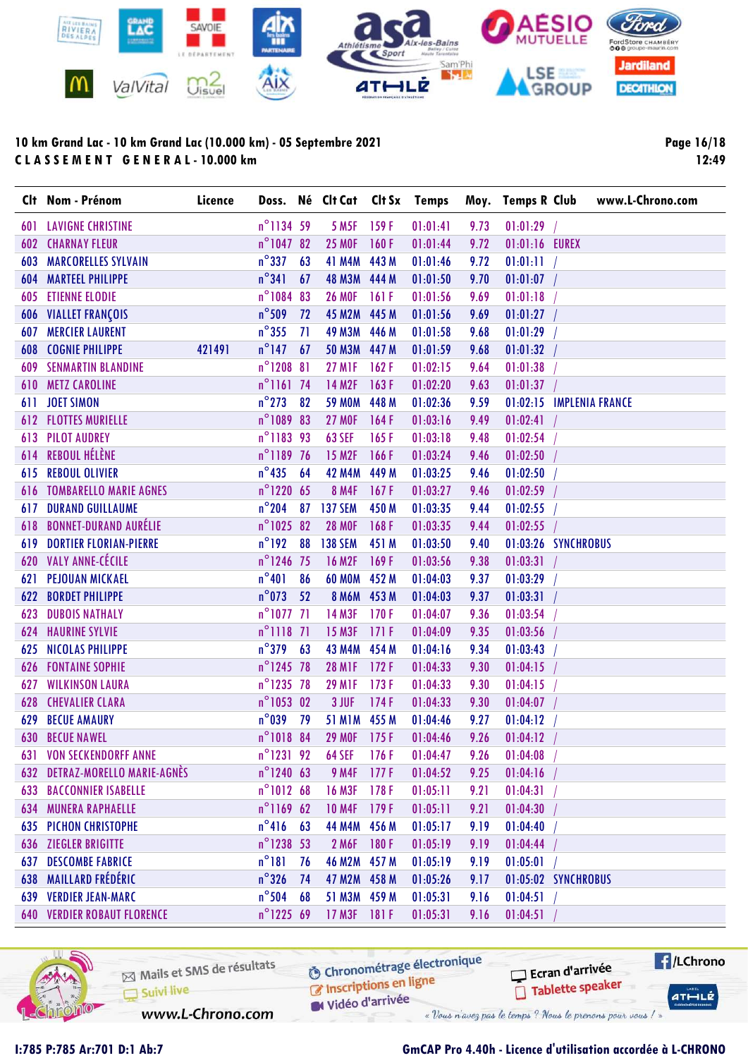

Page 16/18 12:49

|     | Clt Nom - Prénom                   | Licence |                     |    | Doss. Né Clt Cat Clt Sx Temps |       |          |      | Moy. Temps R Club        | www.L-Chrono.com |
|-----|------------------------------------|---------|---------------------|----|-------------------------------|-------|----------|------|--------------------------|------------------|
| 601 | <b>LAVIGNE CHRISTINE</b>           |         | n°1134 59           |    | <b>5 M5F</b>                  | 159F  | 01:01:41 | 9.73 | 01:01:29                 |                  |
| 602 | <b>CHARNAY FLEUR</b>               |         | n°1047 82           |    | <b>25 MOF</b>                 | 160F  | 01:01:44 | 9.72 | 01:01:16 EUREX           |                  |
| 603 | <b>MARCORELLES SYLVAIN</b>         |         | $n^{\circ}$ 337     | 63 | <b>41 M4M</b>                 | 443 M | 01:01:46 | 9.72 | 01:01:11                 |                  |
| 604 | <b>MARTEEL PHILIPPE</b>            |         | $n^{\circ}341$      | 67 | 48 M3M 444 M                  |       | 01:01:50 | 9.70 | 01:01:07                 |                  |
| 605 | <b>ETIENNE ELODIE</b>              |         | n°1084 83           |    | <b>26 MOF</b>                 | 161F  | 01:01:56 | 9.69 | 01:01:18                 |                  |
|     | <b>606 VIALLET FRANÇOIS</b>        |         | $n^{\circ}$ 509     | 72 | <b>45 M2M</b>                 | 445 M | 01:01:56 | 9.69 | 01:01:27                 |                  |
| 607 | <b>MERCIER LAURENT</b>             |         | $n^{\circ}355$      | 71 | <b>49 M3M</b>                 | 446 M | 01:01:58 | 9.68 | 01:01:29                 |                  |
| 608 | <b>COGNIE PHILIPPE</b>             | 421491  | $n^{\circ}$ 147     | 67 | <b>50 M3M</b>                 | 447 M | 01:01:59 | 9.68 | 01:01:32                 |                  |
| 609 | <b>SENMARTIN BLANDINE</b>          |         | $n^{\circ}$ 1208 81 |    | <b>27 M1F</b>                 | 162F  | 01:02:15 | 9.64 | 01:01:38                 |                  |
| 610 | <b>METZ CAROLINE</b>               |         | $n^{\circ}$ 1161 74 |    | <b>14 M2F</b>                 | 163F  | 01:02:20 | 9.63 | 01:01:37                 |                  |
| 611 | <b>JOET SIMON</b>                  |         | $n^{\circ}$ 273     | 82 | <b>59 MOM</b>                 | 448 M | 01:02:36 | 9.59 | 01:02:15 IMPLENIA FRANCE |                  |
|     | <b>612 FLOTTES MURIELLE</b>        |         | n°1089 83           |    | <b>27 MOF</b>                 | 164F  | 01:03:16 | 9.49 | 01:02:41                 |                  |
| 613 | <b>PILOT AUDREY</b>                |         | n°1183 93           |    | <b>63 SEF</b>                 | 165F  | 01:03:18 | 9.48 | 01:02:54                 |                  |
| 614 | <b>REBOUL HÉLÈNE</b>               |         | n°1189 76           |    | 15 M <sub>2F</sub>            | 166F  | 01:03:24 | 9.46 | 01:02:50                 |                  |
| 615 | <b>REBOUL OLIVIER</b>              |         | $n^{\circ}$ 435     | 64 | <b>42 M4M</b>                 | 449 M | 01:03:25 | 9.46 | 01:02:50                 |                  |
|     | <b>616 TOMBARELLO MARIE AGNES</b>  |         | $n^{\circ}$ 1220 65 |    | <b>8 M4F</b>                  | 167F  | 01:03:27 | 9.46 | 01:02:59                 |                  |
| 617 | <b>DURAND GUILLAUME</b>            |         | $n^{\circ}$ 204     | 87 | <b>137 SEM</b>                | 450 M | 01:03:35 | 9.44 | 01:02:55                 |                  |
| 618 | <b>BONNET-DURAND AURÉLIE</b>       |         | n°1025 82           |    | <b>28 MOF</b>                 | 168F  | 01:03:35 | 9.44 | 01:02:55                 |                  |
| 619 | <b>DORTIER FLORIAN-PIERRE</b>      |         | $n^{\circ}$ 192     | 88 | <b>138 SEM</b>                | 451 M | 01:03:50 | 9.40 | 01:03:26 SYNCHROBUS      |                  |
|     | 620 VALY ANNE-CÉCILE               |         | n°1246 75           |    | <b>16 M2F</b>                 | 169F  | 01:03:56 | 9.38 | 01:03:31                 |                  |
| 621 | <b>PEJOUAN MICKAEL</b>             |         | $n^{\circ}401$      | 86 | <b>60 MOM</b>                 | 452 M | 01:04:03 | 9.37 | 01:03:29                 |                  |
| 622 | <b>BORDET PHILIPPE</b>             |         | $n^{\circ}$ 073     | 52 | 8 M6M 453 M                   |       | 01:04:03 | 9.37 | 01:03:31                 |                  |
| 623 | <b>DUBOIS NATHALY</b>              |         | $n^{\circ}1077$ 71  |    | <b>14 M3F</b>                 | 170F  | 01:04:07 | 9.36 | 01:03:54                 |                  |
| 624 | <b>HAURINE SYLVIE</b>              |         | $n^{\circ}$ 1118 71 |    | <b>15 M3F</b>                 | 171F  | 01:04:09 | 9.35 | 01:03:56                 |                  |
| 625 | <b>NICOLAS PHILIPPE</b>            |         | $n^{\circ}$ 379     | 63 | <b>43 M4M</b>                 | 454 M | 01:04:16 | 9.34 | 01:03:43                 |                  |
| 626 | <b>FONTAINE SOPHIE</b>             |         | n°1245 78           |    | <b>28 M1F</b>                 | 172F  | 01:04:33 | 9.30 | 01:04:15                 |                  |
| 627 | <b>WILKINSON LAURA</b>             |         | n°1235 78           |    | <b>29 MIF</b>                 | 173F  | 01:04:33 | 9.30 | 01:04:15                 |                  |
| 628 | <b>CHEVALIER CLARA</b>             |         | $n^{\circ}1053$ 02  |    | 3 JUF                         | 174F  | 01:04:33 | 9.30 | 01:04:07                 |                  |
| 629 | <b>BECUE AMAURY</b>                |         | $n^{\circ}$ 039     | 79 | <b>51 M1M</b>                 | 455 M | 01:04:46 | 9.27 | 01:04:12                 |                  |
|     | <b>630 BECUE NAWEL</b>             |         | $n^{\circ}$ 1018 84 |    | <b>29 MOF</b>                 | 175F  | 01:04:46 | 9.26 | 01:04:12                 |                  |
|     | <b>631 VON SECKENDORFF ANNE</b>    |         | $n^{\circ}$ 1231 92 |    | <b>64 SEF</b>                 | 176F  | 01:04:47 | 9.26 | 01:04:08                 |                  |
|     | 632 DETRAZ-MORELLO MARIE-AGNÈS     |         | $n^{\circ}$ 1240 63 |    | <b>9 M4F</b>                  | 177F  | 01:04:52 | 9.25 | 01:04:16                 |                  |
|     | <b>633 BACCONNIER ISABELLE</b>     |         | $n^{\circ}1012$ 68  |    | <b>16 M3F</b>                 | 178F  | 01:05:11 | 9.21 | 01:04:31                 |                  |
|     | <b>634 MUNERA RAPHAELLE</b>        |         | $n^{\circ}116962$   |    | <b>10 M4F</b>                 | 179F  | 01:05:11 | 9.21 | 01:04:30                 |                  |
|     | <b>635 PICHON CHRISTOPHE</b>       |         | $n^{\circ}416$ 63   |    | <b>44 M4M</b>                 | 456 M | 01:05:17 | 9.19 | 01:04:40                 |                  |
| 636 | <b>ZIEGLER BRIGITTE</b>            |         | $n^{\circ}$ 1238 53 |    | 2 M6F                         | 180F  | 01:05:19 | 9.19 | 01:04:44                 |                  |
| 637 | <b>DESCOMBE FABRICE</b>            |         | $n^{\circ}181$      | 76 | 46 M2M 457 M                  |       | 01:05:19 | 9.19 | 01:05:01                 |                  |
| 638 | MAILLARD FRÉDÉRIC                  |         | $n^{\circ}$ 326     | 74 | 47 M2M 458 M                  |       | 01:05:26 | 9.17 | 01:05:02 SYNCHROBUS      |                  |
|     | <b>639 VERDIER JEAN-MARC</b>       |         | $n^{\circ}$ 504     | 68 | 51 M3M 459 M                  |       | 01:05:31 | 9.16 | 01:04:51                 |                  |
|     | <b>640 VERDIER ROBAUT FLORENCE</b> |         | n°1225 69           |    | 17 M3F                        | 181 F | 01:05:31 | 9.16 | 01:04:51                 |                  |



Mails et SMS de résultats C Inscriptions en ligne Suivi live

**6** Chronométrage électronique

Vidéo d'arrivée « Vous n'avez pas le temps ? Nous le prenons pour vous / »

 $H/LChrono$ Ecran d'arrivée Tablette speaker  $ATHLLE$ 

www.L-Chrono.com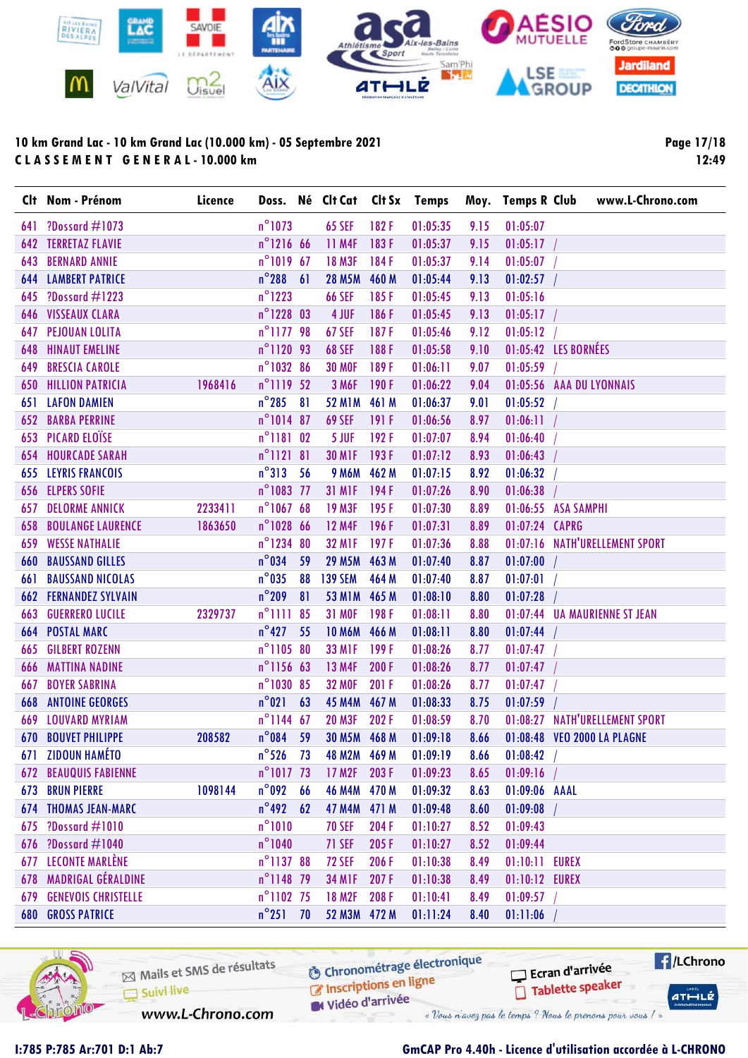

Page 17/18 12:49

|     | Clt Nom - Prénom               | Licence |                      |    | Doss. Né Clt Cat Clt Sx Temps |       |          |      | Moy. Temps R Club | www.L-Chrono.com               |
|-----|--------------------------------|---------|----------------------|----|-------------------------------|-------|----------|------|-------------------|--------------------------------|
| 641 | ?Dossard $\#1073$              |         | $n^{\circ}$ 1073     |    | <b>65 SEF</b>                 | 182F  | 01:05:35 | 9.15 | 01:05:07          |                                |
| 642 | <b>TERRETAZ FLAVIE</b>         |         | n°1216 66            |    | 11 M4F                        | 183F  | 01:05:37 | 9.15 | 01:05:17          |                                |
| 643 | <b>BERNARD ANNIE</b>           |         | $n^{\circ}1019$ 67   |    | <b>18 M3F</b>                 | 184F  | 01:05:37 | 9.14 | 01:05:07          |                                |
| 644 | <b>LAMBERT PATRICE</b>         |         | $n^{\circ}$ 288 61   |    | <b>28 M5M</b>                 | 460 M | 01:05:44 | 9.13 | 01:02:57          |                                |
| 645 | ?Dossard $\#1223$              |         | $n^{\circ}$ 1223     |    | <b>66 SEF</b>                 | 185F  | 01:05:45 | 9.13 | 01:05:16          |                                |
| 646 | <b>VISSEAUX CLARA</b>          |         | n°1228 03            |    | 4 JUF                         | 186 F | 01:05:45 | 9.13 | 01:05:17          |                                |
| 647 | <b>PEJOUAN LOLITA</b>          |         | n°1177 98            |    | <b>67 SEF</b>                 | 187F  | 01:05:46 | 9.12 | 01:05:12          |                                |
| 648 | <b>HINAUT EMELINE</b>          |         | n°1120 93            |    | <b>68 SEF</b>                 | 188F  | 01:05:58 | 9.10 |                   | 01:05:42 LES BORNÉES           |
| 649 | <b>BRESCIA CAROLE</b>          |         | n°1032 86            |    | <b>30 MOF</b>                 | 189F  | 01:06:11 | 9.07 | 01:05:59          |                                |
| 650 | <b>HILLION PATRICIA</b>        | 1968416 | n°1119 52            |    | 3 M6F                         | 190F  | 01:06:22 | 9.04 |                   | 01:05:56 AAA DU LYONNAIS       |
| 651 | <b>LAFON DAMIEN</b>            |         | $n^{\circ}$ 285      | 81 | <b>52 M1M</b>                 | 461 M | 01:06:37 | 9.01 | 01:05:52          |                                |
| 652 | <b>BARBA PERRINE</b>           |         | $n^{\circ}1014$ 87   |    | <b>69 SEF</b>                 | 191 F | 01:06:56 | 8.97 | 01:06:11          |                                |
|     | <b>653 PICARD ELOÏSE</b>       |         | n°1181 02            |    | 5 JUF                         | 192F  | 01:07:07 | 8.94 | 01:06:40          |                                |
| 654 | <b>HOURCADE SARAH</b>          |         | $n^{\circ}$ ] 121 81 |    | <b>30 M1F</b>                 | 193F  | 01:07:12 | 8.93 | 01:06:43          |                                |
|     | <b>655 LEYRIS FRANCOIS</b>     |         | $n^{\circ}313$ 56    |    | <b>9 M6M</b>                  | 462 M | 01:07:15 | 8.92 | 01:06:32          |                                |
|     | <b>656 ELPERS SOFIE</b>        |         | n°1083 77            |    | <b>31 M1F</b>                 | 194F  | 01:07:26 | 8.90 | 01:06:38          |                                |
| 657 | <b>DELORME ANNICK</b>          | 2233411 | n°1067 68            |    | <b>19 M3F</b>                 | 195F  | 01:07:30 | 8.89 |                   | 01:06:55 ASA SAMPHI            |
| 658 | <b>BOULANGE LAURENCE</b>       | 1863650 | n°1028 66            |    | <b>12 M4F</b>                 | 196F  | 01:07:31 | 8.89 | 01:07:24 CAPRG    |                                |
| 659 | <b>WESSE NATHALIE</b>          |         | n°1234 80            |    | <b>32 MIF</b>                 | 197F  | 01:07:36 | 8.88 |                   | 01:07:16 NATH'URELLEMENT SPORT |
| 660 | <b>BAUSSAND GILLES</b>         |         | $n^{\circ}$ 034      | 59 | 29 M5M 463 M                  |       | 01:07:40 | 8.87 | $01:07:00$ /      |                                |
| 661 | <b>BAUSSAND NICOLAS</b>        |         | $n^{\circ}$ 035      | 88 | <b>139 SEM</b>                | 464 M | 01:07:40 | 8.87 | 01:07:01          |                                |
|     | <b>662 FERNANDEZ SYLVAIN</b>   |         | $n^{\circ}$ 209      | 81 | 53 M1M 465 M                  |       | 01:08:10 | 8.80 | 01:07:28          |                                |
| 663 | <b>GUERRERO LUCILE</b>         | 2329737 | $n^{\circ}$ 1111     | 85 | <b>31 MOF</b>                 | 198F  | 01:08:11 | 8.80 |                   | 01:07:44 UA MAURIENNE ST JEAN  |
| 664 | <b>POSTAL MARC</b>             |         | $n^{\circ}427$       | 55 | <b>10 M6M</b>                 | 466 M | 01:08:11 | 8.80 | 01:07:44          |                                |
| 665 | <b>GILBERT ROZENN</b>          |         | n°1105 80            |    | <b>33 M1F</b>                 | 199F  | 01:08:26 | 8.77 | 01:07:47          |                                |
| 666 | <b>MATTINA NADINE</b>          |         | n°1156 63            |    | 13 M4F                        | 200F  | 01:08:26 | 8.77 | 01:07:47          |                                |
| 667 | <b>BOYER SABRINA</b>           |         | n°1030 85            |    | <b>32 MOF</b>                 | 201 F | 01:08:26 | 8.77 | 01:07:47          |                                |
| 668 | <b>ANTOINE GEORGES</b>         |         | $n^{\circ}021$       | 63 | <b>45 M4M</b>                 | 467 M | 01:08:33 | 8.75 | 01:07:59          |                                |
| 669 | <b>LOUVARD MYRIAM</b>          |         | $n^{\circ}$ 1144 67  |    | <b>20 M3F</b>                 | 202F  | 01:08:59 | 8.70 |                   | 01:08:27 NATH'URELLEMENT SPORT |
|     | <b>670 BOUVET PHILIPPE</b>     | 208582  | $n^{\circ}$ 084      | 59 | 30 M5M 468 M                  |       | 01:09:18 | 8.66 |                   | 01:08:48 VEO 2000 LA PLAGNE    |
|     | 671 ZIDOUN HAMÉTO              |         | $n^{\circ}526$ 73    |    | 48 M2M 469 M                  |       | 01:09:19 | 8.66 | 01:08:42          |                                |
|     | <b>672 BEAUQUIS FABIENNE</b>   |         | $n^{\circ}1017$ 73   |    | 17 M <sub>2F</sub>            | 203F  | 01:09:23 | 8.65 | 01:09:16          |                                |
|     | <b>673 BRUN PIERRE</b>         | 1098144 | $n^{\circ}$ 092      | 66 | 46 M4M 470 M                  |       | 01:09:32 | 8.63 | 01:09:06 AAAL     |                                |
|     | <b>674 THOMAS JEAN-MARC</b>    |         | $n^{\circ}$ 492      | 62 | 47 M4M 471 M                  |       | 01:09:48 | 8.60 | 01:09:08          |                                |
|     | 675 ?Dossard #1010             |         | $n^{\circ}1010$      |    | <b>70 SEF</b>                 | 204F  | 01:10:27 | 8.52 | 01:09:43          |                                |
| 676 | ?Dossard $\#1040$              |         | $n^{\circ}$ 1040     |    | 71 SEF                        | 205F  | 01:10:27 | 8.52 | 01:09:44          |                                |
| 677 | LECONTE MARLÈNE                |         | n°1137 88            |    | <b>72 SEF</b>                 | 206 F | 01:10:38 | 8.49 | 01:10:11          | <b>EUREX</b>                   |
|     | 678 MADRIGAL GÉRALDINE         |         | n°1148 79            |    | <b>34 M1F</b>                 | 207F  | 01:10:38 | 8.49 | 01:10:12 EUREX    |                                |
|     | <b>679 GENEVOIS CHRISTELLE</b> |         | $n^{\circ}1102$ 75   |    | <b>18 M2F</b>                 | 208F  | 01:10:41 | 8.49 | 01:09:57          |                                |
|     | <b>680 GROSS PATRICE</b>       |         | $n^{\circ}251$ 70    |    | 52 M3M 472 M                  |       | 01:11:24 | 8.40 | 01:11:06          |                                |



Mails et SMS de résultats Suivi live

**6** Chronométrage électronique C Inscriptions en ligne

Vidéo d'arrivée

www.L-Chrono.com

« Vous n'avez pas le temps ? Nous le prenons pour vous / »

### I:785 P:785 Ar:701 D:1 Ab:7 GmCAP Pro 4.40h - Licence d'utilisation accordée à L-CHRONO

Ecran d'arrivée

Tablette speaker

 $H/LChrono$